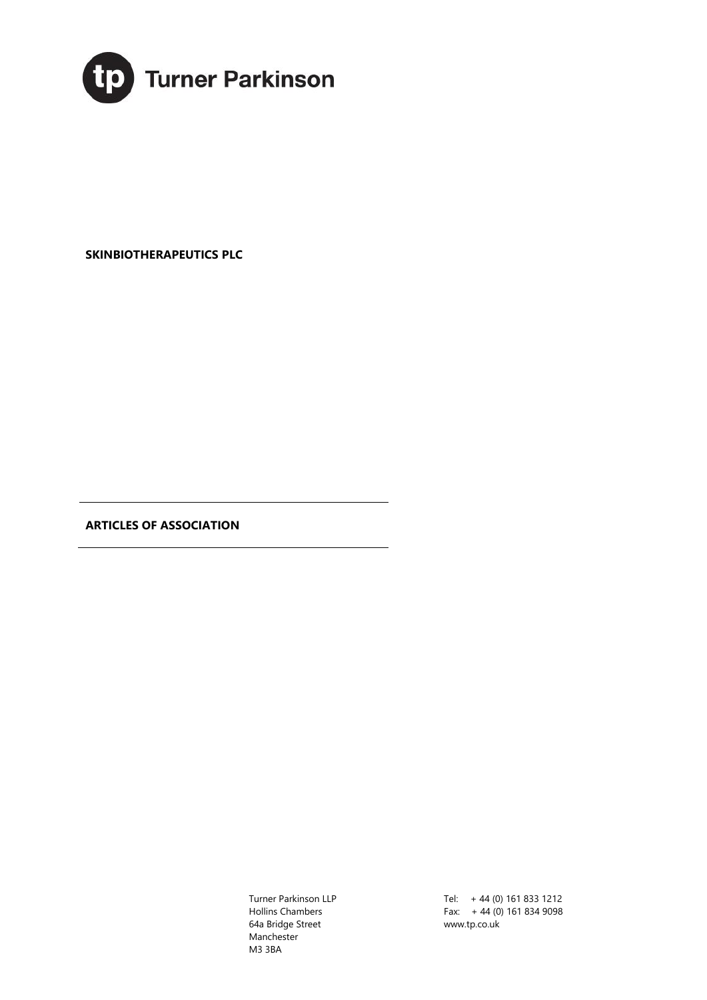

**SKINBIOTHERAPEUTICS PLC** 

**ARTICLES OF ASSOCIATION** 

Turner Parkinson LLP Hollins Chambers 64a Bridge Street Manchester M3 3BA

Tel: + 44 (0) 161 833 1212 Fax: + 44 (0) 161 834 9098 www.tp.co.uk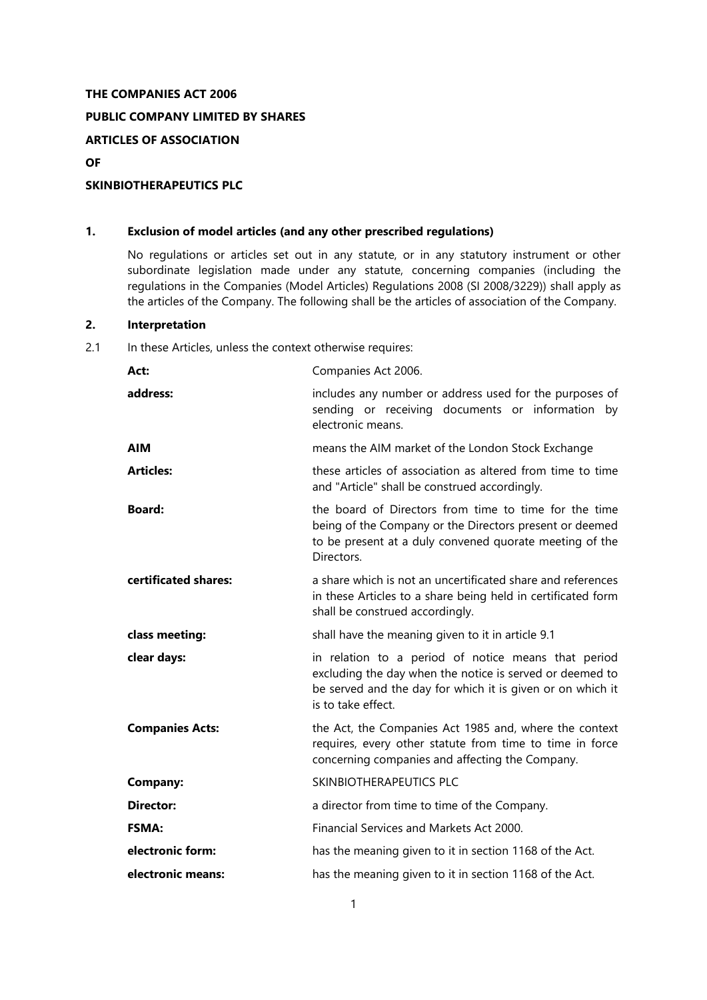### **THE COMPANIES ACT 2006**

# **PUBLIC COMPANY LIMITED BY SHARES**

**ARTICLES OF ASSOCIATION**

**OF**

# **SKINBIOTHERAPEUTICS PLC**

# **1. Exclusion of model articles (and any other prescribed regulations)**

No regulations or articles set out in any statute, or in any statutory instrument or other subordinate legislation made under any statute, concerning companies (including the regulations in the Companies (Model Articles) Regulations 2008 (SI 2008/3229)) shall apply as the articles of the Company. The following shall be the articles of association of the Company.

### **2. Interpretation**

# 2.1 In these Articles, unless the context otherwise requires:

| Act:                   | Companies Act 2006.                                                                                                                                                                                 |
|------------------------|-----------------------------------------------------------------------------------------------------------------------------------------------------------------------------------------------------|
| address:               | includes any number or address used for the purposes of<br>sending or receiving documents or information by<br>electronic means.                                                                    |
| <b>AIM</b>             | means the AIM market of the London Stock Exchange                                                                                                                                                   |
| <b>Articles:</b>       | these articles of association as altered from time to time<br>and "Article" shall be construed accordingly.                                                                                         |
| <b>Board:</b>          | the board of Directors from time to time for the time<br>being of the Company or the Directors present or deemed<br>to be present at a duly convened quorate meeting of the<br>Directors.           |
| certificated shares:   | a share which is not an uncertificated share and references<br>in these Articles to a share being held in certificated form<br>shall be construed accordingly.                                      |
| class meeting:         | shall have the meaning given to it in article 9.1                                                                                                                                                   |
|                        |                                                                                                                                                                                                     |
| clear days:            | in relation to a period of notice means that period<br>excluding the day when the notice is served or deemed to<br>be served and the day for which it is given or on which it<br>is to take effect. |
| <b>Companies Acts:</b> | the Act, the Companies Act 1985 and, where the context<br>requires, every other statute from time to time in force<br>concerning companies and affecting the Company.                               |
| <b>Company:</b>        | SKINBIOTHERAPEUTICS PLC                                                                                                                                                                             |
| <b>Director:</b>       | a director from time to time of the Company.                                                                                                                                                        |
| <b>FSMA:</b>           | Financial Services and Markets Act 2000.                                                                                                                                                            |
| electronic form:       | has the meaning given to it in section 1168 of the Act.                                                                                                                                             |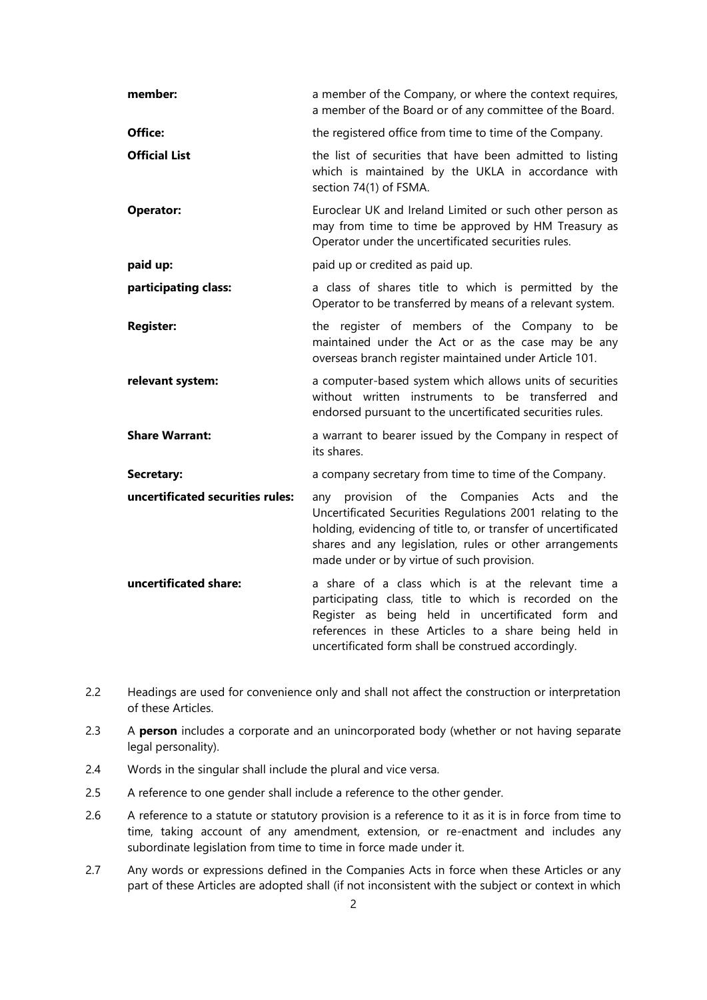| member:                          | a member of the Company, or where the context requires,<br>a member of the Board or of any committee of the Board.                                                                                                                                                                      |
|----------------------------------|-----------------------------------------------------------------------------------------------------------------------------------------------------------------------------------------------------------------------------------------------------------------------------------------|
| Office:                          | the registered office from time to time of the Company.                                                                                                                                                                                                                                 |
| <b>Official List</b>             | the list of securities that have been admitted to listing<br>which is maintained by the UKLA in accordance with<br>section 74(1) of FSMA.                                                                                                                                               |
| <b>Operator:</b>                 | Euroclear UK and Ireland Limited or such other person as<br>may from time to time be approved by HM Treasury as<br>Operator under the uncertificated securities rules.                                                                                                                  |
| paid up:                         | paid up or credited as paid up.                                                                                                                                                                                                                                                         |
| participating class:             | a class of shares title to which is permitted by the<br>Operator to be transferred by means of a relevant system.                                                                                                                                                                       |
| <b>Register:</b>                 | the register of members of the Company to be<br>maintained under the Act or as the case may be any<br>overseas branch register maintained under Article 101.                                                                                                                            |
| relevant system:                 | a computer-based system which allows units of securities<br>without written instruments to be transferred and<br>endorsed pursuant to the uncertificated securities rules.                                                                                                              |
| <b>Share Warrant:</b>            | a warrant to bearer issued by the Company in respect of<br>its shares.                                                                                                                                                                                                                  |
| Secretary:                       | a company secretary from time to time of the Company.                                                                                                                                                                                                                                   |
| uncertificated securities rules: | provision of the Companies Acts and the<br>any<br>Uncertificated Securities Regulations 2001 relating to the<br>holding, evidencing of title to, or transfer of uncertificated<br>shares and any legislation, rules or other arrangements<br>made under or by virtue of such provision. |
| uncertificated share:            | a share of a class which is at the relevant time a<br>participating class, title to which is recorded on the<br>Register as being held in uncertificated form and<br>references in these Articles to a share being held in<br>uncertificated form shall be construed accordingly.       |

- 2.2 Headings are used for convenience only and shall not affect the construction or interpretation of these Articles.
- 2.3 A **person** includes a corporate and an unincorporated body (whether or not having separate legal personality).
- 2.4 Words in the singular shall include the plural and vice versa.
- 2.5 A reference to one gender shall include a reference to the other gender.
- 2.6 A reference to a statute or statutory provision is a reference to it as it is in force from time to time, taking account of any amendment, extension, or re-enactment and includes any subordinate legislation from time to time in force made under it.
- 2.7 Any words or expressions defined in the Companies Acts in force when these Articles or any part of these Articles are adopted shall (if not inconsistent with the subject or context in which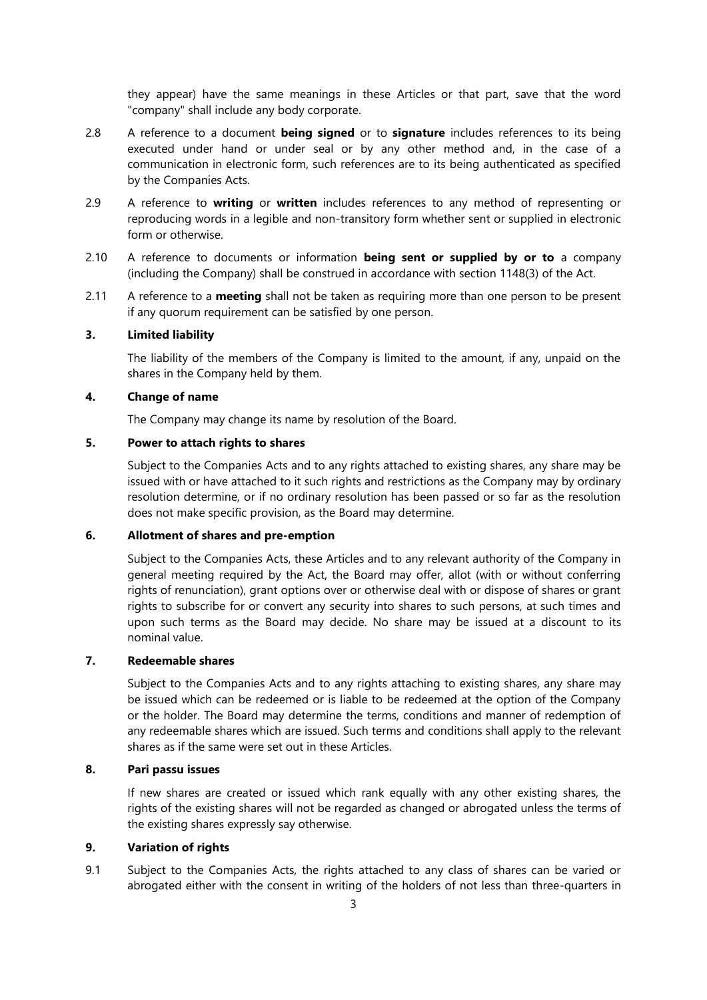they appear) have the same meanings in these Articles or that part, save that the word "company" shall include any body corporate.

- 2.8 A reference to a document **being signed** or to **signature** includes references to its being executed under hand or under seal or by any other method and, in the case of a communication in electronic form, such references are to its being authenticated as specified by the Companies Acts.
- 2.9 A reference to **writing** or **written** includes references to any method of representing or reproducing words in a legible and non-transitory form whether sent or supplied in electronic form or otherwise.
- 2.10 A reference to documents or information **being sent or supplied by or to** a company (including the Company) shall be construed in accordance with section 1148(3) of the Act.
- 2.11 A reference to a **meeting** shall not be taken as requiring more than one person to be present if any quorum requirement can be satisfied by one person.

# **3. Limited liability**

The liability of the members of the Company is limited to the amount, if any, unpaid on the shares in the Company held by them.

## **4. Change of name**

The Company may change its name by resolution of the Board.

#### **5. Power to attach rights to shares**

Subject to the Companies Acts and to any rights attached to existing shares, any share may be issued with or have attached to it such rights and restrictions as the Company may by ordinary resolution determine, or if no ordinary resolution has been passed or so far as the resolution does not make specific provision, as the Board may determine.

### **6. Allotment of shares and pre-emption**

Subject to the Companies Acts, these Articles and to any relevant authority of the Company in general meeting required by the Act, the Board may offer, allot (with or without conferring rights of renunciation), grant options over or otherwise deal with or dispose of shares or grant rights to subscribe for or convert any security into shares to such persons, at such times and upon such terms as the Board may decide. No share may be issued at a discount to its nominal value.

# **7. Redeemable shares**

Subject to the Companies Acts and to any rights attaching to existing shares, any share may be issued which can be redeemed or is liable to be redeemed at the option of the Company or the holder. The Board may determine the terms, conditions and manner of redemption of any redeemable shares which are issued. Such terms and conditions shall apply to the relevant shares as if the same were set out in these Articles.

#### **8. Pari passu issues**

If new shares are created or issued which rank equally with any other existing shares, the rights of the existing shares will not be regarded as changed or abrogated unless the terms of the existing shares expressly say otherwise.

#### **9. Variation of rights**

<span id="page-3-0"></span>9.1 Subject to the Companies Acts, the rights attached to any class of shares can be varied or abrogated either with the consent in writing of the holders of not less than three-quarters in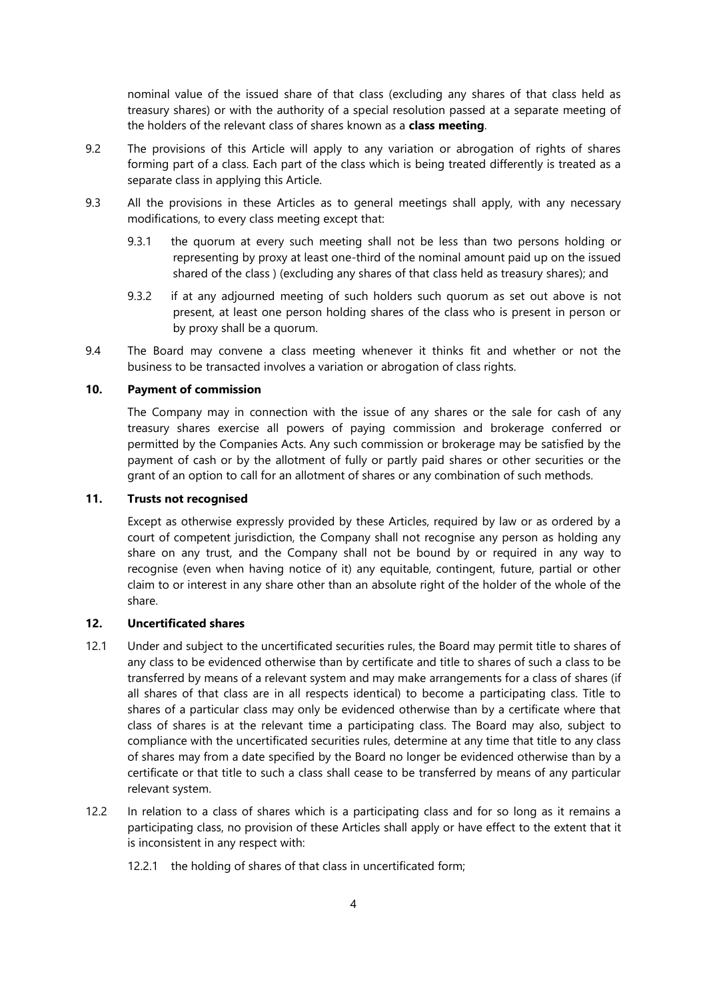nominal value of the issued share of that class (excluding any shares of that class held as treasury shares) or with the authority of a special resolution passed at a separate meeting of the holders of the relevant class of shares known as a **class meeting**.

- 9.2 The provisions of this Article will apply to any variation or abrogation of rights of shares forming part of a class. Each part of the class which is being treated differently is treated as a separate class in applying this Article.
- 9.3 All the provisions in these Articles as to general meetings shall apply, with any necessary modifications, to every class meeting except that:
	- 9.3.1 the quorum at every such meeting shall not be less than two persons holding or representing by proxy at least one-third of the nominal amount paid up on the issued shared of the class ) (excluding any shares of that class held as treasury shares); and
	- 9.3.2 if at any adjourned meeting of such holders such quorum as set out above is not present, at least one person holding shares of the class who is present in person or by proxy shall be a quorum.
- 9.4 The Board may convene a class meeting whenever it thinks fit and whether or not the business to be transacted involves a variation or abrogation of class rights.

#### **10. Payment of commission**

The Company may in connection with the issue of any shares or the sale for cash of any treasury shares exercise all powers of paying commission and brokerage conferred or permitted by the Companies Acts. Any such commission or brokerage may be satisfied by the payment of cash or by the allotment of fully or partly paid shares or other securities or the grant of an option to call for an allotment of shares or any combination of such methods.

# **11. Trusts not recognised**

Except as otherwise expressly provided by these Articles, required by law or as ordered by a court of competent jurisdiction, the Company shall not recognise any person as holding any share on any trust, and the Company shall not be bound by or required in any way to recognise (even when having notice of it) any equitable, contingent, future, partial or other claim to or interest in any share other than an absolute right of the holder of the whole of the share.

#### **12. Uncertificated shares**

- 12.1 Under and subject to the uncertificated securities rules, the Board may permit title to shares of any class to be evidenced otherwise than by certificate and title to shares of such a class to be transferred by means of a relevant system and may make arrangements for a class of shares (if all shares of that class are in all respects identical) to become a participating class. Title to shares of a particular class may only be evidenced otherwise than by a certificate where that class of shares is at the relevant time a participating class. The Board may also, subject to compliance with the uncertificated securities rules, determine at any time that title to any class of shares may from a date specified by the Board no longer be evidenced otherwise than by a certificate or that title to such a class shall cease to be transferred by means of any particular relevant system.
- 12.2 In relation to a class of shares which is a participating class and for so long as it remains a participating class, no provision of these Articles shall apply or have effect to the extent that it is inconsistent in any respect with:
	- 12.2.1 the holding of shares of that class in uncertificated form;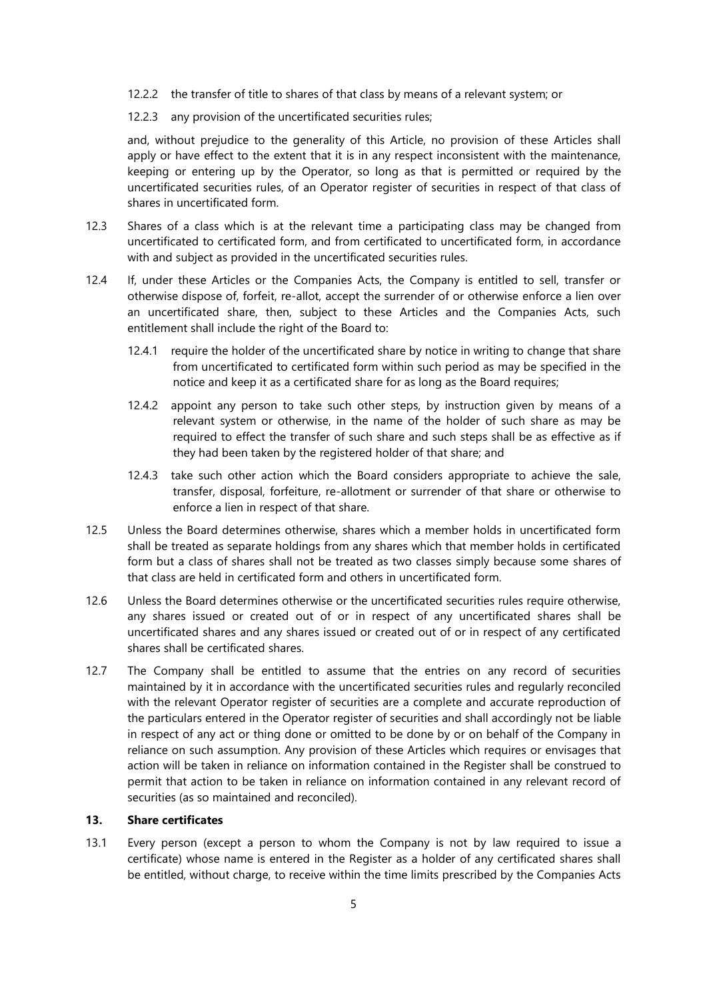- 12.2.2 the transfer of title to shares of that class by means of a relevant system; or
- 12.2.3 any provision of the uncertificated securities rules;

and, without prejudice to the generality of this Article, no provision of these Articles shall apply or have effect to the extent that it is in any respect inconsistent with the maintenance, keeping or entering up by the Operator, so long as that is permitted or required by the uncertificated securities rules, of an Operator register of securities in respect of that class of shares in uncertificated form.

- 12.3 Shares of a class which is at the relevant time a participating class may be changed from uncertificated to certificated form, and from certificated to uncertificated form, in accordance with and subject as provided in the uncertificated securities rules.
- 12.4 If, under these Articles or the Companies Acts, the Company is entitled to sell, transfer or otherwise dispose of, forfeit, re-allot, accept the surrender of or otherwise enforce a lien over an uncertificated share, then, subject to these Articles and the Companies Acts, such entitlement shall include the right of the Board to:
	- 12.4.1 require the holder of the uncertificated share by notice in writing to change that share from uncertificated to certificated form within such period as may be specified in the notice and keep it as a certificated share for as long as the Board requires;
	- 12.4.2 appoint any person to take such other steps, by instruction given by means of a relevant system or otherwise, in the name of the holder of such share as may be required to effect the transfer of such share and such steps shall be as effective as if they had been taken by the registered holder of that share; and
	- 12.4.3 take such other action which the Board considers appropriate to achieve the sale, transfer, disposal, forfeiture, re-allotment or surrender of that share or otherwise to enforce a lien in respect of that share.
- 12.5 Unless the Board determines otherwise, shares which a member holds in uncertificated form shall be treated as separate holdings from any shares which that member holds in certificated form but a class of shares shall not be treated as two classes simply because some shares of that class are held in certificated form and others in uncertificated form.
- 12.6 Unless the Board determines otherwise or the uncertificated securities rules require otherwise, any shares issued or created out of or in respect of any uncertificated shares shall be uncertificated shares and any shares issued or created out of or in respect of any certificated shares shall be certificated shares.
- 12.7 The Company shall be entitled to assume that the entries on any record of securities maintained by it in accordance with the uncertificated securities rules and regularly reconciled with the relevant Operator register of securities are a complete and accurate reproduction of the particulars entered in the Operator register of securities and shall accordingly not be liable in respect of any act or thing done or omitted to be done by or on behalf of the Company in reliance on such assumption. Any provision of these Articles which requires or envisages that action will be taken in reliance on information contained in the Register shall be construed to permit that action to be taken in reliance on information contained in any relevant record of securities (as so maintained and reconciled).

#### **13. Share certificates**

13.1 Every person (except a person to whom the Company is not by law required to issue a certificate) whose name is entered in the Register as a holder of any certificated shares shall be entitled, without charge, to receive within the time limits prescribed by the Companies Acts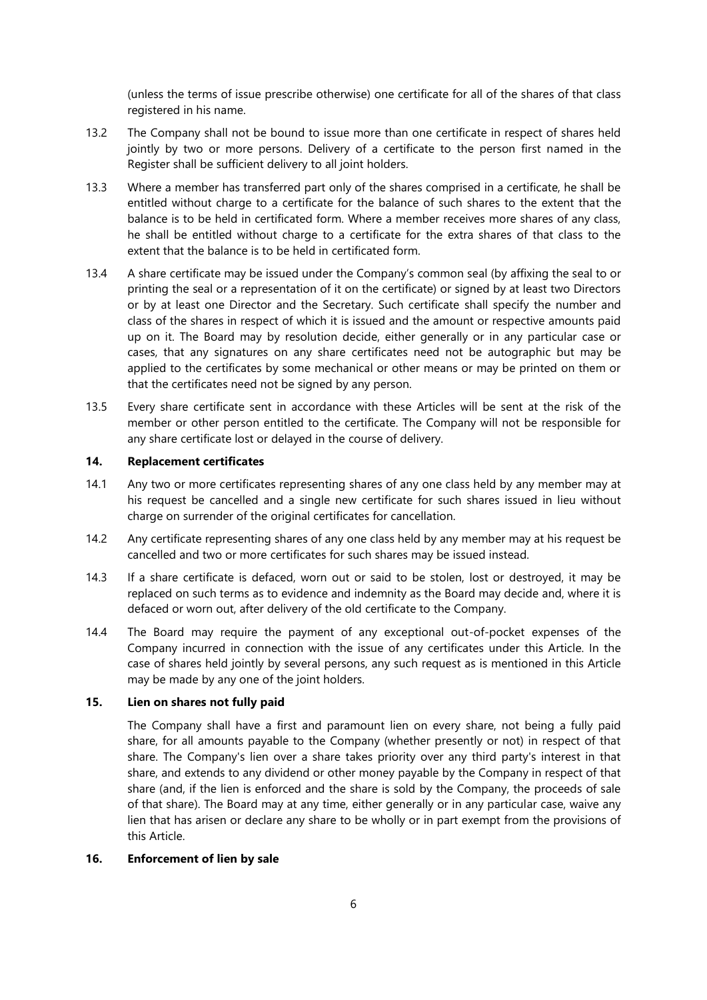(unless the terms of issue prescribe otherwise) one certificate for all of the shares of that class registered in his name.

- 13.2 The Company shall not be bound to issue more than one certificate in respect of shares held jointly by two or more persons. Delivery of a certificate to the person first named in the Register shall be sufficient delivery to all joint holders.
- 13.3 Where a member has transferred part only of the shares comprised in a certificate, he shall be entitled without charge to a certificate for the balance of such shares to the extent that the balance is to be held in certificated form. Where a member receives more shares of any class, he shall be entitled without charge to a certificate for the extra shares of that class to the extent that the balance is to be held in certificated form.
- 13.4 A share certificate may be issued under the Company's common seal (by affixing the seal to or printing the seal or a representation of it on the certificate) or signed by at least two Directors or by at least one Director and the Secretary. Such certificate shall specify the number and class of the shares in respect of which it is issued and the amount or respective amounts paid up on it. The Board may by resolution decide, either generally or in any particular case or cases, that any signatures on any share certificates need not be autographic but may be applied to the certificates by some mechanical or other means or may be printed on them or that the certificates need not be signed by any person.
- 13.5 Every share certificate sent in accordance with these Articles will be sent at the risk of the member or other person entitled to the certificate. The Company will not be responsible for any share certificate lost or delayed in the course of delivery.

# **14. Replacement certificates**

- 14.1 Any two or more certificates representing shares of any one class held by any member may at his request be cancelled and a single new certificate for such shares issued in lieu without charge on surrender of the original certificates for cancellation.
- 14.2 Any certificate representing shares of any one class held by any member may at his request be cancelled and two or more certificates for such shares may be issued instead.
- 14.3 If a share certificate is defaced, worn out or said to be stolen, lost or destroyed, it may be replaced on such terms as to evidence and indemnity as the Board may decide and, where it is defaced or worn out, after delivery of the old certificate to the Company.
- 14.4 The Board may require the payment of any exceptional out-of-pocket expenses of the Company incurred in connection with the issue of any certificates under this Article. In the case of shares held jointly by several persons, any such request as is mentioned in this Article may be made by any one of the joint holders.

#### **15. Lien on shares not fully paid**

The Company shall have a first and paramount lien on every share, not being a fully paid share, for all amounts payable to the Company (whether presently or not) in respect of that share. The Company's lien over a share takes priority over any third party's interest in that share, and extends to any dividend or other money payable by the Company in respect of that share (and, if the lien is enforced and the share is sold by the Company, the proceeds of sale of that share). The Board may at any time, either generally or in any particular case, waive any lien that has arisen or declare any share to be wholly or in part exempt from the provisions of this Article.

# <span id="page-6-0"></span>**16. Enforcement of lien by sale**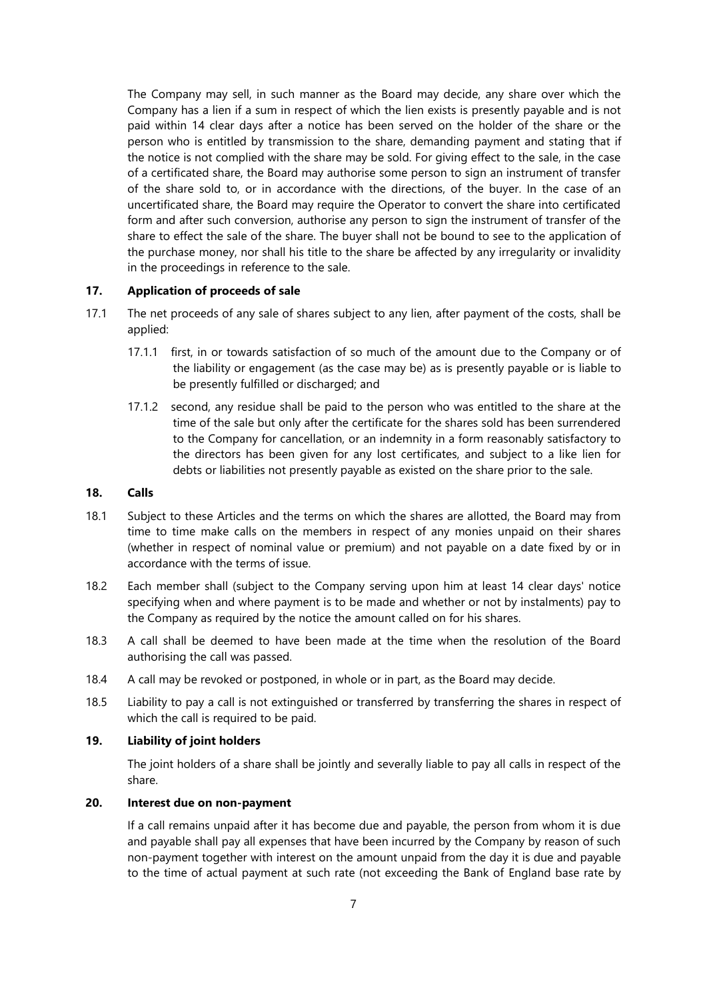The Company may sell, in such manner as the Board may decide, any share over which the Company has a lien if a sum in respect of which the lien exists is presently payable and is not paid within 14 clear days after a notice has been served on the holder of the share or the person who is entitled by transmission to the share, demanding payment and stating that if the notice is not complied with the share may be sold. For giving effect to the sale, in the case of a certificated share, the Board may authorise some person to sign an instrument of transfer of the share sold to, or in accordance with the directions, of the buyer. In the case of an uncertificated share, the Board may require the Operator to convert the share into certificated form and after such conversion, authorise any person to sign the instrument of transfer of the share to effect the sale of the share. The buyer shall not be bound to see to the application of the purchase money, nor shall his title to the share be affected by any irregularity or invalidity in the proceedings in reference to the sale.

#### **17. Application of proceeds of sale**

- 17.1 The net proceeds of any sale of shares subject to any lien, after payment of the costs, shall be applied:
	- 17.1.1 first, in or towards satisfaction of so much of the amount due to the Company or of the liability or engagement (as the case may be) as is presently payable or is liable to be presently fulfilled or discharged; and
	- 17.1.2 second, any residue shall be paid to the person who was entitled to the share at the time of the sale but only after the certificate for the shares sold has been surrendered to the Company for cancellation, or an indemnity in a form reasonably satisfactory to the directors has been given for any lost certificates, and subject to a like lien for debts or liabilities not presently payable as existed on the share prior to the sale.

## **18. Calls**

- 18.1 Subject to these Articles and the terms on which the shares are allotted, the Board may from time to time make calls on the members in respect of any monies unpaid on their shares (whether in respect of nominal value or premium) and not payable on a date fixed by or in accordance with the terms of issue.
- 18.2 Each member shall (subject to the Company serving upon him at least 14 clear days' notice specifying when and where payment is to be made and whether or not by instalments) pay to the Company as required by the notice the amount called on for his shares.
- 18.3 A call shall be deemed to have been made at the time when the resolution of the Board authorising the call was passed.
- 18.4 A call may be revoked or postponed, in whole or in part, as the Board may decide.
- 18.5 Liability to pay a call is not extinguished or transferred by transferring the shares in respect of which the call is required to be paid.

# **19. Liability of joint holders**

The joint holders of a share shall be jointly and severally liable to pay all calls in respect of the share.

# **20. Interest due on non-payment**

If a call remains unpaid after it has become due and payable, the person from whom it is due and payable shall pay all expenses that have been incurred by the Company by reason of such non-payment together with interest on the amount unpaid from the day it is due and payable to the time of actual payment at such rate (not exceeding the Bank of England base rate by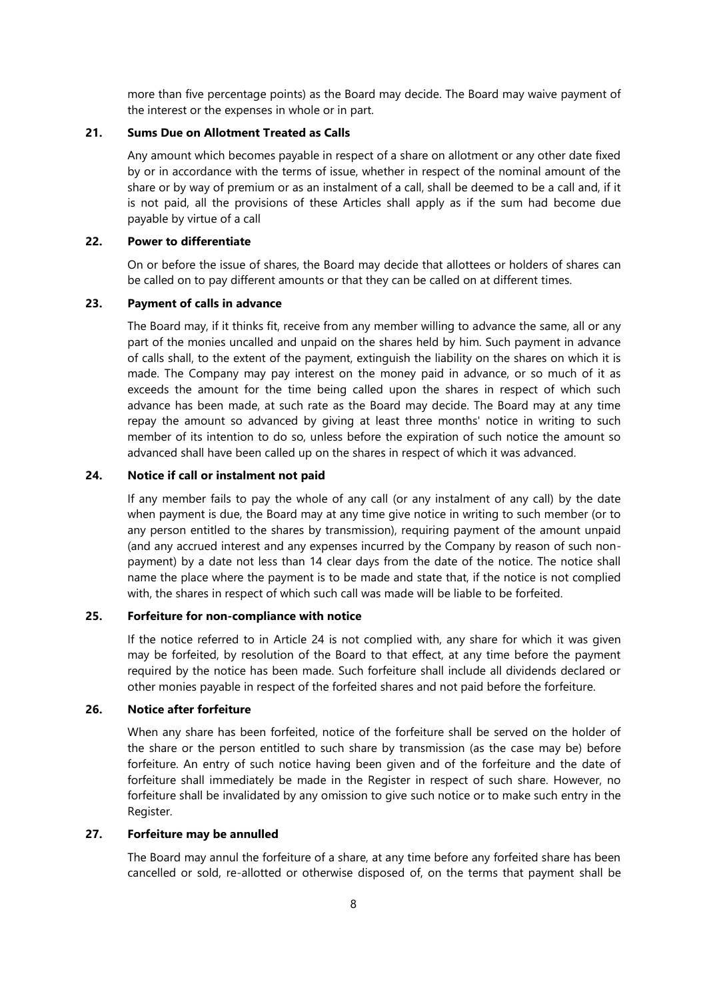more than five percentage points) as the Board may decide. The Board may waive payment of the interest or the expenses in whole or in part.

# **21. Sums Due on Allotment Treated as Calls**

Any amount which becomes payable in respect of a share on allotment or any other date fixed by or in accordance with the terms of issue, whether in respect of the nominal amount of the share or by way of premium or as an instalment of a call, shall be deemed to be a call and, if it is not paid, all the provisions of these Articles shall apply as if the sum had become due payable by virtue of a call

# **22. Power to differentiate**

On or before the issue of shares, the Board may decide that allottees or holders of shares can be called on to pay different amounts or that they can be called on at different times.

#### **23. Payment of calls in advance**

The Board may, if it thinks fit, receive from any member willing to advance the same, all or any part of the monies uncalled and unpaid on the shares held by him. Such payment in advance of calls shall, to the extent of the payment, extinguish the liability on the shares on which it is made. The Company may pay interest on the money paid in advance, or so much of it as exceeds the amount for the time being called upon the shares in respect of which such advance has been made, at such rate as the Board may decide. The Board may at any time repay the amount so advanced by giving at least three months' notice in writing to such member of its intention to do so, unless before the expiration of such notice the amount so advanced shall have been called up on the shares in respect of which it was advanced.

## <span id="page-8-0"></span>**24. Notice if call or instalment not paid**

If any member fails to pay the whole of any call (or any instalment of any call) by the date when payment is due, the Board may at any time give notice in writing to such member (or to any person entitled to the shares by transmission), requiring payment of the amount unpaid (and any accrued interest and any expenses incurred by the Company by reason of such nonpayment) by a date not less than 14 clear days from the date of the notice. The notice shall name the place where the payment is to be made and state that, if the notice is not complied with, the shares in respect of which such call was made will be liable to be forfeited.

## **25. Forfeiture for non-compliance with notice**

If the notice referred to in Article [24](#page-8-0) is not complied with, any share for which it was given may be forfeited, by resolution of the Board to that effect, at any time before the payment required by the notice has been made. Such forfeiture shall include all dividends declared or other monies payable in respect of the forfeited shares and not paid before the forfeiture.

## **26. Notice after forfeiture**

When any share has been forfeited, notice of the forfeiture shall be served on the holder of the share or the person entitled to such share by transmission (as the case may be) before forfeiture. An entry of such notice having been given and of the forfeiture and the date of forfeiture shall immediately be made in the Register in respect of such share. However, no forfeiture shall be invalidated by any omission to give such notice or to make such entry in the Register.

#### **27. Forfeiture may be annulled**

The Board may annul the forfeiture of a share, at any time before any forfeited share has been cancelled or sold, re-allotted or otherwise disposed of, on the terms that payment shall be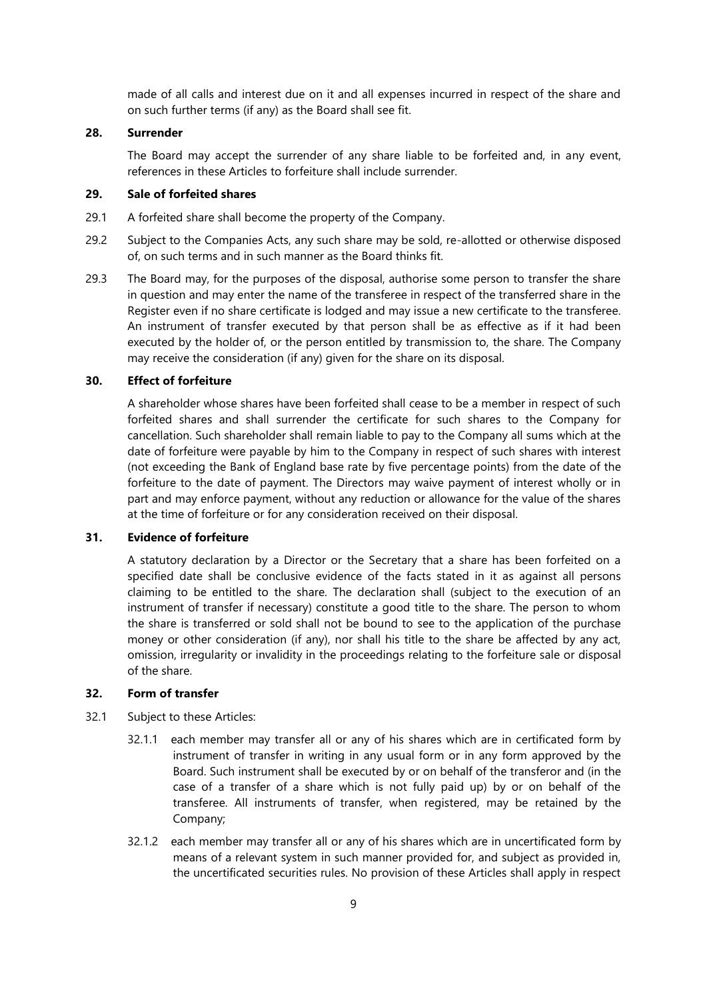made of all calls and interest due on it and all expenses incurred in respect of the share and on such further terms (if any) as the Board shall see fit.

## **28. Surrender**

The Board may accept the surrender of any share liable to be forfeited and, in any event, references in these Articles to forfeiture shall include surrender.

# **29. Sale of forfeited shares**

- 29.1 A forfeited share shall become the property of the Company.
- 29.2 Subject to the Companies Acts, any such share may be sold, re-allotted or otherwise disposed of, on such terms and in such manner as the Board thinks fit.
- 29.3 The Board may, for the purposes of the disposal, authorise some person to transfer the share in question and may enter the name of the transferee in respect of the transferred share in the Register even if no share certificate is lodged and may issue a new certificate to the transferee. An instrument of transfer executed by that person shall be as effective as if it had been executed by the holder of, or the person entitled by transmission to, the share. The Company may receive the consideration (if any) given for the share on its disposal.

#### **30. Effect of forfeiture**

A shareholder whose shares have been forfeited shall cease to be a member in respect of such forfeited shares and shall surrender the certificate for such shares to the Company for cancellation. Such shareholder shall remain liable to pay to the Company all sums which at the date of forfeiture were payable by him to the Company in respect of such shares with interest (not exceeding the Bank of England base rate by five percentage points) from the date of the forfeiture to the date of payment. The Directors may waive payment of interest wholly or in part and may enforce payment, without any reduction or allowance for the value of the shares at the time of forfeiture or for any consideration received on their disposal.

#### **31. Evidence of forfeiture**

A statutory declaration by a Director or the Secretary that a share has been forfeited on a specified date shall be conclusive evidence of the facts stated in it as against all persons claiming to be entitled to the share. The declaration shall (subject to the execution of an instrument of transfer if necessary) constitute a good title to the share. The person to whom the share is transferred or sold shall not be bound to see to the application of the purchase money or other consideration (if any), nor shall his title to the share be affected by any act, omission, irregularity or invalidity in the proceedings relating to the forfeiture sale or disposal of the share.

## **32. Form of transfer**

- 32.1 Subject to these Articles:
	- 32.1.1 each member may transfer all or any of his shares which are in certificated form by instrument of transfer in writing in any usual form or in any form approved by the Board. Such instrument shall be executed by or on behalf of the transferor and (in the case of a transfer of a share which is not fully paid up) by or on behalf of the transferee. All instruments of transfer, when registered, may be retained by the Company;
	- 32.1.2 each member may transfer all or any of his shares which are in uncertificated form by means of a relevant system in such manner provided for, and subject as provided in, the uncertificated securities rules. No provision of these Articles shall apply in respect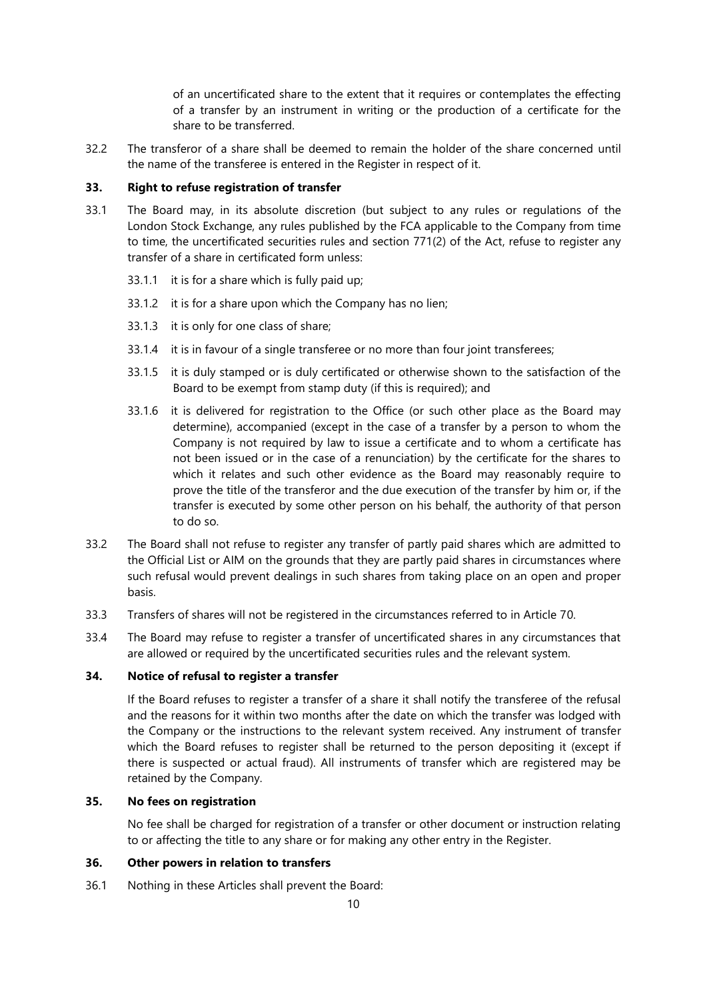of an uncertificated share to the extent that it requires or contemplates the effecting of a transfer by an instrument in writing or the production of a certificate for the share to be transferred.

32.2 The transferor of a share shall be deemed to remain the holder of the share concerned until the name of the transferee is entered in the Register in respect of it.

#### **33. Right to refuse registration of transfer**

- 33.1 The Board may, in its absolute discretion (but subject to any rules or regulations of the London Stock Exchange, any rules published by the FCA applicable to the Company from time to time, the uncertificated securities rules and section 771(2) of the Act, refuse to register any transfer of a share in certificated form unless:
	- 33.1.1 it is for a share which is fully paid up;
	- 33.1.2 it is for a share upon which the Company has no lien;
	- 33.1.3 it is only for one class of share;
	- 33.1.4 it is in favour of a single transferee or no more than four joint transferees;
	- 33.1.5 it is duly stamped or is duly certificated or otherwise shown to the satisfaction of the Board to be exempt from stamp duty (if this is required); and
	- 33.1.6 it is delivered for registration to the Office (or such other place as the Board may determine), accompanied (except in the case of a transfer by a person to whom the Company is not required by law to issue a certificate and to whom a certificate has not been issued or in the case of a renunciation) by the certificate for the shares to which it relates and such other evidence as the Board may reasonably require to prove the title of the transferor and the due execution of the transfer by him or, if the transfer is executed by some other person on his behalf, the authority of that person to do so.
- 33.2 The Board shall not refuse to register any transfer of partly paid shares which are admitted to the Official List or AIM on the grounds that they are partly paid shares in circumstances where such refusal would prevent dealings in such shares from taking place on an open and proper basis.
- 33.3 Transfers of shares will not be registered in the circumstances referred to in Article 70.
- 33.4 The Board may refuse to register a transfer of uncertificated shares in any circumstances that are allowed or required by the uncertificated securities rules and the relevant system.

### **34. Notice of refusal to register a transfer**

If the Board refuses to register a transfer of a share it shall notify the transferee of the refusal and the reasons for it within two months after the date on which the transfer was lodged with the Company or the instructions to the relevant system received. Any instrument of transfer which the Board refuses to register shall be returned to the person depositing it (except if there is suspected or actual fraud). All instruments of transfer which are registered may be retained by the Company.

# **35. No fees on registration**

No fee shall be charged for registration of a transfer or other document or instruction relating to or affecting the title to any share or for making any other entry in the Register.

# **36. Other powers in relation to transfers**

36.1 Nothing in these Articles shall prevent the Board: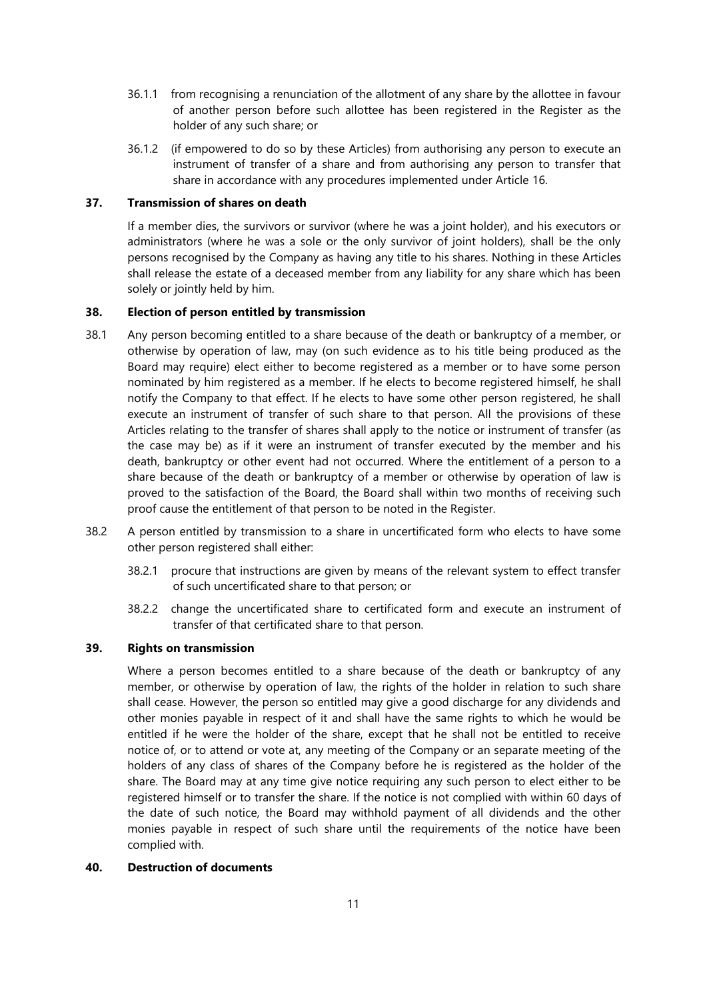- 36.1.1 from recognising a renunciation of the allotment of any share by the allottee in favour of another person before such allottee has been registered in the Register as the holder of any such share; or
- 36.1.2 (if empowered to do so by these Articles) from authorising any person to execute an instrument of transfer of a share and from authorising any person to transfer that share in accordance with any procedures implemented under Article [16.](#page-6-0)

## **37. Transmission of shares on death**

If a member dies, the survivors or survivor (where he was a joint holder), and his executors or administrators (where he was a sole or the only survivor of joint holders), shall be the only persons recognised by the Company as having any title to his shares. Nothing in these Articles shall release the estate of a deceased member from any liability for any share which has been solely or jointly held by him.

# **38. Election of person entitled by transmission**

- 38.1 Any person becoming entitled to a share because of the death or bankruptcy of a member, or otherwise by operation of law, may (on such evidence as to his title being produced as the Board may require) elect either to become registered as a member or to have some person nominated by him registered as a member. If he elects to become registered himself, he shall notify the Company to that effect. If he elects to have some other person registered, he shall execute an instrument of transfer of such share to that person. All the provisions of these Articles relating to the transfer of shares shall apply to the notice or instrument of transfer (as the case may be) as if it were an instrument of transfer executed by the member and his death, bankruptcy or other event had not occurred. Where the entitlement of a person to a share because of the death or bankruptcy of a member or otherwise by operation of law is proved to the satisfaction of the Board, the Board shall within two months of receiving such proof cause the entitlement of that person to be noted in the Register.
- 38.2 A person entitled by transmission to a share in uncertificated form who elects to have some other person registered shall either:
	- 38.2.1 procure that instructions are given by means of the relevant system to effect transfer of such uncertificated share to that person; or
	- 38.2.2 change the uncertificated share to certificated form and execute an instrument of transfer of that certificated share to that person.

# **39. Rights on transmission**

Where a person becomes entitled to a share because of the death or bankruptcy of any member, or otherwise by operation of law, the rights of the holder in relation to such share shall cease. However, the person so entitled may give a good discharge for any dividends and other monies payable in respect of it and shall have the same rights to which he would be entitled if he were the holder of the share, except that he shall not be entitled to receive notice of, or to attend or vote at, any meeting of the Company or an separate meeting of the holders of any class of shares of the Company before he is registered as the holder of the share. The Board may at any time give notice requiring any such person to elect either to be registered himself or to transfer the share. If the notice is not complied with within 60 days of the date of such notice, the Board may withhold payment of all dividends and the other monies payable in respect of such share until the requirements of the notice have been complied with.

## **40. Destruction of documents**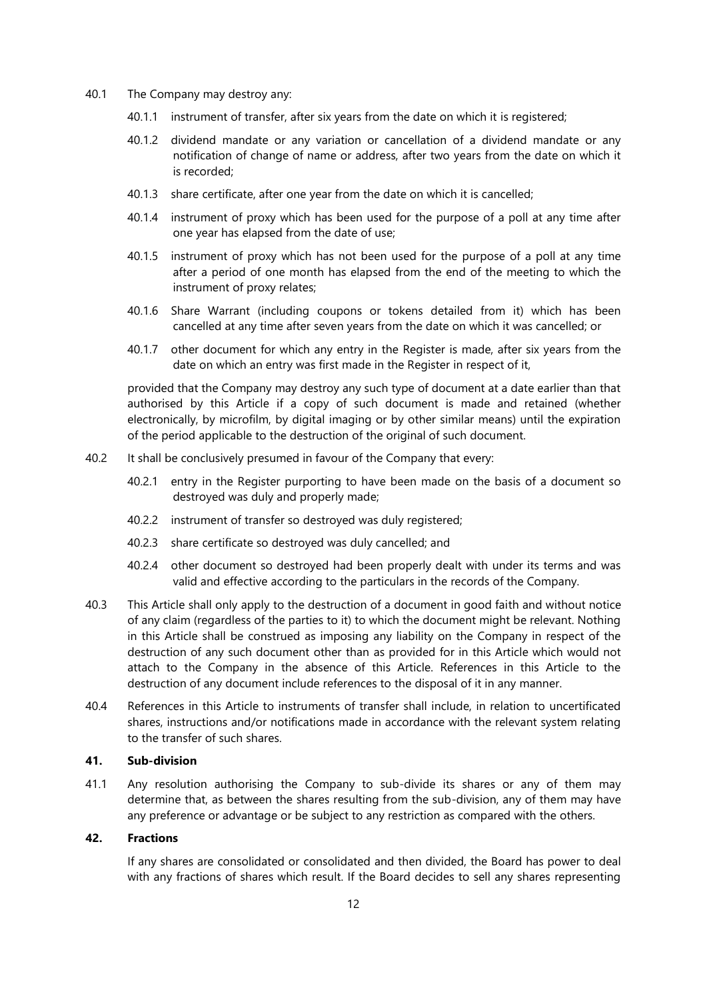- 40.1 The Company may destroy any:
	- 40.1.1 instrument of transfer, after six years from the date on which it is registered;
	- 40.1.2 dividend mandate or any variation or cancellation of a dividend mandate or any notification of change of name or address, after two years from the date on which it is recorded;
	- 40.1.3 share certificate, after one year from the date on which it is cancelled;
	- 40.1.4 instrument of proxy which has been used for the purpose of a poll at any time after one year has elapsed from the date of use;
	- 40.1.5 instrument of proxy which has not been used for the purpose of a poll at any time after a period of one month has elapsed from the end of the meeting to which the instrument of proxy relates;
	- 40.1.6 Share Warrant (including coupons or tokens detailed from it) which has been cancelled at any time after seven years from the date on which it was cancelled; or
	- 40.1.7 other document for which any entry in the Register is made, after six years from the date on which an entry was first made in the Register in respect of it,

provided that the Company may destroy any such type of document at a date earlier than that authorised by this Article if a copy of such document is made and retained (whether electronically, by microfilm, by digital imaging or by other similar means) until the expiration of the period applicable to the destruction of the original of such document.

- 40.2 It shall be conclusively presumed in favour of the Company that every:
	- 40.2.1 entry in the Register purporting to have been made on the basis of a document so destroyed was duly and properly made;
	- 40.2.2 instrument of transfer so destroyed was duly registered;
	- 40.2.3 share certificate so destroyed was duly cancelled; and
	- 40.2.4 other document so destroyed had been properly dealt with under its terms and was valid and effective according to the particulars in the records of the Company.
- 40.3 This Article shall only apply to the destruction of a document in good faith and without notice of any claim (regardless of the parties to it) to which the document might be relevant. Nothing in this Article shall be construed as imposing any liability on the Company in respect of the destruction of any such document other than as provided for in this Article which would not attach to the Company in the absence of this Article. References in this Article to the destruction of any document include references to the disposal of it in any manner.
- 40.4 References in this Article to instruments of transfer shall include, in relation to uncertificated shares, instructions and/or notifications made in accordance with the relevant system relating to the transfer of such shares.

## **41. Sub-division**

41.1 Any resolution authorising the Company to sub-divide its shares or any of them may determine that, as between the shares resulting from the sub-division, any of them may have any preference or advantage or be subject to any restriction as compared with the others.

## **42. Fractions**

If any shares are consolidated or consolidated and then divided, the Board has power to deal with any fractions of shares which result. If the Board decides to sell any shares representing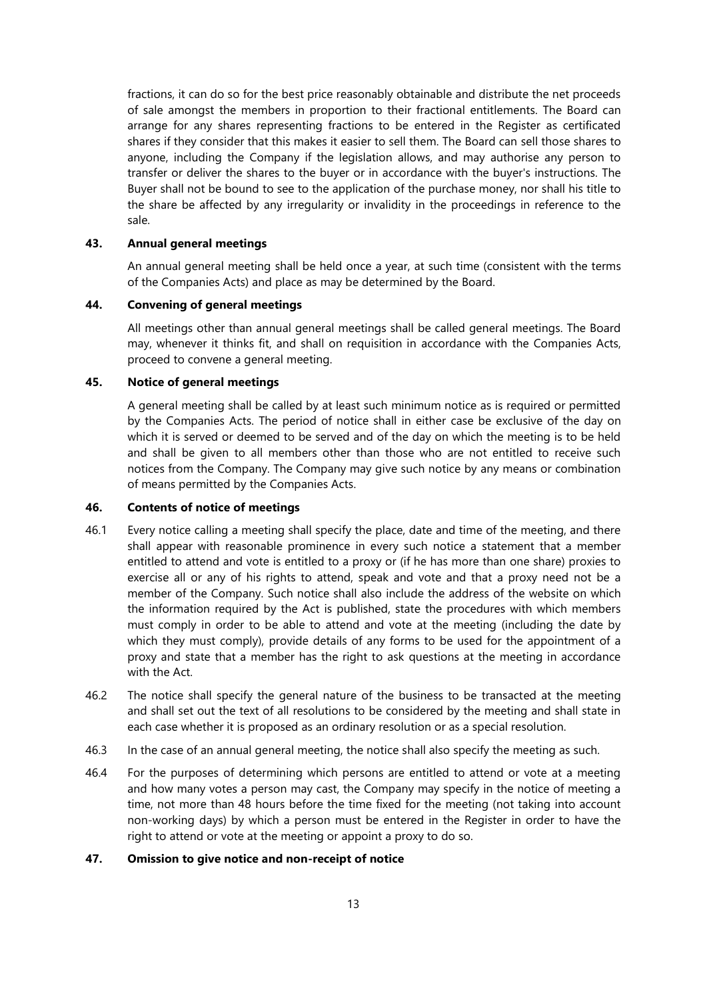fractions, it can do so for the best price reasonably obtainable and distribute the net proceeds of sale amongst the members in proportion to their fractional entitlements. The Board can arrange for any shares representing fractions to be entered in the Register as certificated shares if they consider that this makes it easier to sell them. The Board can sell those shares to anyone, including the Company if the legislation allows, and may authorise any person to transfer or deliver the shares to the buyer or in accordance with the buyer's instructions. The Buyer shall not be bound to see to the application of the purchase money, nor shall his title to the share be affected by any irregularity or invalidity in the proceedings in reference to the sale.

#### **43. Annual general meetings**

An annual general meeting shall be held once a year, at such time (consistent with the terms of the Companies Acts) and place as may be determined by the Board.

# **44. Convening of general meetings**

All meetings other than annual general meetings shall be called general meetings. The Board may, whenever it thinks fit, and shall on requisition in accordance with the Companies Acts, proceed to convene a general meeting.

# **45. Notice of general meetings**

A general meeting shall be called by at least such minimum notice as is required or permitted by the Companies Acts. The period of notice shall in either case be exclusive of the day on which it is served or deemed to be served and of the day on which the meeting is to be held and shall be given to all members other than those who are not entitled to receive such notices from the Company. The Company may give such notice by any means or combination of means permitted by the Companies Acts.

#### **46. Contents of notice of meetings**

- 46.1 Every notice calling a meeting shall specify the place, date and time of the meeting, and there shall appear with reasonable prominence in every such notice a statement that a member entitled to attend and vote is entitled to a proxy or (if he has more than one share) proxies to exercise all or any of his rights to attend, speak and vote and that a proxy need not be a member of the Company. Such notice shall also include the address of the website on which the information required by the Act is published, state the procedures with which members must comply in order to be able to attend and vote at the meeting (including the date by which they must comply), provide details of any forms to be used for the appointment of a proxy and state that a member has the right to ask questions at the meeting in accordance with the Act.
- 46.2 The notice shall specify the general nature of the business to be transacted at the meeting and shall set out the text of all resolutions to be considered by the meeting and shall state in each case whether it is proposed as an ordinary resolution or as a special resolution.
- 46.3 In the case of an annual general meeting, the notice shall also specify the meeting as such.
- 46.4 For the purposes of determining which persons are entitled to attend or vote at a meeting and how many votes a person may cast, the Company may specify in the notice of meeting a time, not more than 48 hours before the time fixed for the meeting (not taking into account non-working days) by which a person must be entered in the Register in order to have the right to attend or vote at the meeting or appoint a proxy to do so.

## **47. Omission to give notice and non-receipt of notice**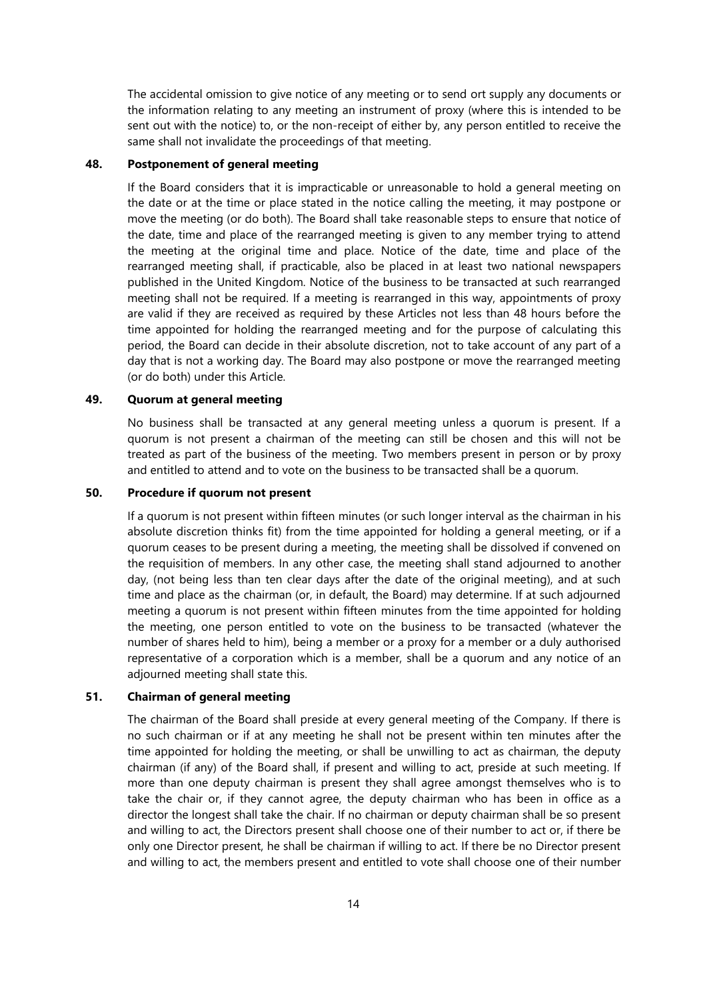The accidental omission to give notice of any meeting or to send ort supply any documents or the information relating to any meeting an instrument of proxy (where this is intended to be sent out with the notice) to, or the non-receipt of either by, any person entitled to receive the same shall not invalidate the proceedings of that meeting.

# **48. Postponement of general meeting**

If the Board considers that it is impracticable or unreasonable to hold a general meeting on the date or at the time or place stated in the notice calling the meeting, it may postpone or move the meeting (or do both). The Board shall take reasonable steps to ensure that notice of the date, time and place of the rearranged meeting is given to any member trying to attend the meeting at the original time and place. Notice of the date, time and place of the rearranged meeting shall, if practicable, also be placed in at least two national newspapers published in the United Kingdom. Notice of the business to be transacted at such rearranged meeting shall not be required. If a meeting is rearranged in this way, appointments of proxy are valid if they are received as required by these Articles not less than 48 hours before the time appointed for holding the rearranged meeting and for the purpose of calculating this period, the Board can decide in their absolute discretion, not to take account of any part of a day that is not a working day. The Board may also postpone or move the rearranged meeting (or do both) under this Article.

#### **49. Quorum at general meeting**

No business shall be transacted at any general meeting unless a quorum is present. If a quorum is not present a chairman of the meeting can still be chosen and this will not be treated as part of the business of the meeting. Two members present in person or by proxy and entitled to attend and to vote on the business to be transacted shall be a quorum.

## **50. Procedure if quorum not present**

If a quorum is not present within fifteen minutes (or such longer interval as the chairman in his absolute discretion thinks fit) from the time appointed for holding a general meeting, or if a quorum ceases to be present during a meeting, the meeting shall be dissolved if convened on the requisition of members. In any other case, the meeting shall stand adjourned to another day, (not being less than ten clear days after the date of the original meeting), and at such time and place as the chairman (or, in default, the Board) may determine. If at such adjourned meeting a quorum is not present within fifteen minutes from the time appointed for holding the meeting, one person entitled to vote on the business to be transacted (whatever the number of shares held to him), being a member or a proxy for a member or a duly authorised representative of a corporation which is a member, shall be a quorum and any notice of an adjourned meeting shall state this.

# **51. Chairman of general meeting**

The chairman of the Board shall preside at every general meeting of the Company. If there is no such chairman or if at any meeting he shall not be present within ten minutes after the time appointed for holding the meeting, or shall be unwilling to act as chairman, the deputy chairman (if any) of the Board shall, if present and willing to act, preside at such meeting. If more than one deputy chairman is present they shall agree amongst themselves who is to take the chair or, if they cannot agree, the deputy chairman who has been in office as a director the longest shall take the chair. If no chairman or deputy chairman shall be so present and willing to act, the Directors present shall choose one of their number to act or, if there be only one Director present, he shall be chairman if willing to act. If there be no Director present and willing to act, the members present and entitled to vote shall choose one of their number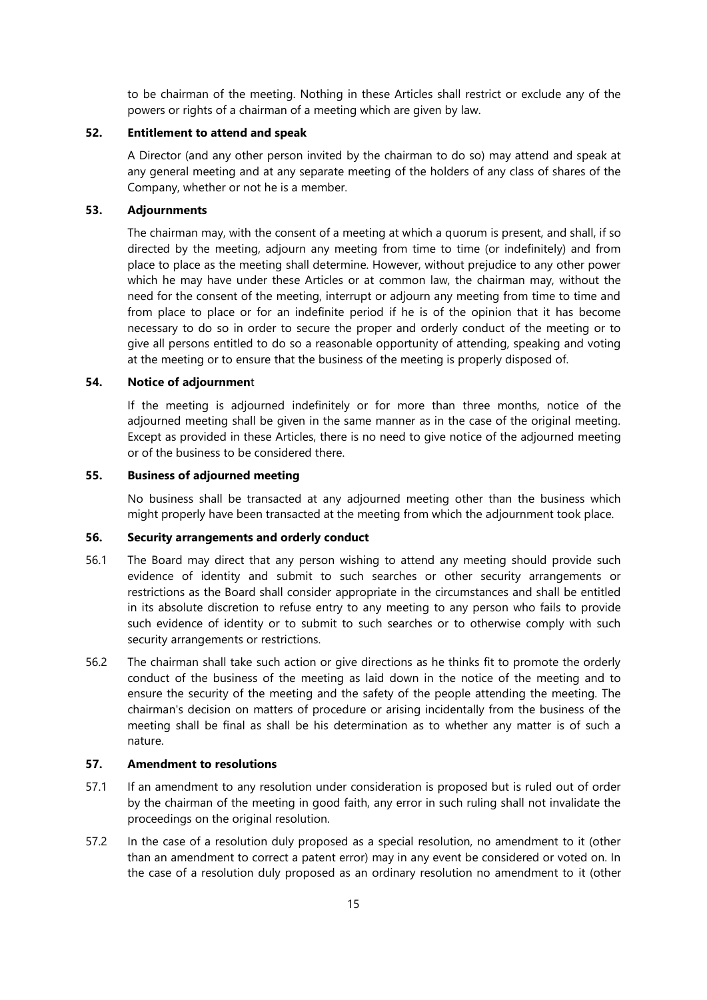to be chairman of the meeting. Nothing in these Articles shall restrict or exclude any of the powers or rights of a chairman of a meeting which are given by law.

## **52. Entitlement to attend and speak**

A Director (and any other person invited by the chairman to do so) may attend and speak at any general meeting and at any separate meeting of the holders of any class of shares of the Company, whether or not he is a member.

### **53. Adjournments**

The chairman may, with the consent of a meeting at which a quorum is present, and shall, if so directed by the meeting, adjourn any meeting from time to time (or indefinitely) and from place to place as the meeting shall determine. However, without prejudice to any other power which he may have under these Articles or at common law, the chairman may, without the need for the consent of the meeting, interrupt or adjourn any meeting from time to time and from place to place or for an indefinite period if he is of the opinion that it has become necessary to do so in order to secure the proper and orderly conduct of the meeting or to give all persons entitled to do so a reasonable opportunity of attending, speaking and voting at the meeting or to ensure that the business of the meeting is properly disposed of.

## **54. Notice of adjournmen**t

If the meeting is adjourned indefinitely or for more than three months, notice of the adjourned meeting shall be given in the same manner as in the case of the original meeting. Except as provided in these Articles, there is no need to give notice of the adjourned meeting or of the business to be considered there.

## **55. Business of adjourned meeting**

No business shall be transacted at any adjourned meeting other than the business which might properly have been transacted at the meeting from which the adjournment took place.

#### **56. Security arrangements and orderly conduct**

- 56.1 The Board may direct that any person wishing to attend any meeting should provide such evidence of identity and submit to such searches or other security arrangements or restrictions as the Board shall consider appropriate in the circumstances and shall be entitled in its absolute discretion to refuse entry to any meeting to any person who fails to provide such evidence of identity or to submit to such searches or to otherwise comply with such security arrangements or restrictions.
- 56.2 The chairman shall take such action or give directions as he thinks fit to promote the orderly conduct of the business of the meeting as laid down in the notice of the meeting and to ensure the security of the meeting and the safety of the people attending the meeting. The chairman's decision on matters of procedure or arising incidentally from the business of the meeting shall be final as shall be his determination as to whether any matter is of such a nature.

## **57. Amendment to resolutions**

- 57.1 If an amendment to any resolution under consideration is proposed but is ruled out of order by the chairman of the meeting in good faith, any error in such ruling shall not invalidate the proceedings on the original resolution.
- 57.2 In the case of a resolution duly proposed as a special resolution, no amendment to it (other than an amendment to correct a patent error) may in any event be considered or voted on. In the case of a resolution duly proposed as an ordinary resolution no amendment to it (other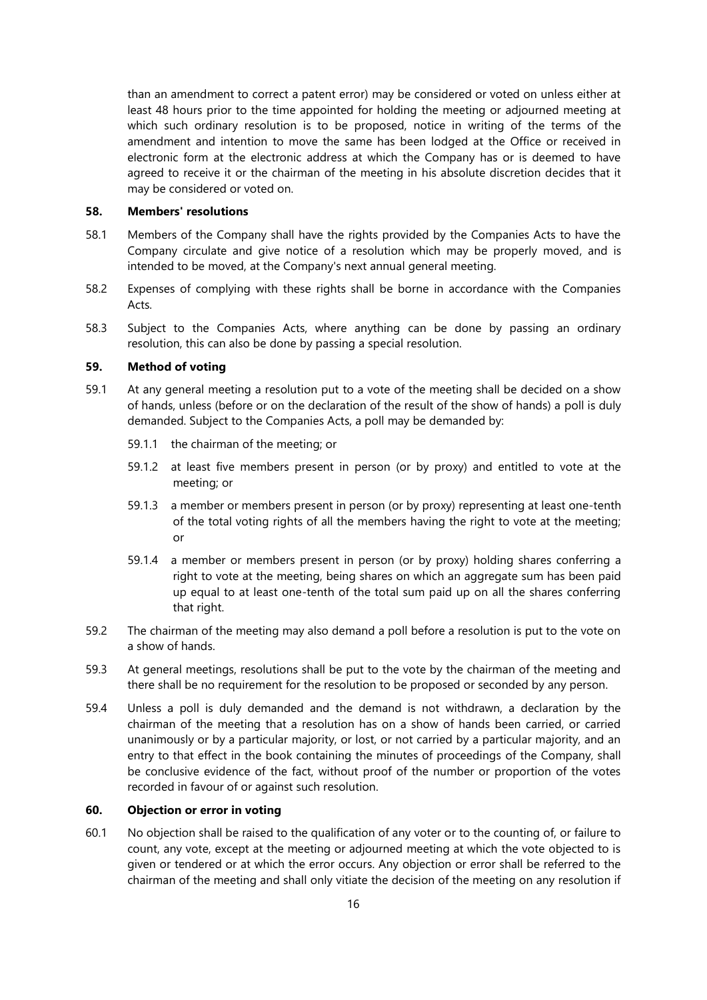than an amendment to correct a patent error) may be considered or voted on unless either at least 48 hours prior to the time appointed for holding the meeting or adjourned meeting at which such ordinary resolution is to be proposed, notice in writing of the terms of the amendment and intention to move the same has been lodged at the Office or received in electronic form at the electronic address at which the Company has or is deemed to have agreed to receive it or the chairman of the meeting in his absolute discretion decides that it may be considered or voted on.

#### **58. Members' resolutions**

- 58.1 Members of the Company shall have the rights provided by the Companies Acts to have the Company circulate and give notice of a resolution which may be properly moved, and is intended to be moved, at the Company's next annual general meeting.
- 58.2 Expenses of complying with these rights shall be borne in accordance with the Companies Acts.
- 58.3 Subject to the Companies Acts, where anything can be done by passing an ordinary resolution, this can also be done by passing a special resolution.

## **59. Method of voting**

- 59.1 At any general meeting a resolution put to a vote of the meeting shall be decided on a show of hands, unless (before or on the declaration of the result of the show of hands) a poll is duly demanded. Subject to the Companies Acts, a poll may be demanded by:
	- 59.1.1 the chairman of the meeting; or
	- 59.1.2 at least five members present in person (or by proxy) and entitled to vote at the meeting; or
	- 59.1.3 a member or members present in person (or by proxy) representing at least one-tenth of the total voting rights of all the members having the right to vote at the meeting; or
	- 59.1.4 a member or members present in person (or by proxy) holding shares conferring a right to vote at the meeting, being shares on which an aggregate sum has been paid up equal to at least one-tenth of the total sum paid up on all the shares conferring that right.
- 59.2 The chairman of the meeting may also demand a poll before a resolution is put to the vote on a show of hands.
- 59.3 At general meetings, resolutions shall be put to the vote by the chairman of the meeting and there shall be no requirement for the resolution to be proposed or seconded by any person.
- 59.4 Unless a poll is duly demanded and the demand is not withdrawn, a declaration by the chairman of the meeting that a resolution has on a show of hands been carried, or carried unanimously or by a particular majority, or lost, or not carried by a particular majority, and an entry to that effect in the book containing the minutes of proceedings of the Company, shall be conclusive evidence of the fact, without proof of the number or proportion of the votes recorded in favour of or against such resolution.

#### **60. Objection or error in voting**

60.1 No objection shall be raised to the qualification of any voter or to the counting of, or failure to count, any vote, except at the meeting or adjourned meeting at which the vote objected to is given or tendered or at which the error occurs. Any objection or error shall be referred to the chairman of the meeting and shall only vitiate the decision of the meeting on any resolution if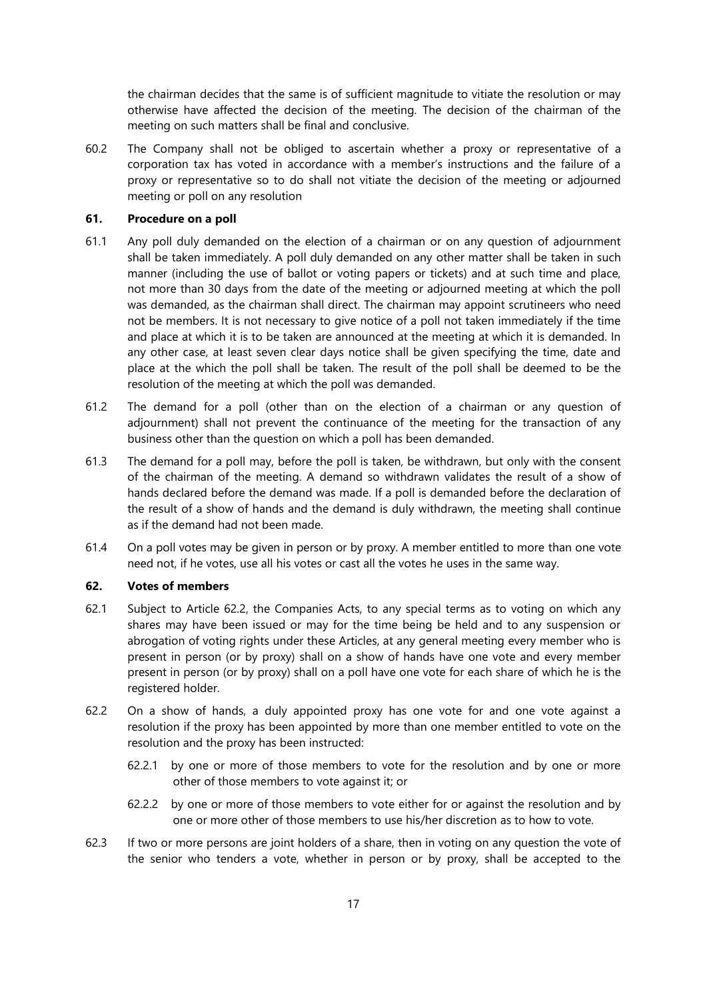the chairman decides that the same is of sufficient magnitude to vitiate the resolution or may otherwise have affected the decision of the meeting. The decision of the chairman of the meeting on such matters shall be final and conclusive.

60.2 The Company shall not be obliged to ascertain whether a proxy or representative of a corporation tax has voted in accordance with a member's instructions and the failure of a proxy or representative so to do shall not vitiate the decision of the meeting or adjourned meeting or poll on any resolution

## **61. Procedure on a poll**

- 61.1 Any poll duly demanded on the election of a chairman or on any question of adjournment shall be taken immediately. A poll duly demanded on any other matter shall be taken in such manner (including the use of ballot or voting papers or tickets) and at such time and place, not more than 30 days from the date of the meeting or adjourned meeting at which the poll was demanded, as the chairman shall direct. The chairman may appoint scrutineers who need not be members. It is not necessary to give notice of a poll not taken immediately if the time and place at which it is to be taken are announced at the meeting at which it is demanded. In any other case, at least seven clear days notice shall be given specifying the time, date and place at the which the poll shall be taken. The result of the poll shall be deemed to be the resolution of the meeting at which the poll was demanded.
- 61.2 The demand for a poll (other than on the election of a chairman or any question of adjournment) shall not prevent the continuance of the meeting for the transaction of any business other than the question on which a poll has been demanded.
- 61.3 The demand for a poll may, before the poll is taken, be withdrawn, but only with the consent of the chairman of the meeting. A demand so withdrawn validates the result of a show of hands declared before the demand was made. If a poll is demanded before the declaration of the result of a show of hands and the demand is duly withdrawn, the meeting shall continue as if the demand had not been made.
- 61.4 On a poll votes may be given in person or by proxy. A member entitled to more than one vote need not, if he votes, use all his votes or cast all the votes he uses in the same way.

### **62. Votes of members**

- 62.1 Subject to Article [62.2,](#page-17-0) the Companies Acts, to any special terms as to voting on which any shares may have been issued or may for the time being be held and to any suspension or abrogation of voting rights under these Articles, at any general meeting every member who is present in person (or by proxy) shall on a show of hands have one vote and every member present in person (or by proxy) shall on a poll have one vote for each share of which he is the registered holder.
- <span id="page-17-0"></span>62.2 On a show of hands, a duly appointed proxy has one vote for and one vote against a resolution if the proxy has been appointed by more than one member entitled to vote on the resolution and the proxy has been instructed:
	- 62.2.1 by one or more of those members to vote for the resolution and by one or more other of those members to vote against it; or
	- 62.2.2 by one or more of those members to vote either for or against the resolution and by one or more other of those members to use his/her discretion as to how to vote.
- 62.3 If two or more persons are joint holders of a share, then in voting on any question the vote of the senior who tenders a vote, whether in person or by proxy, shall be accepted to the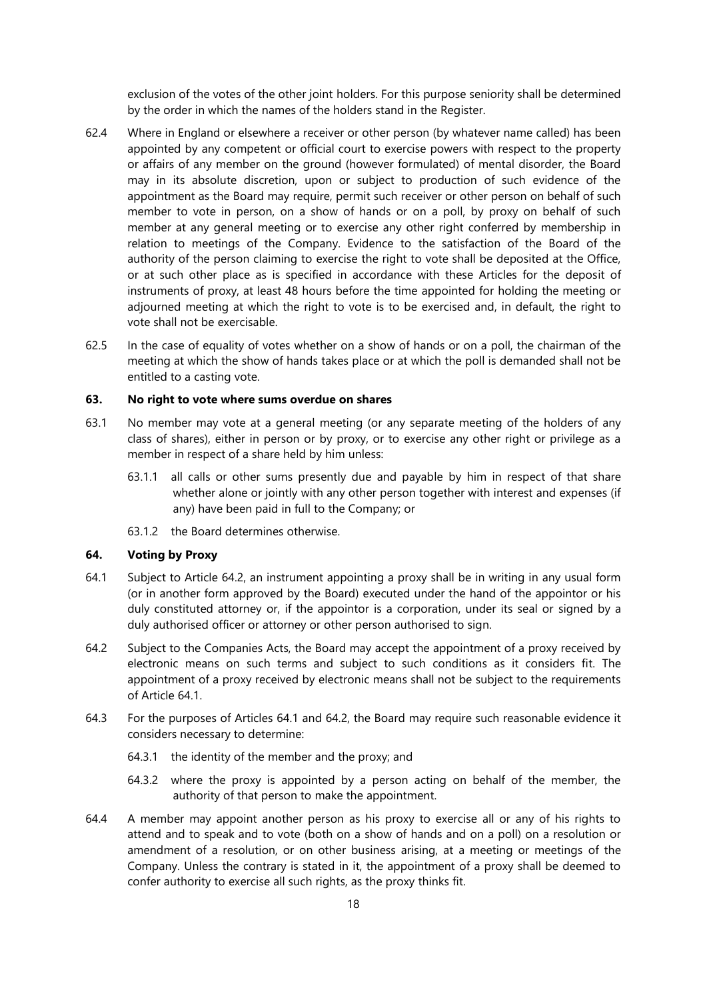exclusion of the votes of the other joint holders. For this purpose seniority shall be determined by the order in which the names of the holders stand in the Register.

- 62.4 Where in England or elsewhere a receiver or other person (by whatever name called) has been appointed by any competent or official court to exercise powers with respect to the property or affairs of any member on the ground (however formulated) of mental disorder, the Board may in its absolute discretion, upon or subject to production of such evidence of the appointment as the Board may require, permit such receiver or other person on behalf of such member to vote in person, on a show of hands or on a poll, by proxy on behalf of such member at any general meeting or to exercise any other right conferred by membership in relation to meetings of the Company. Evidence to the satisfaction of the Board of the authority of the person claiming to exercise the right to vote shall be deposited at the Office, or at such other place as is specified in accordance with these Articles for the deposit of instruments of proxy, at least 48 hours before the time appointed for holding the meeting or adjourned meeting at which the right to vote is to be exercised and, in default, the right to vote shall not be exercisable.
- 62.5 In the case of equality of votes whether on a show of hands or on a poll, the chairman of the meeting at which the show of hands takes place or at which the poll is demanded shall not be entitled to a casting vote.

### **63. No right to vote where sums overdue on shares**

- 63.1 No member may vote at a general meeting (or any separate meeting of the holders of any class of shares), either in person or by proxy, or to exercise any other right or privilege as a member in respect of a share held by him unless:
	- 63.1.1 all calls or other sums presently due and payable by him in respect of that share whether alone or jointly with any other person together with interest and expenses (if any) have been paid in full to the Company; or
	- 63.1.2 the Board determines otherwise.

## **64. Voting by Proxy**

- <span id="page-18-1"></span>64.1 Subject to Article [64.2,](#page-18-0) an instrument appointing a proxy shall be in writing in any usual form (or in another form approved by the Board) executed under the hand of the appointor or his duly constituted attorney or, if the appointor is a corporation, under its seal or signed by a duly authorised officer or attorney or other person authorised to sign.
- <span id="page-18-0"></span>64.2 Subject to the Companies Acts, the Board may accept the appointment of a proxy received by electronic means on such terms and subject to such conditions as it considers fit. The appointment of a proxy received by electronic means shall not be subject to the requirements of Article [64.1.](#page-18-1)
- <span id="page-18-2"></span>64.3 For the purposes of Articles [64.1](#page-18-1) and [64.2,](#page-18-0) the Board may require such reasonable evidence it considers necessary to determine:
	- 64.3.1 the identity of the member and the proxy; and
	- 64.3.2 where the proxy is appointed by a person acting on behalf of the member, the authority of that person to make the appointment.
- 64.4 A member may appoint another person as his proxy to exercise all or any of his rights to attend and to speak and to vote (both on a show of hands and on a poll) on a resolution or amendment of a resolution, or on other business arising, at a meeting or meetings of the Company. Unless the contrary is stated in it, the appointment of a proxy shall be deemed to confer authority to exercise all such rights, as the proxy thinks fit.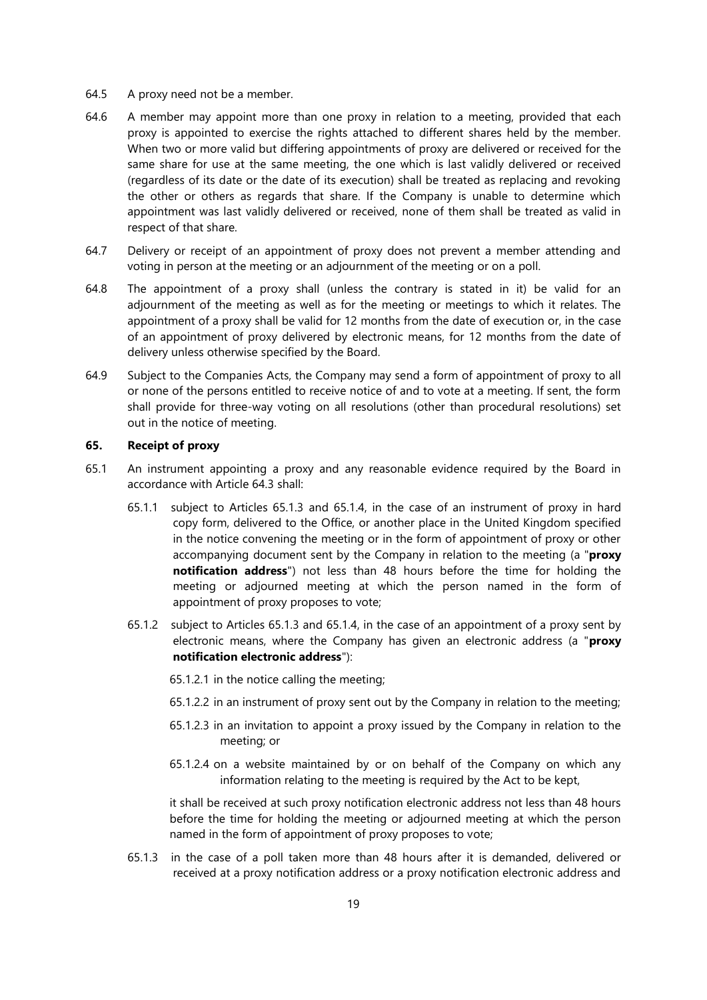- 64.5 A proxy need not be a member.
- 64.6 A member may appoint more than one proxy in relation to a meeting, provided that each proxy is appointed to exercise the rights attached to different shares held by the member. When two or more valid but differing appointments of proxy are delivered or received for the same share for use at the same meeting, the one which is last validly delivered or received (regardless of its date or the date of its execution) shall be treated as replacing and revoking the other or others as regards that share. If the Company is unable to determine which appointment was last validly delivered or received, none of them shall be treated as valid in respect of that share.
- 64.7 Delivery or receipt of an appointment of proxy does not prevent a member attending and voting in person at the meeting or an adjournment of the meeting or on a poll.
- 64.8 The appointment of a proxy shall (unless the contrary is stated in it) be valid for an adjournment of the meeting as well as for the meeting or meetings to which it relates. The appointment of a proxy shall be valid for 12 months from the date of execution or, in the case of an appointment of proxy delivered by electronic means, for 12 months from the date of delivery unless otherwise specified by the Board.
- 64.9 Subject to the Companies Acts, the Company may send a form of appointment of proxy to all or none of the persons entitled to receive notice of and to vote at a meeting. If sent, the form shall provide for three-way voting on all resolutions (other than procedural resolutions) set out in the notice of meeting.

#### **65. Receipt of proxy**

- <span id="page-19-3"></span><span id="page-19-2"></span><span id="page-19-1"></span>65.1 An instrument appointing a proxy and any reasonable evidence required by the Board in accordance with Article [64.3](#page-18-2) shall:
	- 65.1.1 subject to Articles [65.1.3](#page-19-0) and [65.1.4,](#page-20-0) in the case of an instrument of proxy in hard copy form, delivered to the Office, or another place in the United Kingdom specified in the notice convening the meeting or in the form of appointment of proxy or other accompanying document sent by the Company in relation to the meeting (a "**proxy notification address**") not less than 48 hours before the time for holding the meeting or adjourned meeting at which the person named in the form of appointment of proxy proposes to vote;
	- 65.1.2 subject to Articles [65.1.3](#page-19-0) and [65.1.4,](#page-20-0) in the case of an appointment of a proxy sent by electronic means, where the Company has given an electronic address (a "**proxy notification electronic address**"):
		- 65.1.2.1 in the notice calling the meeting;
		- 65.1.2.2 in an instrument of proxy sent out by the Company in relation to the meeting;
		- 65.1.2.3 in an invitation to appoint a proxy issued by the Company in relation to the meeting; or
		- 65.1.2.4 on a website maintained by or on behalf of the Company on which any information relating to the meeting is required by the Act to be kept,

it shall be received at such proxy notification electronic address not less than 48 hours before the time for holding the meeting or adjourned meeting at which the person named in the form of appointment of proxy proposes to vote;

<span id="page-19-0"></span>65.1.3 in the case of a poll taken more than 48 hours after it is demanded, delivered or received at a proxy notification address or a proxy notification electronic address and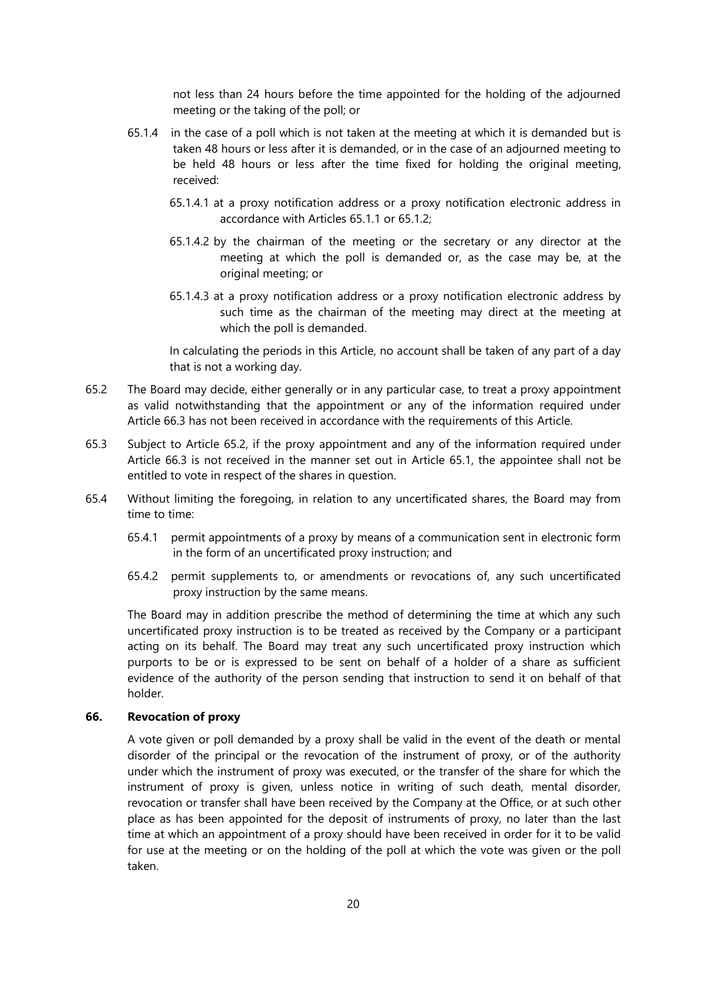not less than 24 hours before the time appointed for the holding of the adjourned meeting or the taking of the poll; or

- <span id="page-20-0"></span>65.1.4 in the case of a poll which is not taken at the meeting at which it is demanded but is taken 48 hours or less after it is demanded, or in the case of an adjourned meeting to be held 48 hours or less after the time fixed for holding the original meeting, received:
	- 65.1.4.1 at a proxy notification address or a proxy notification electronic address in accordance with Articles [65.1.1](#page-19-1) or [65.1.2;](#page-19-2)
	- 65.1.4.2 by the chairman of the meeting or the secretary or any director at the meeting at which the poll is demanded or, as the case may be, at the original meeting; or
	- 65.1.4.3 at a proxy notification address or a proxy notification electronic address by such time as the chairman of the meeting may direct at the meeting at which the poll is demanded.

In calculating the periods in this Article, no account shall be taken of any part of a day that is not a working day.

- <span id="page-20-1"></span>65.2 The Board may decide, either generally or in any particular case, to treat a proxy appointment as valid notwithstanding that the appointment or any of the information required under Article 66.3 has not been received in accordance with the requirements of this Article.
- 65.3 Subject to Article [65.2,](#page-20-1) if the proxy appointment and any of the information required under Article 66.3 is not received in the manner set out in Article [65.1,](#page-19-3) the appointee shall not be entitled to vote in respect of the shares in question.
- 65.4 Without limiting the foregoing, in relation to any uncertificated shares, the Board may from time to time:
	- 65.4.1 permit appointments of a proxy by means of a communication sent in electronic form in the form of an uncertificated proxy instruction; and
	- 65.4.2 permit supplements to, or amendments or revocations of, any such uncertificated proxy instruction by the same means.

The Board may in addition prescribe the method of determining the time at which any such uncertificated proxy instruction is to be treated as received by the Company or a participant acting on its behalf. The Board may treat any such uncertificated proxy instruction which purports to be or is expressed to be sent on behalf of a holder of a share as sufficient evidence of the authority of the person sending that instruction to send it on behalf of that holder.

## **66. Revocation of proxy**

A vote given or poll demanded by a proxy shall be valid in the event of the death or mental disorder of the principal or the revocation of the instrument of proxy, or of the authority under which the instrument of proxy was executed, or the transfer of the share for which the instrument of proxy is given, unless notice in writing of such death, mental disorder, revocation or transfer shall have been received by the Company at the Office, or at such other place as has been appointed for the deposit of instruments of proxy, no later than the last time at which an appointment of a proxy should have been received in order for it to be valid for use at the meeting or on the holding of the poll at which the vote was given or the poll taken.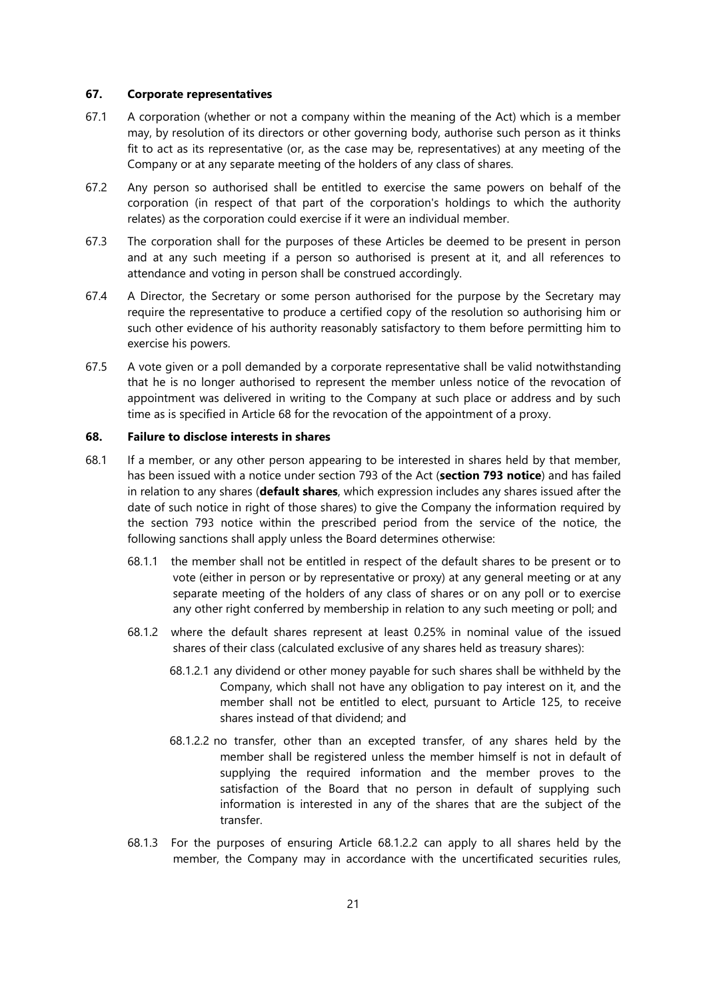#### **67. Corporate representatives**

- 67.1 A corporation (whether or not a company within the meaning of the Act) which is a member may, by resolution of its directors or other governing body, authorise such person as it thinks fit to act as its representative (or, as the case may be, representatives) at any meeting of the Company or at any separate meeting of the holders of any class of shares.
- 67.2 Any person so authorised shall be entitled to exercise the same powers on behalf of the corporation (in respect of that part of the corporation's holdings to which the authority relates) as the corporation could exercise if it were an individual member.
- 67.3 The corporation shall for the purposes of these Articles be deemed to be present in person and at any such meeting if a person so authorised is present at it, and all references to attendance and voting in person shall be construed accordingly.
- 67.4 A Director, the Secretary or some person authorised for the purpose by the Secretary may require the representative to produce a certified copy of the resolution so authorising him or such other evidence of his authority reasonably satisfactory to them before permitting him to exercise his powers.
- 67.5 A vote given or a poll demanded by a corporate representative shall be valid notwithstanding that he is no longer authorised to represent the member unless notice of the revocation of appointment was delivered in writing to the Company at such place or address and by such time as is specified in Article 68 for the revocation of the appointment of a proxy.

#### **68. Failure to disclose interests in shares**

- <span id="page-21-2"></span><span id="page-21-1"></span><span id="page-21-0"></span>68.1 If a member, or any other person appearing to be interested in shares held by that member, has been issued with a notice under section 793 of the Act (**section 793 notice**) and has failed in relation to any shares (**default shares**, which expression includes any shares issued after the date of such notice in right of those shares) to give the Company the information required by the section 793 notice within the prescribed period from the service of the notice, the following sanctions shall apply unless the Board determines otherwise:
	- 68.1.1 the member shall not be entitled in respect of the default shares to be present or to vote (either in person or by representative or proxy) at any general meeting or at any separate meeting of the holders of any class of shares or on any poll or to exercise any other right conferred by membership in relation to any such meeting or poll; and
	- 68.1.2 where the default shares represent at least 0.25% in nominal value of the issued shares of their class (calculated exclusive of any shares held as treasury shares):
		- 68.1.2.1 any dividend or other money payable for such shares shall be withheld by the Company, which shall not have any obligation to pay interest on it, and the member shall not be entitled to elect, pursuant to Article [125,](#page-40-0) to receive shares instead of that dividend; and
		- 68.1.2.2 no transfer, other than an excepted transfer, of any shares held by the member shall be registered unless the member himself is not in default of supplying the required information and the member proves to the satisfaction of the Board that no person in default of supplying such information is interested in any of the shares that are the subject of the transfer.
	- 68.1.3 For the purposes of ensuring Article [68.1.2.2](#page-21-0) can apply to all shares held by the member, the Company may in accordance with the uncertificated securities rules,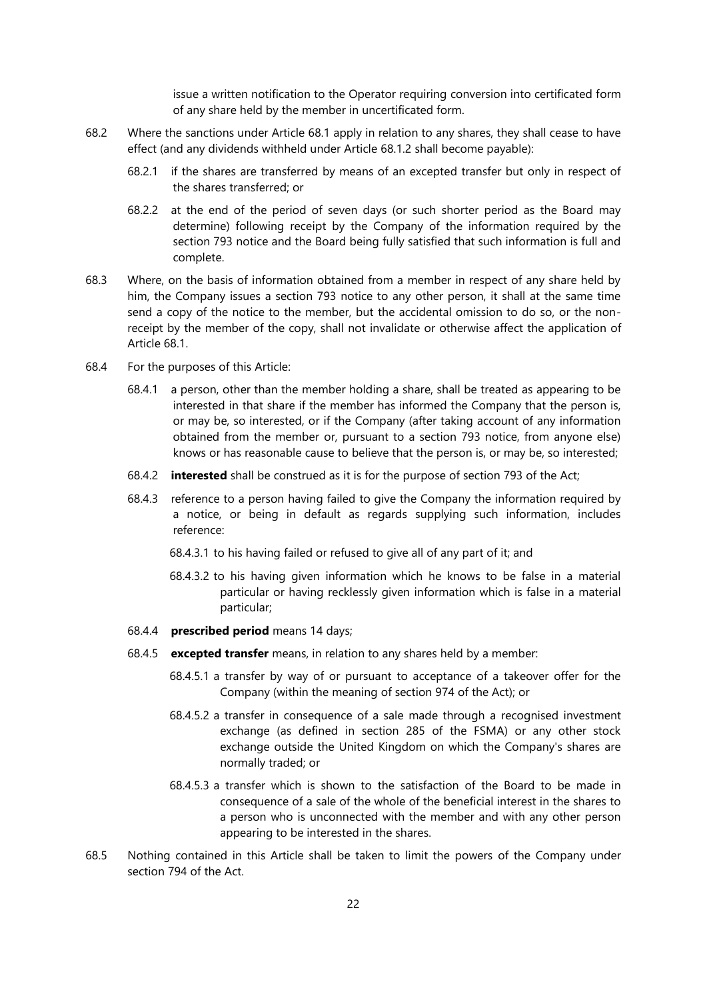issue a written notification to the Operator requiring conversion into certificated form of any share held by the member in uncertificated form.

- 68.2 Where the sanctions under Article [68.1](#page-21-1) apply in relation to any shares, they shall cease to have effect (and any dividends withheld under Article [68.1.2](#page-21-2) shall become payable):
	- 68.2.1 if the shares are transferred by means of an excepted transfer but only in respect of the shares transferred; or
	- 68.2.2 at the end of the period of seven days (or such shorter period as the Board may determine) following receipt by the Company of the information required by the section 793 notice and the Board being fully satisfied that such information is full and complete.
- 68.3 Where, on the basis of information obtained from a member in respect of any share held by him, the Company issues a section 793 notice to any other person, it shall at the same time send a copy of the notice to the member, but the accidental omission to do so, or the nonreceipt by the member of the copy, shall not invalidate or otherwise affect the application of Article [68.1.](#page-21-1)
- 68.4 For the purposes of this Article:
	- 68.4.1 a person, other than the member holding a share, shall be treated as appearing to be interested in that share if the member has informed the Company that the person is, or may be, so interested, or if the Company (after taking account of any information obtained from the member or, pursuant to a section 793 notice, from anyone else) knows or has reasonable cause to believe that the person is, or may be, so interested;
	- 68.4.2 **interested** shall be construed as it is for the purpose of section 793 of the Act;
	- 68.4.3 reference to a person having failed to give the Company the information required by a notice, or being in default as regards supplying such information, includes reference:
		- 68.4.3.1 to his having failed or refused to give all of any part of it; and
		- 68.4.3.2 to his having given information which he knows to be false in a material particular or having recklessly given information which is false in a material particular;
	- 68.4.4 **prescribed period** means 14 days;
	- 68.4.5 **excepted transfer** means, in relation to any shares held by a member:
		- 68.4.5.1 a transfer by way of or pursuant to acceptance of a takeover offer for the Company (within the meaning of section 974 of the Act); or
		- 68.4.5.2 a transfer in consequence of a sale made through a recognised investment exchange (as defined in section 285 of the FSMA) or any other stock exchange outside the United Kingdom on which the Company's shares are normally traded; or
		- 68.4.5.3 a transfer which is shown to the satisfaction of the Board to be made in consequence of a sale of the whole of the beneficial interest in the shares to a person who is unconnected with the member and with any other person appearing to be interested in the shares.
- 68.5 Nothing contained in this Article shall be taken to limit the powers of the Company under section 794 of the Act.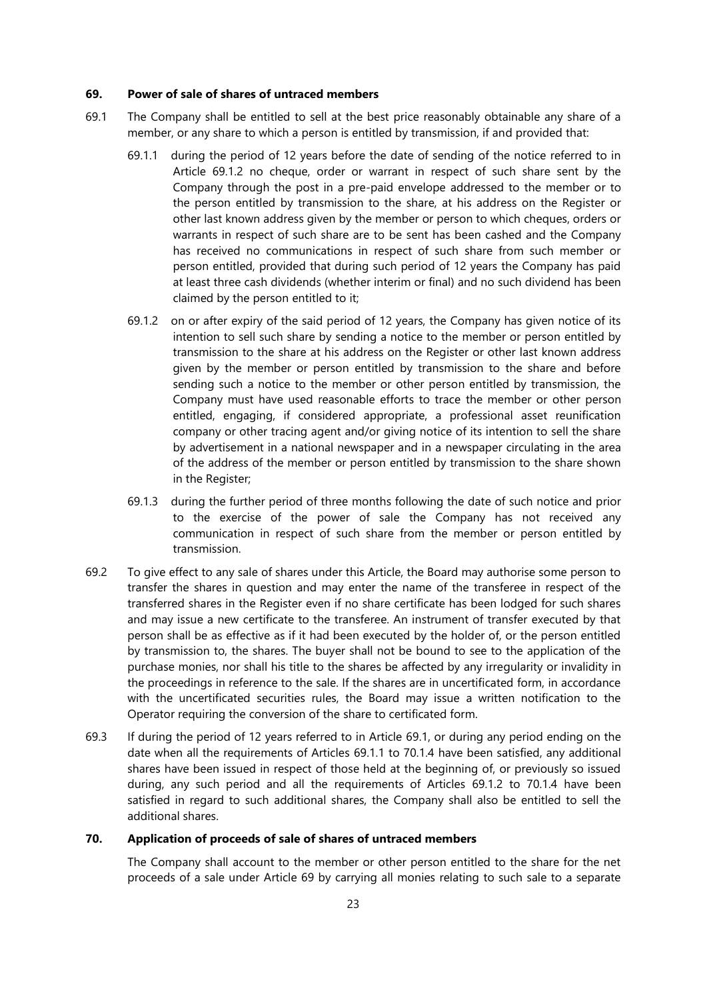#### <span id="page-23-3"></span>**69. Power of sale of shares of untraced members**

- <span id="page-23-2"></span><span id="page-23-1"></span><span id="page-23-0"></span>69.1 The Company shall be entitled to sell at the best price reasonably obtainable any share of a member, or any share to which a person is entitled by transmission, if and provided that:
	- 69.1.1 during the period of 12 years before the date of sending of the notice referred to in Article [69.1.2](#page-23-0) no cheque, order or warrant in respect of such share sent by the Company through the post in a pre-paid envelope addressed to the member or to the person entitled by transmission to the share, at his address on the Register or other last known address given by the member or person to which cheques, orders or warrants in respect of such share are to be sent has been cashed and the Company has received no communications in respect of such share from such member or person entitled, provided that during such period of 12 years the Company has paid at least three cash dividends (whether interim or final) and no such dividend has been claimed by the person entitled to it;
	- 69.1.2 on or after expiry of the said period of 12 years, the Company has given notice of its intention to sell such share by sending a notice to the member or person entitled by transmission to the share at his address on the Register or other last known address given by the member or person entitled by transmission to the share and before sending such a notice to the member or other person entitled by transmission, the Company must have used reasonable efforts to trace the member or other person entitled, engaging, if considered appropriate, a professional asset reunification company or other tracing agent and/or giving notice of its intention to sell the share by advertisement in a national newspaper and in a newspaper circulating in the area of the address of the member or person entitled by transmission to the share shown in the Register;
	- 69.1.3 during the further period of three months following the date of such notice and prior to the exercise of the power of sale the Company has not received any communication in respect of such share from the member or person entitled by transmission.
- 69.2 To give effect to any sale of shares under this Article, the Board may authorise some person to transfer the shares in question and may enter the name of the transferee in respect of the transferred shares in the Register even if no share certificate has been lodged for such shares and may issue a new certificate to the transferee. An instrument of transfer executed by that person shall be as effective as if it had been executed by the holder of, or the person entitled by transmission to, the shares. The buyer shall not be bound to see to the application of the purchase monies, nor shall his title to the shares be affected by any irregularity or invalidity in the proceedings in reference to the sale. If the shares are in uncertificated form, in accordance with the uncertificated securities rules, the Board may issue a written notification to the Operator requiring the conversion of the share to certificated form.
- 69.3 If during the period of 12 years referred to in Article [69.1,](#page-23-1) or during any period ending on the date when all the requirements of Articles [69.1.1](#page-23-2) to 70.1.4 have been satisfied, any additional shares have been issued in respect of those held at the beginning of, or previously so issued during, any such period and all the requirements of Articles [69.1.2](#page-23-0) to 70.1.4 have been satisfied in regard to such additional shares, the Company shall also be entitled to sell the additional shares.

## **70. Application of proceeds of sale of shares of untraced members**

The Company shall account to the member or other person entitled to the share for the net proceeds of a sale under Article [69](#page-23-3) by carrying all monies relating to such sale to a separate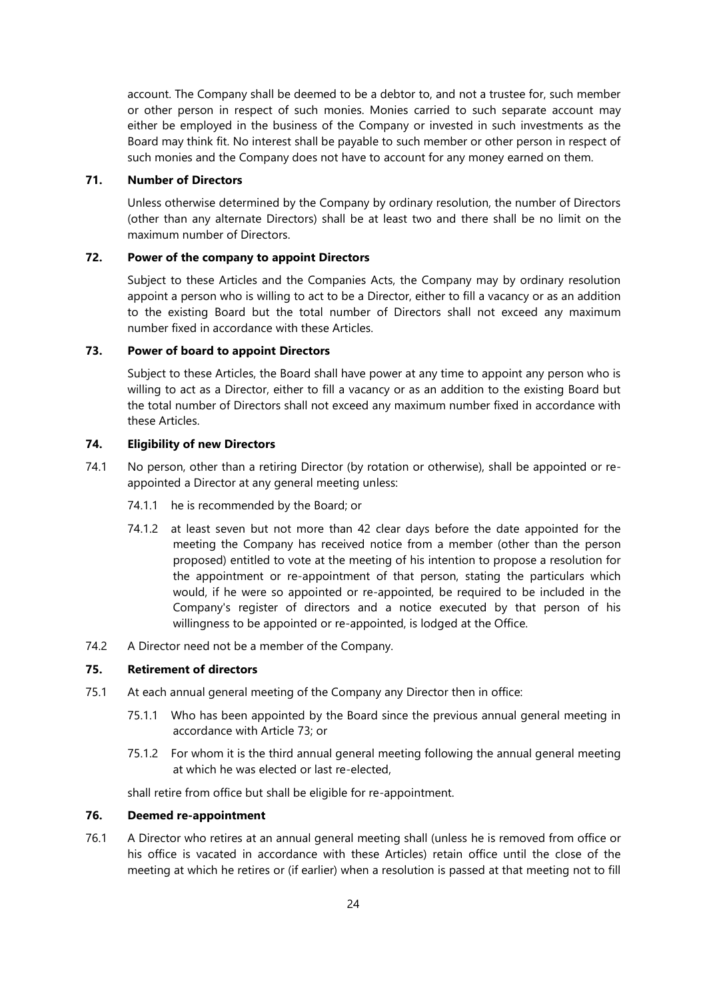account. The Company shall be deemed to be a debtor to, and not a trustee for, such member or other person in respect of such monies. Monies carried to such separate account may either be employed in the business of the Company or invested in such investments as the Board may think fit. No interest shall be payable to such member or other person in respect of such monies and the Company does not have to account for any money earned on them.

# <span id="page-24-1"></span>**71. Number of Directors**

Unless otherwise determined by the Company by ordinary resolution, the number of Directors (other than any alternate Directors) shall be at least two and there shall be no limit on the maximum number of Directors.

## **72. Power of the company to appoint Directors**

Subject to these Articles and the Companies Acts, the Company may by ordinary resolution appoint a person who is willing to act to be a Director, either to fill a vacancy or as an addition to the existing Board but the total number of Directors shall not exceed any maximum number fixed in accordance with these Articles.

# <span id="page-24-0"></span>**73. Power of board to appoint Directors**

Subject to these Articles, the Board shall have power at any time to appoint any person who is willing to act as a Director, either to fill a vacancy or as an addition to the existing Board but the total number of Directors shall not exceed any maximum number fixed in accordance with these Articles.

### **74. Eligibility of new Directors**

- 74.1 No person, other than a retiring Director (by rotation or otherwise), shall be appointed or reappointed a Director at any general meeting unless:
	- 74.1.1 he is recommended by the Board; or
	- 74.1.2 at least seven but not more than 42 clear days before the date appointed for the meeting the Company has received notice from a member (other than the person proposed) entitled to vote at the meeting of his intention to propose a resolution for the appointment or re-appointment of that person, stating the particulars which would, if he were so appointed or re-appointed, be required to be included in the Company's register of directors and a notice executed by that person of his willingness to be appointed or re-appointed, is lodged at the Office.
- 74.2 A Director need not be a member of the Company.

# **75. Retirement of directors**

- 75.1 At each annual general meeting of the Company any Director then in office:
	- 75.1.1 Who has been appointed by the Board since the previous annual general meeting in accordance with Article [73;](#page-24-0) or
	- 75.1.2 For whom it is the third annual general meeting following the annual general meeting at which he was elected or last re-elected,

shall retire from office but shall be eligible for re-appointment.

# **76. Deemed re-appointment**

76.1 A Director who retires at an annual general meeting shall (unless he is removed from office or his office is vacated in accordance with these Articles) retain office until the close of the meeting at which he retires or (if earlier) when a resolution is passed at that meeting not to fill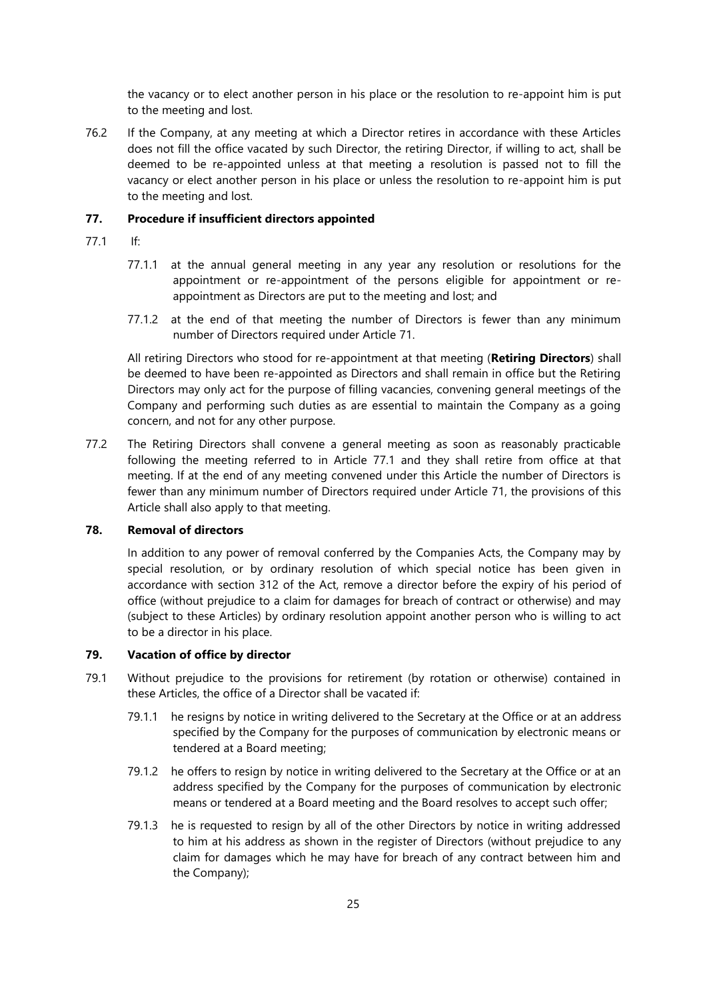the vacancy or to elect another person in his place or the resolution to re-appoint him is put to the meeting and lost.

76.2 If the Company, at any meeting at which a Director retires in accordance with these Articles does not fill the office vacated by such Director, the retiring Director, if willing to act, shall be deemed to be re-appointed unless at that meeting a resolution is passed not to fill the vacancy or elect another person in his place or unless the resolution to re-appoint him is put to the meeting and lost.

## **77. Procedure if insufficient directors appointed**

- <span id="page-25-0"></span>77.1 If:
	- 77.1.1 at the annual general meeting in any year any resolution or resolutions for the appointment or re-appointment of the persons eligible for appointment or reappointment as Directors are put to the meeting and lost; and
	- 77.1.2 at the end of that meeting the number of Directors is fewer than any minimum number of Directors required under Article [71.](#page-24-1)

All retiring Directors who stood for re-appointment at that meeting (**Retiring Directors**) shall be deemed to have been re-appointed as Directors and shall remain in office but the Retiring Directors may only act for the purpose of filling vacancies, convening general meetings of the Company and performing such duties as are essential to maintain the Company as a going concern, and not for any other purpose.

77.2 The Retiring Directors shall convene a general meeting as soon as reasonably practicable following the meeting referred to in Article [77.1](#page-25-0) and they shall retire from office at that meeting. If at the end of any meeting convened under this Article the number of Directors is fewer than any minimum number of Directors required under Article [71,](#page-24-1) the provisions of this Article shall also apply to that meeting.

### **78. Removal of directors**

In addition to any power of removal conferred by the Companies Acts, the Company may by special resolution, or by ordinary resolution of which special notice has been given in accordance with section 312 of the Act, remove a director before the expiry of his period of office (without prejudice to a claim for damages for breach of contract or otherwise) and may (subject to these Articles) by ordinary resolution appoint another person who is willing to act to be a director in his place.

### <span id="page-25-1"></span>**79. Vacation of office by director**

- 79.1 Without prejudice to the provisions for retirement (by rotation or otherwise) contained in these Articles, the office of a Director shall be vacated if:
	- 79.1.1 he resigns by notice in writing delivered to the Secretary at the Office or at an address specified by the Company for the purposes of communication by electronic means or tendered at a Board meeting;
	- 79.1.2 he offers to resign by notice in writing delivered to the Secretary at the Office or at an address specified by the Company for the purposes of communication by electronic means or tendered at a Board meeting and the Board resolves to accept such offer;
	- 79.1.3 he is requested to resign by all of the other Directors by notice in writing addressed to him at his address as shown in the register of Directors (without prejudice to any claim for damages which he may have for breach of any contract between him and the Company);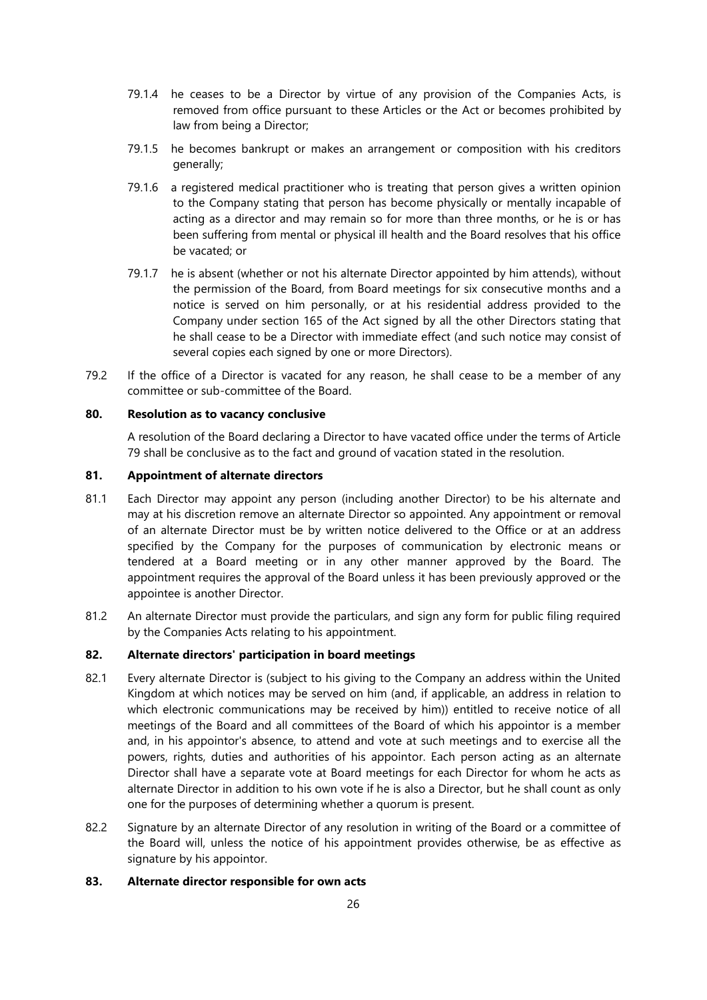- 79.1.4 he ceases to be a Director by virtue of any provision of the Companies Acts, is removed from office pursuant to these Articles or the Act or becomes prohibited by law from being a Director;
- 79.1.5 he becomes bankrupt or makes an arrangement or composition with his creditors generally;
- 79.1.6 a registered medical practitioner who is treating that person gives a written opinion to the Company stating that person has become physically or mentally incapable of acting as a director and may remain so for more than three months, or he is or has been suffering from mental or physical ill health and the Board resolves that his office be vacated; or
- 79.1.7 he is absent (whether or not his alternate Director appointed by him attends), without the permission of the Board, from Board meetings for six consecutive months and a notice is served on him personally, or at his residential address provided to the Company under section 165 of the Act signed by all the other Directors stating that he shall cease to be a Director with immediate effect (and such notice may consist of several copies each signed by one or more Directors).
- 79.2 If the office of a Director is vacated for any reason, he shall cease to be a member of any committee or sub-committee of the Board.

# **80. Resolution as to vacancy conclusive**

A resolution of the Board declaring a Director to have vacated office under the terms of Article [79](#page-25-1) shall be conclusive as to the fact and ground of vacation stated in the resolution.

# **81. Appointment of alternate directors**

- 81.1 Each Director may appoint any person (including another Director) to be his alternate and may at his discretion remove an alternate Director so appointed. Any appointment or removal of an alternate Director must be by written notice delivered to the Office or at an address specified by the Company for the purposes of communication by electronic means or tendered at a Board meeting or in any other manner approved by the Board. The appointment requires the approval of the Board unless it has been previously approved or the appointee is another Director.
- 81.2 An alternate Director must provide the particulars, and sign any form for public filing required by the Companies Acts relating to his appointment.

### **82. Alternate directors' participation in board meetings**

- 82.1 Every alternate Director is (subject to his giving to the Company an address within the United Kingdom at which notices may be served on him (and, if applicable, an address in relation to which electronic communications may be received by him)) entitled to receive notice of all meetings of the Board and all committees of the Board of which his appointor is a member and, in his appointor's absence, to attend and vote at such meetings and to exercise all the powers, rights, duties and authorities of his appointor. Each person acting as an alternate Director shall have a separate vote at Board meetings for each Director for whom he acts as alternate Director in addition to his own vote if he is also a Director, but he shall count as only one for the purposes of determining whether a quorum is present.
- 82.2 Signature by an alternate Director of any resolution in writing of the Board or a committee of the Board will, unless the notice of his appointment provides otherwise, be as effective as signature by his appointor.

# **83. Alternate director responsible for own acts**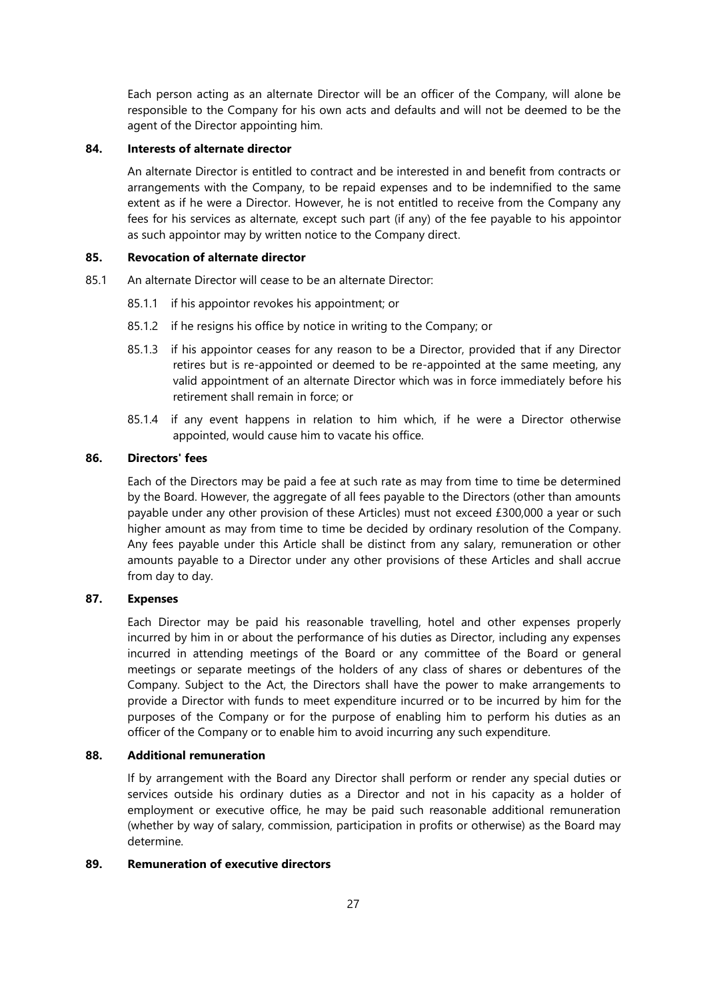Each person acting as an alternate Director will be an officer of the Company, will alone be responsible to the Company for his own acts and defaults and will not be deemed to be the agent of the Director appointing him.

# **84. Interests of alternate director**

An alternate Director is entitled to contract and be interested in and benefit from contracts or arrangements with the Company, to be repaid expenses and to be indemnified to the same extent as if he were a Director. However, he is not entitled to receive from the Company any fees for his services as alternate, except such part (if any) of the fee payable to his appointor as such appointor may by written notice to the Company direct.

## **85. Revocation of alternate director**

- 85.1 An alternate Director will cease to be an alternate Director:
	- 85.1.1 if his appointor revokes his appointment; or
	- 85.1.2 if he resigns his office by notice in writing to the Company; or
	- 85.1.3 if his appointor ceases for any reason to be a Director, provided that if any Director retires but is re-appointed or deemed to be re-appointed at the same meeting, any valid appointment of an alternate Director which was in force immediately before his retirement shall remain in force; or
	- 85.1.4 if any event happens in relation to him which, if he were a Director otherwise appointed, would cause him to vacate his office.

#### **86. Directors' fees**

Each of the Directors may be paid a fee at such rate as may from time to time be determined by the Board. However, the aggregate of all fees payable to the Directors (other than amounts payable under any other provision of these Articles) must not exceed £300,000 a year or such higher amount as may from time to time be decided by ordinary resolution of the Company. Any fees payable under this Article shall be distinct from any salary, remuneration or other amounts payable to a Director under any other provisions of these Articles and shall accrue from day to day.

## **87. Expenses**

Each Director may be paid his reasonable travelling, hotel and other expenses properly incurred by him in or about the performance of his duties as Director, including any expenses incurred in attending meetings of the Board or any committee of the Board or general meetings or separate meetings of the holders of any class of shares or debentures of the Company. Subject to the Act, the Directors shall have the power to make arrangements to provide a Director with funds to meet expenditure incurred or to be incurred by him for the purposes of the Company or for the purpose of enabling him to perform his duties as an officer of the Company or to enable him to avoid incurring any such expenditure.

## **88. Additional remuneration**

If by arrangement with the Board any Director shall perform or render any special duties or services outside his ordinary duties as a Director and not in his capacity as a holder of employment or executive office, he may be paid such reasonable additional remuneration (whether by way of salary, commission, participation in profits or otherwise) as the Board may determine.

## **89. Remuneration of executive directors**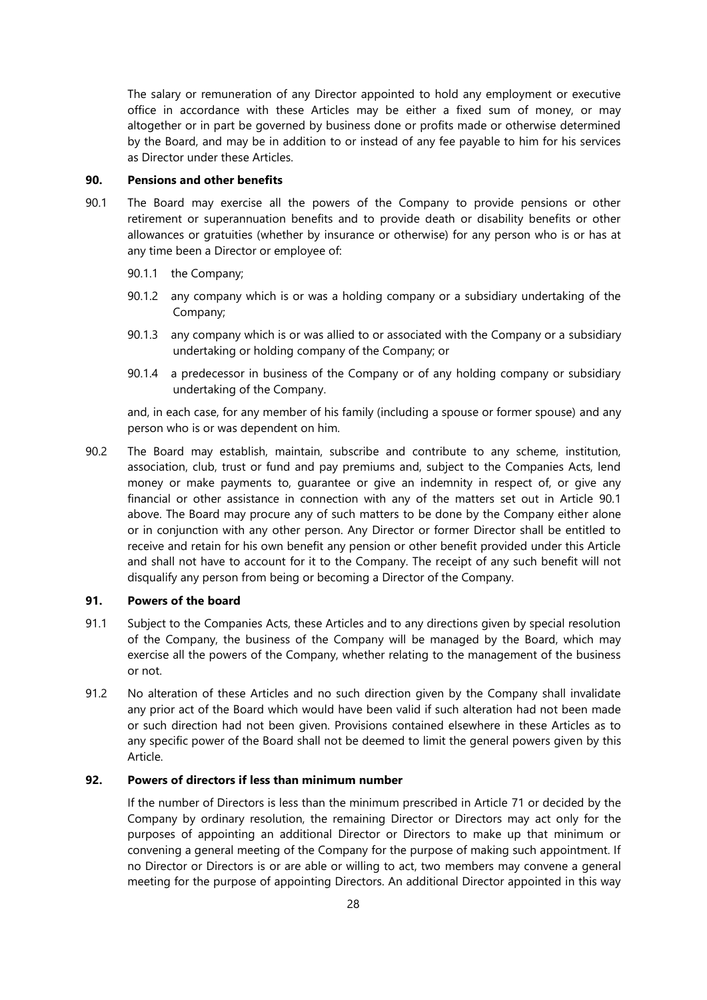The salary or remuneration of any Director appointed to hold any employment or executive office in accordance with these Articles may be either a fixed sum of money, or may altogether or in part be governed by business done or profits made or otherwise determined by the Board, and may be in addition to or instead of any fee payable to him for his services as Director under these Articles.

## **90. Pensions and other benefits**

- <span id="page-28-0"></span>90.1 The Board may exercise all the powers of the Company to provide pensions or other retirement or superannuation benefits and to provide death or disability benefits or other allowances or gratuities (whether by insurance or otherwise) for any person who is or has at any time been a Director or employee of:
	- 90.1.1 the Company;
	- 90.1.2 any company which is or was a holding company or a subsidiary undertaking of the Company;
	- 90.1.3 any company which is or was allied to or associated with the Company or a subsidiary undertaking or holding company of the Company; or
	- 90.1.4 a predecessor in business of the Company or of any holding company or subsidiary undertaking of the Company.

and, in each case, for any member of his family (including a spouse or former spouse) and any person who is or was dependent on him.

90.2 The Board may establish, maintain, subscribe and contribute to any scheme, institution, association, club, trust or fund and pay premiums and, subject to the Companies Acts, lend money or make payments to, guarantee or give an indemnity in respect of, or give any financial or other assistance in connection with any of the matters set out in Article [90.1](#page-28-0) above. The Board may procure any of such matters to be done by the Company either alone or in conjunction with any other person. Any Director or former Director shall be entitled to receive and retain for his own benefit any pension or other benefit provided under this Article and shall not have to account for it to the Company. The receipt of any such benefit will not disqualify any person from being or becoming a Director of the Company.

#### **91. Powers of the board**

- 91.1 Subject to the Companies Acts, these Articles and to any directions given by special resolution of the Company, the business of the Company will be managed by the Board, which may exercise all the powers of the Company, whether relating to the management of the business or not.
- 91.2 No alteration of these Articles and no such direction given by the Company shall invalidate any prior act of the Board which would have been valid if such alteration had not been made or such direction had not been given. Provisions contained elsewhere in these Articles as to any specific power of the Board shall not be deemed to limit the general powers given by this Article.

## **92. Powers of directors if less than minimum number**

If the number of Directors is less than the minimum prescribed in Article [71](#page-24-1) or decided by the Company by ordinary resolution, the remaining Director or Directors may act only for the purposes of appointing an additional Director or Directors to make up that minimum or convening a general meeting of the Company for the purpose of making such appointment. If no Director or Directors is or are able or willing to act, two members may convene a general meeting for the purpose of appointing Directors. An additional Director appointed in this way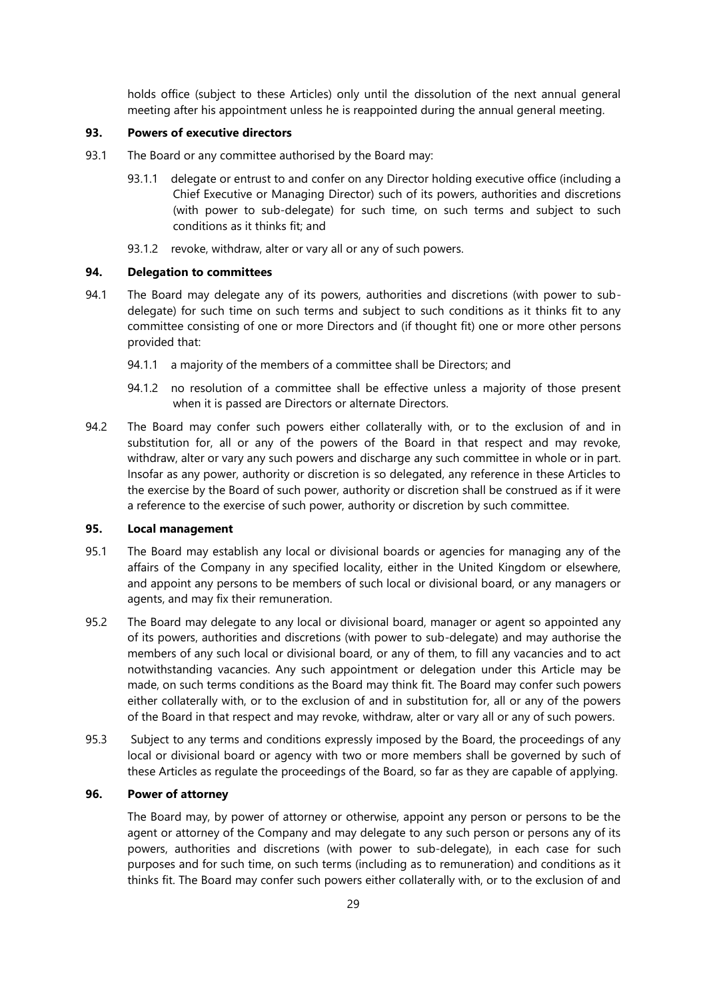holds office (subject to these Articles) only until the dissolution of the next annual general meeting after his appointment unless he is reappointed during the annual general meeting.

#### **93. Powers of executive directors**

- 93.1 The Board or any committee authorised by the Board may:
	- 93.1.1 delegate or entrust to and confer on any Director holding executive office (including a Chief Executive or Managing Director) such of its powers, authorities and discretions (with power to sub-delegate) for such time, on such terms and subject to such conditions as it thinks fit; and
	- 93.1.2 revoke, withdraw, alter or vary all or any of such powers.

## **94. Delegation to committees**

- 94.1 The Board may delegate any of its powers, authorities and discretions (with power to subdelegate) for such time on such terms and subject to such conditions as it thinks fit to any committee consisting of one or more Directors and (if thought fit) one or more other persons provided that:
	- 94.1.1 a majority of the members of a committee shall be Directors; and
	- 94.1.2 no resolution of a committee shall be effective unless a majority of those present when it is passed are Directors or alternate Directors.
- 94.2 The Board may confer such powers either collaterally with, or to the exclusion of and in substitution for, all or any of the powers of the Board in that respect and may revoke, withdraw, alter or vary any such powers and discharge any such committee in whole or in part. Insofar as any power, authority or discretion is so delegated, any reference in these Articles to the exercise by the Board of such power, authority or discretion shall be construed as if it were a reference to the exercise of such power, authority or discretion by such committee.

## **95. Local management**

- 95.1 The Board may establish any local or divisional boards or agencies for managing any of the affairs of the Company in any specified locality, either in the United Kingdom or elsewhere, and appoint any persons to be members of such local or divisional board, or any managers or agents, and may fix their remuneration.
- 95.2 The Board may delegate to any local or divisional board, manager or agent so appointed any of its powers, authorities and discretions (with power to sub-delegate) and may authorise the members of any such local or divisional board, or any of them, to fill any vacancies and to act notwithstanding vacancies. Any such appointment or delegation under this Article may be made, on such terms conditions as the Board may think fit. The Board may confer such powers either collaterally with, or to the exclusion of and in substitution for, all or any of the powers of the Board in that respect and may revoke, withdraw, alter or vary all or any of such powers.
- 95.3 Subject to any terms and conditions expressly imposed by the Board, the proceedings of any local or divisional board or agency with two or more members shall be governed by such of these Articles as regulate the proceedings of the Board, so far as they are capable of applying.

## **96. Power of attorney**

The Board may, by power of attorney or otherwise, appoint any person or persons to be the agent or attorney of the Company and may delegate to any such person or persons any of its powers, authorities and discretions (with power to sub-delegate), in each case for such purposes and for such time, on such terms (including as to remuneration) and conditions as it thinks fit. The Board may confer such powers either collaterally with, or to the exclusion of and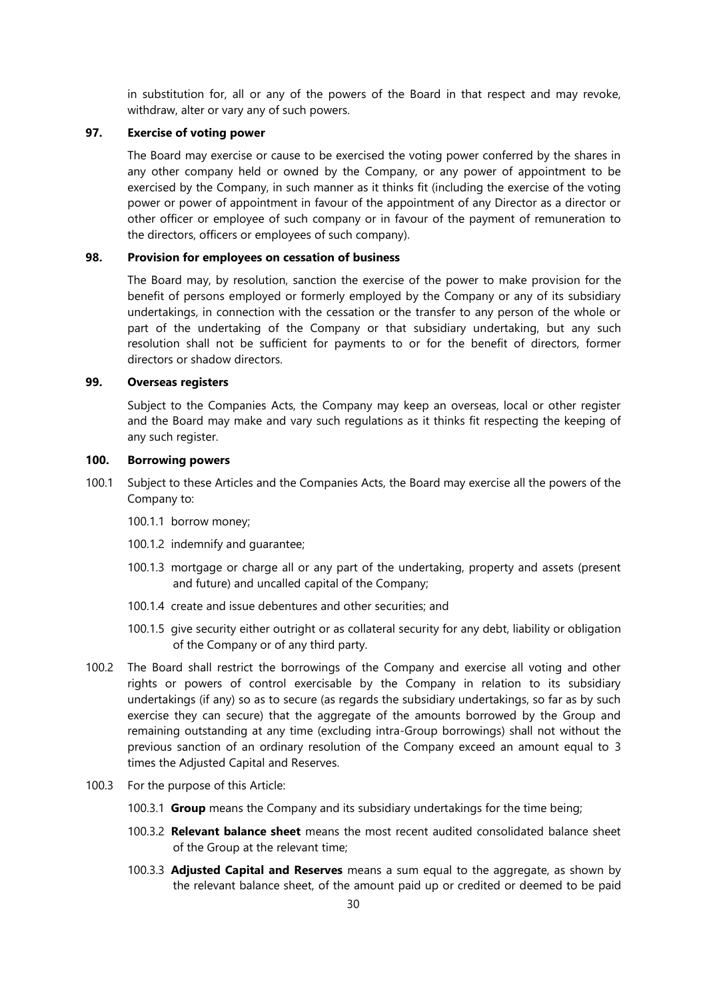in substitution for, all or any of the powers of the Board in that respect and may revoke, withdraw, alter or vary any of such powers.

## **97. Exercise of voting power**

The Board may exercise or cause to be exercised the voting power conferred by the shares in any other company held or owned by the Company, or any power of appointment to be exercised by the Company, in such manner as it thinks fit (including the exercise of the voting power or power of appointment in favour of the appointment of any Director as a director or other officer or employee of such company or in favour of the payment of remuneration to the directors, officers or employees of such company).

## **98. Provision for employees on cessation of business**

The Board may, by resolution, sanction the exercise of the power to make provision for the benefit of persons employed or formerly employed by the Company or any of its subsidiary undertakings, in connection with the cessation or the transfer to any person of the whole or part of the undertaking of the Company or that subsidiary undertaking, but any such resolution shall not be sufficient for payments to or for the benefit of directors, former directors or shadow directors.

# **99. Overseas registers**

Subject to the Companies Acts, the Company may keep an overseas, local or other register and the Board may make and vary such regulations as it thinks fit respecting the keeping of any such register.

#### **100. Borrowing powers**

- 100.1 Subject to these Articles and the Companies Acts, the Board may exercise all the powers of the Company to:
	- 100.1.1 borrow money;
	- 100.1.2 indemnify and guarantee;
	- 100.1.3 mortgage or charge all or any part of the undertaking, property and assets (present and future) and uncalled capital of the Company;
	- 100.1.4 create and issue debentures and other securities; and
	- 100.1.5 give security either outright or as collateral security for any debt, liability or obligation of the Company or of any third party.
- 100.2 The Board shall restrict the borrowings of the Company and exercise all voting and other rights or powers of control exercisable by the Company in relation to its subsidiary undertakings (if any) so as to secure (as regards the subsidiary undertakings, so far as by such exercise they can secure) that the aggregate of the amounts borrowed by the Group and remaining outstanding at any time (excluding intra-Group borrowings) shall not without the previous sanction of an ordinary resolution of the Company exceed an amount equal to 3 times the Adjusted Capital and Reserves.
- 100.3 For the purpose of this Article:
	- 100.3.1 **Group** means the Company and its subsidiary undertakings for the time being;
	- 100.3.2 **Relevant balance sheet** means the most recent audited consolidated balance sheet of the Group at the relevant time;
	- 100.3.3 **Adjusted Capital and Reserves** means a sum equal to the aggregate, as shown by the relevant balance sheet, of the amount paid up or credited or deemed to be paid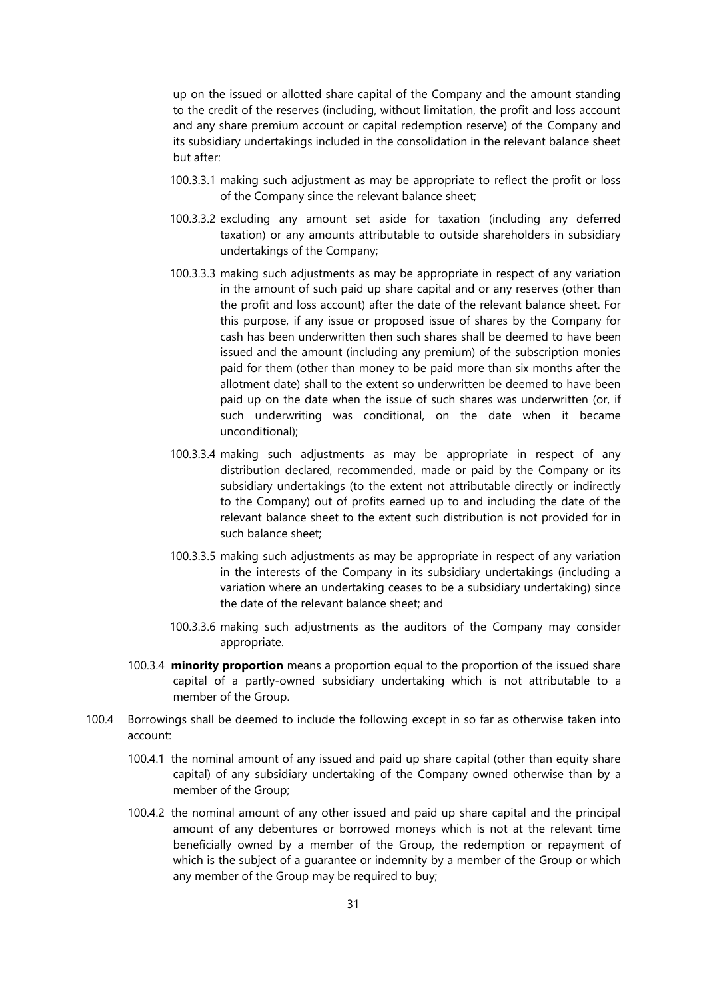up on the issued or allotted share capital of the Company and the amount standing to the credit of the reserves (including, without limitation, the profit and loss account and any share premium account or capital redemption reserve) of the Company and its subsidiary undertakings included in the consolidation in the relevant balance sheet but after:

- 100.3.3.1 making such adjustment as may be appropriate to reflect the profit or loss of the Company since the relevant balance sheet;
- 100.3.3.2 excluding any amount set aside for taxation (including any deferred taxation) or any amounts attributable to outside shareholders in subsidiary undertakings of the Company;
- 100.3.3.3 making such adjustments as may be appropriate in respect of any variation in the amount of such paid up share capital and or any reserves (other than the profit and loss account) after the date of the relevant balance sheet. For this purpose, if any issue or proposed issue of shares by the Company for cash has been underwritten then such shares shall be deemed to have been issued and the amount (including any premium) of the subscription monies paid for them (other than money to be paid more than six months after the allotment date) shall to the extent so underwritten be deemed to have been paid up on the date when the issue of such shares was underwritten (or, if such underwriting was conditional, on the date when it became unconditional);
- 100.3.3.4 making such adjustments as may be appropriate in respect of any distribution declared, recommended, made or paid by the Company or its subsidiary undertakings (to the extent not attributable directly or indirectly to the Company) out of profits earned up to and including the date of the relevant balance sheet to the extent such distribution is not provided for in such balance sheet;
- 100.3.3.5 making such adjustments as may be appropriate in respect of any variation in the interests of the Company in its subsidiary undertakings (including a variation where an undertaking ceases to be a subsidiary undertaking) since the date of the relevant balance sheet; and
- 100.3.3.6 making such adjustments as the auditors of the Company may consider appropriate.
- 100.3.4 **minority proportion** means a proportion equal to the proportion of the issued share capital of a partly-owned subsidiary undertaking which is not attributable to a member of the Group.
- 100.4 Borrowings shall be deemed to include the following except in so far as otherwise taken into account:
	- 100.4.1 the nominal amount of any issued and paid up share capital (other than equity share capital) of any subsidiary undertaking of the Company owned otherwise than by a member of the Group;
	- 100.4.2 the nominal amount of any other issued and paid up share capital and the principal amount of any debentures or borrowed moneys which is not at the relevant time beneficially owned by a member of the Group, the redemption or repayment of which is the subject of a guarantee or indemnity by a member of the Group or which any member of the Group may be required to buy;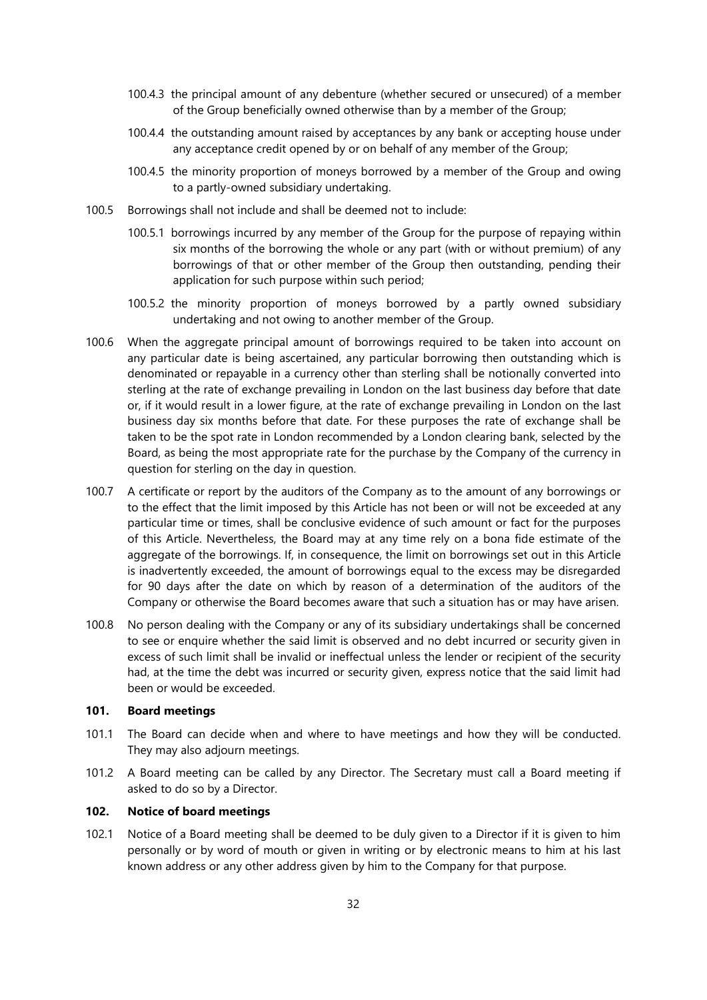- 100.4.3 the principal amount of any debenture (whether secured or unsecured) of a member of the Group beneficially owned otherwise than by a member of the Group;
- 100.4.4 the outstanding amount raised by acceptances by any bank or accepting house under any acceptance credit opened by or on behalf of any member of the Group;
- 100.4.5 the minority proportion of moneys borrowed by a member of the Group and owing to a partly-owned subsidiary undertaking.
- 100.5 Borrowings shall not include and shall be deemed not to include:
	- 100.5.1 borrowings incurred by any member of the Group for the purpose of repaying within six months of the borrowing the whole or any part (with or without premium) of any borrowings of that or other member of the Group then outstanding, pending their application for such purpose within such period;
	- 100.5.2 the minority proportion of moneys borrowed by a partly owned subsidiary undertaking and not owing to another member of the Group.
- 100.6 When the aggregate principal amount of borrowings required to be taken into account on any particular date is being ascertained, any particular borrowing then outstanding which is denominated or repayable in a currency other than sterling shall be notionally converted into sterling at the rate of exchange prevailing in London on the last business day before that date or, if it would result in a lower figure, at the rate of exchange prevailing in London on the last business day six months before that date. For these purposes the rate of exchange shall be taken to be the spot rate in London recommended by a London clearing bank, selected by the Board, as being the most appropriate rate for the purchase by the Company of the currency in question for sterling on the day in question.
- 100.7 A certificate or report by the auditors of the Company as to the amount of any borrowings or to the effect that the limit imposed by this Article has not been or will not be exceeded at any particular time or times, shall be conclusive evidence of such amount or fact for the purposes of this Article. Nevertheless, the Board may at any time rely on a bona fide estimate of the aggregate of the borrowings. If, in consequence, the limit on borrowings set out in this Article is inadvertently exceeded, the amount of borrowings equal to the excess may be disregarded for 90 days after the date on which by reason of a determination of the auditors of the Company or otherwise the Board becomes aware that such a situation has or may have arisen.
- 100.8 No person dealing with the Company or any of its subsidiary undertakings shall be concerned to see or enquire whether the said limit is observed and no debt incurred or security given in excess of such limit shall be invalid or ineffectual unless the lender or recipient of the security had, at the time the debt was incurred or security given, express notice that the said limit had been or would be exceeded.

# **101. Board meetings**

- 101.1 The Board can decide when and where to have meetings and how they will be conducted. They may also adjourn meetings.
- 101.2 A Board meeting can be called by any Director. The Secretary must call a Board meeting if asked to do so by a Director.

## **102. Notice of board meetings**

102.1 Notice of a Board meeting shall be deemed to be duly given to a Director if it is given to him personally or by word of mouth or given in writing or by electronic means to him at his last known address or any other address given by him to the Company for that purpose.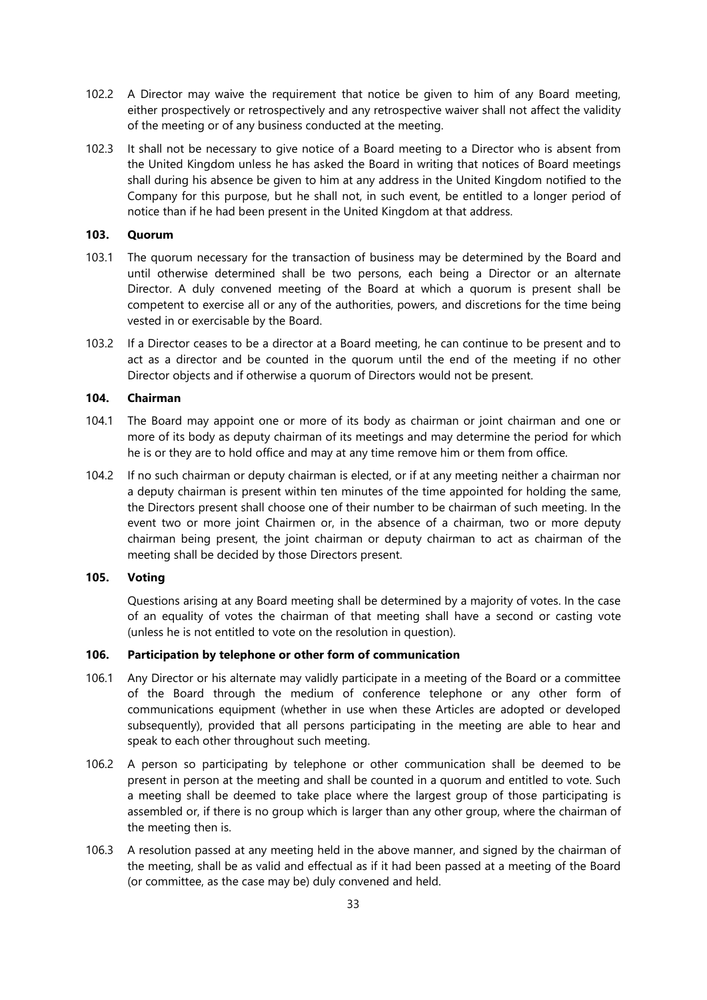- 102.2 A Director may waive the requirement that notice be given to him of any Board meeting, either prospectively or retrospectively and any retrospective waiver shall not affect the validity of the meeting or of any business conducted at the meeting.
- 102.3 It shall not be necessary to give notice of a Board meeting to a Director who is absent from the United Kingdom unless he has asked the Board in writing that notices of Board meetings shall during his absence be given to him at any address in the United Kingdom notified to the Company for this purpose, but he shall not, in such event, be entitled to a longer period of notice than if he had been present in the United Kingdom at that address.

### **103. Quorum**

- 103.1 The quorum necessary for the transaction of business may be determined by the Board and until otherwise determined shall be two persons, each being a Director or an alternate Director. A duly convened meeting of the Board at which a quorum is present shall be competent to exercise all or any of the authorities, powers, and discretions for the time being vested in or exercisable by the Board.
- 103.2 If a Director ceases to be a director at a Board meeting, he can continue to be present and to act as a director and be counted in the quorum until the end of the meeting if no other Director objects and if otherwise a quorum of Directors would not be present.

## **104. Chairman**

- 104.1 The Board may appoint one or more of its body as chairman or joint chairman and one or more of its body as deputy chairman of its meetings and may determine the period for which he is or they are to hold office and may at any time remove him or them from office.
- 104.2 If no such chairman or deputy chairman is elected, or if at any meeting neither a chairman nor a deputy chairman is present within ten minutes of the time appointed for holding the same, the Directors present shall choose one of their number to be chairman of such meeting. In the event two or more joint Chairmen or, in the absence of a chairman, two or more deputy chairman being present, the joint chairman or deputy chairman to act as chairman of the meeting shall be decided by those Directors present.

# **105. Voting**

Questions arising at any Board meeting shall be determined by a majority of votes. In the case of an equality of votes the chairman of that meeting shall have a second or casting vote (unless he is not entitled to vote on the resolution in question).

## **106. Participation by telephone or other form of communication**

- 106.1 Any Director or his alternate may validly participate in a meeting of the Board or a committee of the Board through the medium of conference telephone or any other form of communications equipment (whether in use when these Articles are adopted or developed subsequently), provided that all persons participating in the meeting are able to hear and speak to each other throughout such meeting.
- 106.2 A person so participating by telephone or other communication shall be deemed to be present in person at the meeting and shall be counted in a quorum and entitled to vote. Such a meeting shall be deemed to take place where the largest group of those participating is assembled or, if there is no group which is larger than any other group, where the chairman of the meeting then is.
- 106.3 A resolution passed at any meeting held in the above manner, and signed by the chairman of the meeting, shall be as valid and effectual as if it had been passed at a meeting of the Board (or committee, as the case may be) duly convened and held.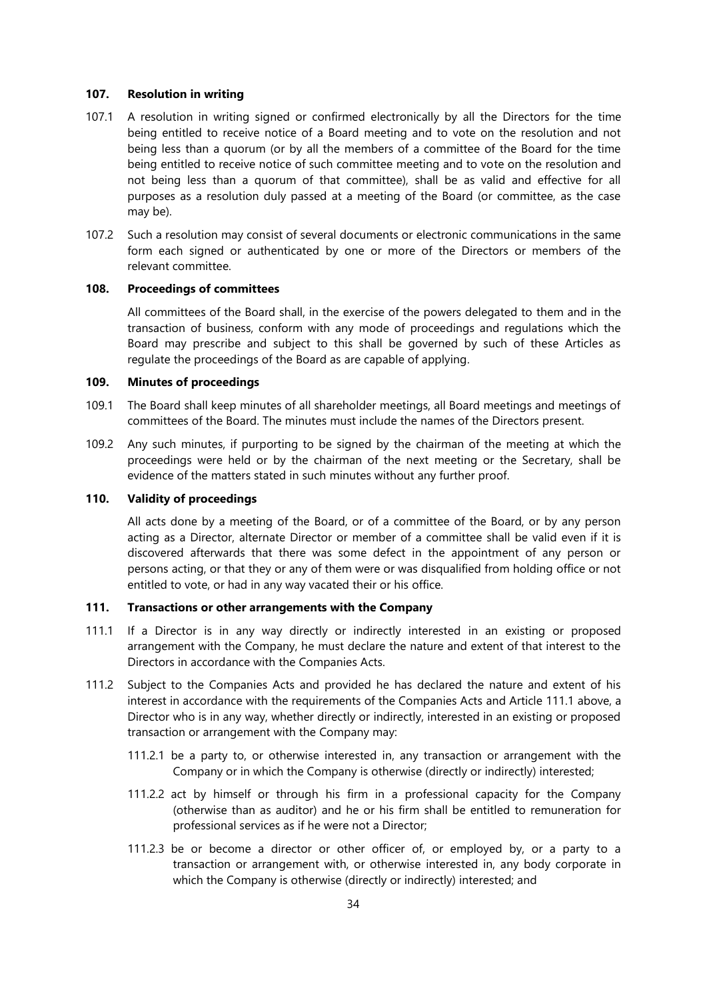#### **107. Resolution in writing**

- 107.1 A resolution in writing signed or confirmed electronically by all the Directors for the time being entitled to receive notice of a Board meeting and to vote on the resolution and not being less than a quorum (or by all the members of a committee of the Board for the time being entitled to receive notice of such committee meeting and to vote on the resolution and not being less than a quorum of that committee), shall be as valid and effective for all purposes as a resolution duly passed at a meeting of the Board (or committee, as the case may be).
- 107.2 Such a resolution may consist of several documents or electronic communications in the same form each signed or authenticated by one or more of the Directors or members of the relevant committee.

## **108. Proceedings of committees**

All committees of the Board shall, in the exercise of the powers delegated to them and in the transaction of business, conform with any mode of proceedings and regulations which the Board may prescribe and subject to this shall be governed by such of these Articles as regulate the proceedings of the Board as are capable of applying.

## **109. Minutes of proceedings**

- 109.1 The Board shall keep minutes of all shareholder meetings, all Board meetings and meetings of committees of the Board. The minutes must include the names of the Directors present.
- 109.2 Any such minutes, if purporting to be signed by the chairman of the meeting at which the proceedings were held or by the chairman of the next meeting or the Secretary, shall be evidence of the matters stated in such minutes without any further proof.

### **110. Validity of proceedings**

All acts done by a meeting of the Board, or of a committee of the Board, or by any person acting as a Director, alternate Director or member of a committee shall be valid even if it is discovered afterwards that there was some defect in the appointment of any person or persons acting, or that they or any of them were or was disqualified from holding office or not entitled to vote, or had in any way vacated their or his office.

# **111. Transactions or other arrangements with the Company**

- <span id="page-34-0"></span>111.1 If a Director is in any way directly or indirectly interested in an existing or proposed arrangement with the Company, he must declare the nature and extent of that interest to the Directors in accordance with the Companies Acts.
- 111.2 Subject to the Companies Acts and provided he has declared the nature and extent of his interest in accordance with the requirements of the Companies Acts and Article [111.1](#page-34-0) above, a Director who is in any way, whether directly or indirectly, interested in an existing or proposed transaction or arrangement with the Company may:
	- 111.2.1 be a party to, or otherwise interested in, any transaction or arrangement with the Company or in which the Company is otherwise (directly or indirectly) interested;
	- 111.2.2 act by himself or through his firm in a professional capacity for the Company (otherwise than as auditor) and he or his firm shall be entitled to remuneration for professional services as if he were not a Director;
	- 111.2.3 be or become a director or other officer of, or employed by, or a party to a transaction or arrangement with, or otherwise interested in, any body corporate in which the Company is otherwise (directly or indirectly) interested; and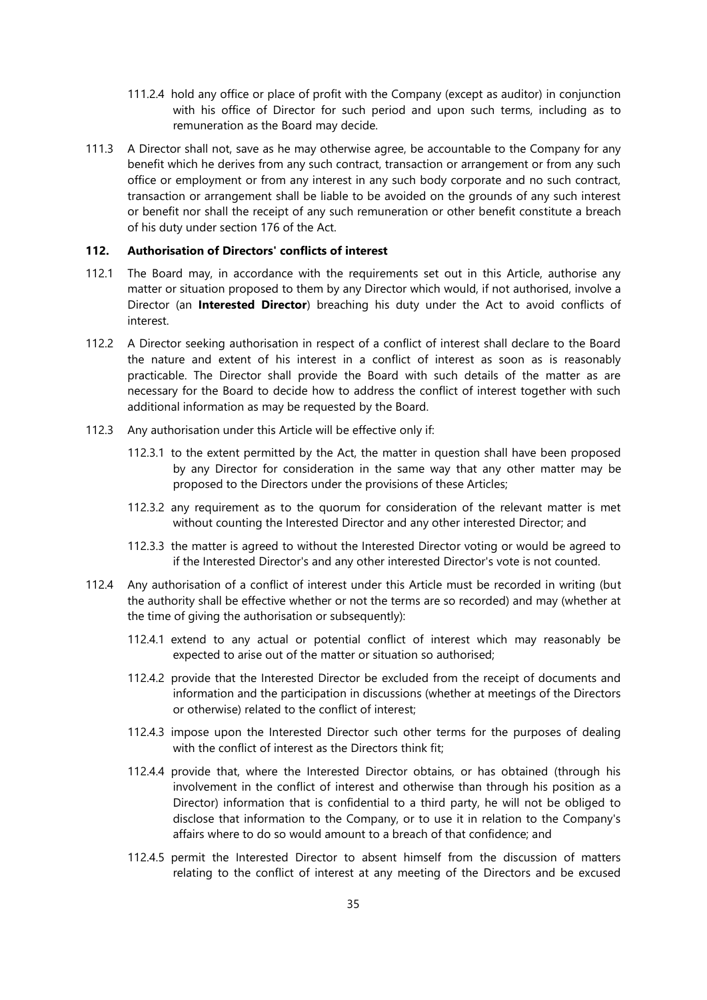- 111.2.4 hold any office or place of profit with the Company (except as auditor) in conjunction with his office of Director for such period and upon such terms, including as to remuneration as the Board may decide.
- 111.3 A Director shall not, save as he may otherwise agree, be accountable to the Company for any benefit which he derives from any such contract, transaction or arrangement or from any such office or employment or from any interest in any such body corporate and no such contract, transaction or arrangement shall be liable to be avoided on the grounds of any such interest or benefit nor shall the receipt of any such remuneration or other benefit constitute a breach of his duty under section 176 of the Act.

#### **112. Authorisation of Directors' conflicts of interest**

- 112.1 The Board may, in accordance with the requirements set out in this Article, authorise any matter or situation proposed to them by any Director which would, if not authorised, involve a Director (an **Interested Director**) breaching his duty under the Act to avoid conflicts of interest.
- 112.2 A Director seeking authorisation in respect of a conflict of interest shall declare to the Board the nature and extent of his interest in a conflict of interest as soon as is reasonably practicable. The Director shall provide the Board with such details of the matter as are necessary for the Board to decide how to address the conflict of interest together with such additional information as may be requested by the Board.
- 112.3 Any authorisation under this Article will be effective only if:
	- 112.3.1 to the extent permitted by the Act, the matter in question shall have been proposed by any Director for consideration in the same way that any other matter may be proposed to the Directors under the provisions of these Articles;
	- 112.3.2 any requirement as to the quorum for consideration of the relevant matter is met without counting the Interested Director and any other interested Director; and
	- 112.3.3 the matter is agreed to without the Interested Director voting or would be agreed to if the Interested Director's and any other interested Director's vote is not counted.
- 112.4 Any authorisation of a conflict of interest under this Article must be recorded in writing (but the authority shall be effective whether or not the terms are so recorded) and may (whether at the time of giving the authorisation or subsequently):
	- 112.4.1 extend to any actual or potential conflict of interest which may reasonably be expected to arise out of the matter or situation so authorised;
	- 112.4.2 provide that the Interested Director be excluded from the receipt of documents and information and the participation in discussions (whether at meetings of the Directors or otherwise) related to the conflict of interest;
	- 112.4.3 impose upon the Interested Director such other terms for the purposes of dealing with the conflict of interest as the Directors think fit;
	- 112.4.4 provide that, where the Interested Director obtains, or has obtained (through his involvement in the conflict of interest and otherwise than through his position as a Director) information that is confidential to a third party, he will not be obliged to disclose that information to the Company, or to use it in relation to the Company's affairs where to do so would amount to a breach of that confidence; and
	- 112.4.5 permit the Interested Director to absent himself from the discussion of matters relating to the conflict of interest at any meeting of the Directors and be excused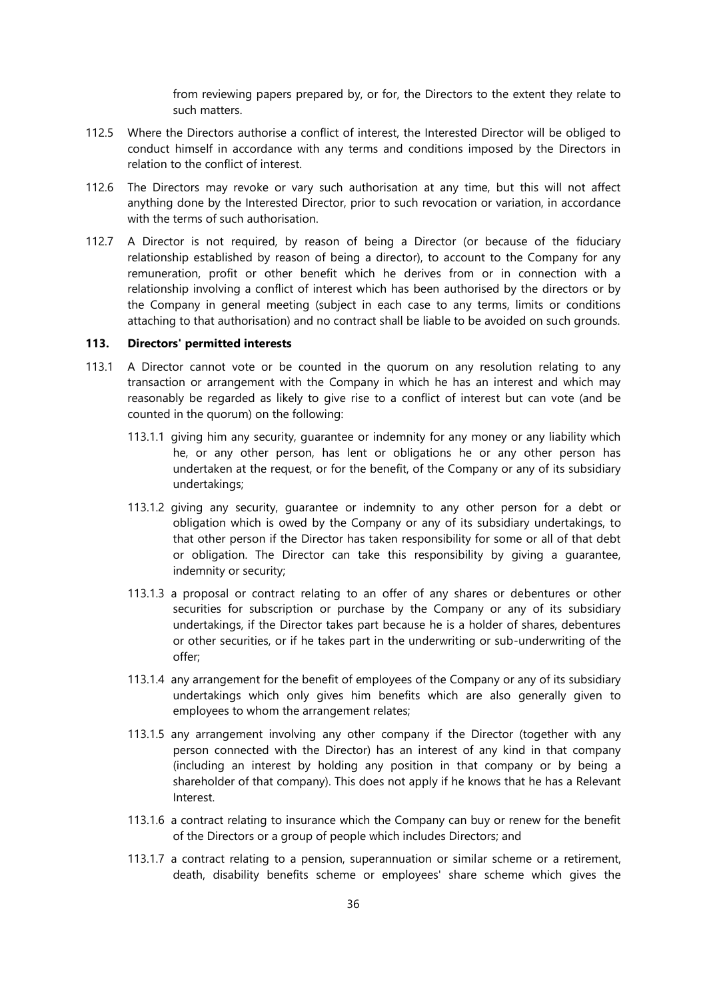from reviewing papers prepared by, or for, the Directors to the extent they relate to such matters.

- 112.5 Where the Directors authorise a conflict of interest, the Interested Director will be obliged to conduct himself in accordance with any terms and conditions imposed by the Directors in relation to the conflict of interest.
- 112.6 The Directors may revoke or vary such authorisation at any time, but this will not affect anything done by the Interested Director, prior to such revocation or variation, in accordance with the terms of such authorisation.
- 112.7 A Director is not required, by reason of being a Director (or because of the fiduciary relationship established by reason of being a director), to account to the Company for any remuneration, profit or other benefit which he derives from or in connection with a relationship involving a conflict of interest which has been authorised by the directors or by the Company in general meeting (subject in each case to any terms, limits or conditions attaching to that authorisation) and no contract shall be liable to be avoided on such grounds.

## **113. Directors' permitted interests**

- 113.1 A Director cannot vote or be counted in the quorum on any resolution relating to any transaction or arrangement with the Company in which he has an interest and which may reasonably be regarded as likely to give rise to a conflict of interest but can vote (and be counted in the quorum) on the following:
	- 113.1.1 giving him any security, guarantee or indemnity for any money or any liability which he, or any other person, has lent or obligations he or any other person has undertaken at the request, or for the benefit, of the Company or any of its subsidiary undertakings;
	- 113.1.2 giving any security, guarantee or indemnity to any other person for a debt or obligation which is owed by the Company or any of its subsidiary undertakings, to that other person if the Director has taken responsibility for some or all of that debt or obligation. The Director can take this responsibility by giving a guarantee, indemnity or security;
	- 113.1.3 a proposal or contract relating to an offer of any shares or debentures or other securities for subscription or purchase by the Company or any of its subsidiary undertakings, if the Director takes part because he is a holder of shares, debentures or other securities, or if he takes part in the underwriting or sub-underwriting of the offer;
	- 113.1.4 any arrangement for the benefit of employees of the Company or any of its subsidiary undertakings which only gives him benefits which are also generally given to employees to whom the arrangement relates;
	- 113.1.5 any arrangement involving any other company if the Director (together with any person connected with the Director) has an interest of any kind in that company (including an interest by holding any position in that company or by being a shareholder of that company). This does not apply if he knows that he has a Relevant Interest.
	- 113.1.6 a contract relating to insurance which the Company can buy or renew for the benefit of the Directors or a group of people which includes Directors; and
	- 113.1.7 a contract relating to a pension, superannuation or similar scheme or a retirement, death, disability benefits scheme or employees' share scheme which gives the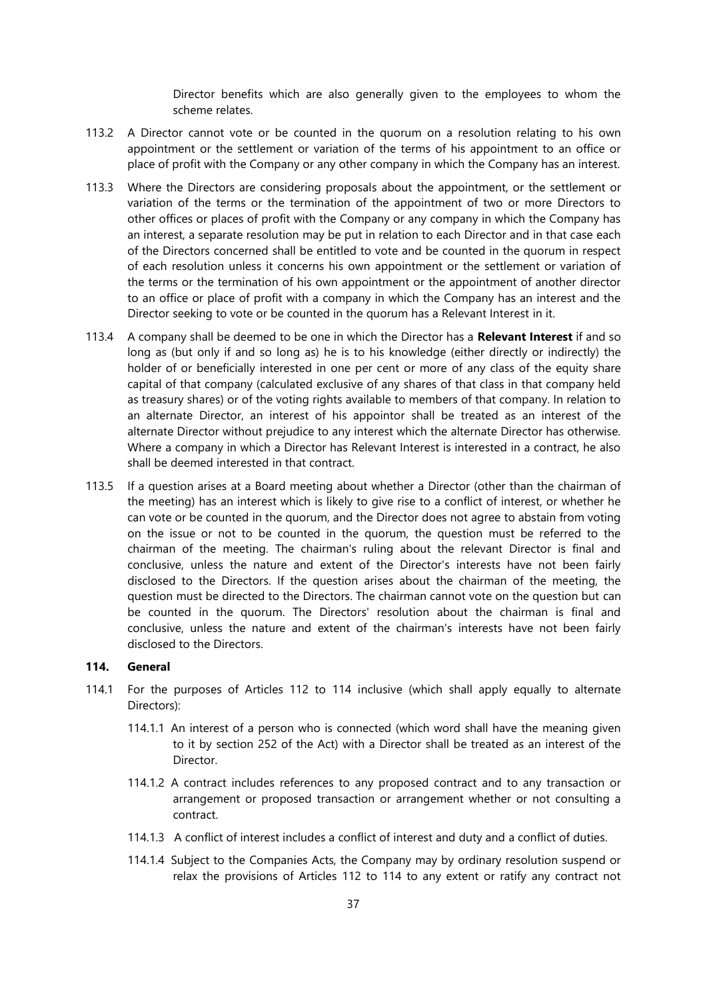Director benefits which are also generally given to the employees to whom the scheme relates.

- 113.2 A Director cannot vote or be counted in the quorum on a resolution relating to his own appointment or the settlement or variation of the terms of his appointment to an office or place of profit with the Company or any other company in which the Company has an interest.
- 113.3 Where the Directors are considering proposals about the appointment, or the settlement or variation of the terms or the termination of the appointment of two or more Directors to other offices or places of profit with the Company or any company in which the Company has an interest, a separate resolution may be put in relation to each Director and in that case each of the Directors concerned shall be entitled to vote and be counted in the quorum in respect of each resolution unless it concerns his own appointment or the settlement or variation of the terms or the termination of his own appointment or the appointment of another director to an office or place of profit with a company in which the Company has an interest and the Director seeking to vote or be counted in the quorum has a Relevant Interest in it.
- 113.4 A company shall be deemed to be one in which the Director has a **Relevant Interest** if and so long as (but only if and so long as) he is to his knowledge (either directly or indirectly) the holder of or beneficially interested in one per cent or more of any class of the equity share capital of that company (calculated exclusive of any shares of that class in that company held as treasury shares) or of the voting rights available to members of that company. In relation to an alternate Director, an interest of his appointor shall be treated as an interest of the alternate Director without prejudice to any interest which the alternate Director has otherwise. Where a company in which a Director has Relevant Interest is interested in a contract, he also shall be deemed interested in that contract.
- 113.5 If a question arises at a Board meeting about whether a Director (other than the chairman of the meeting) has an interest which is likely to give rise to a conflict of interest, or whether he can vote or be counted in the quorum, and the Director does not agree to abstain from voting on the issue or not to be counted in the quorum, the question must be referred to the chairman of the meeting. The chairman's ruling about the relevant Director is final and conclusive, unless the nature and extent of the Director's interests have not been fairly disclosed to the Directors. If the question arises about the chairman of the meeting, the question must be directed to the Directors. The chairman cannot vote on the question but can be counted in the quorum. The Directors' resolution about the chairman is final and conclusive, unless the nature and extent of the chairman's interests have not been fairly disclosed to the Directors.

### **114. General**

- 114.1 For the purposes of Articles 112 to 114 inclusive (which shall apply equally to alternate Directors):
	- 114.1.1 An interest of a person who is connected (which word shall have the meaning given to it by section 252 of the Act) with a Director shall be treated as an interest of the Director.
	- 114.1.2 A contract includes references to any proposed contract and to any transaction or arrangement or proposed transaction or arrangement whether or not consulting a contract.
	- 114.1.3 A conflict of interest includes a conflict of interest and duty and a conflict of duties.
	- 114.1.4 Subject to the Companies Acts, the Company may by ordinary resolution suspend or relax the provisions of Articles 112 to 114 to any extent or ratify any contract not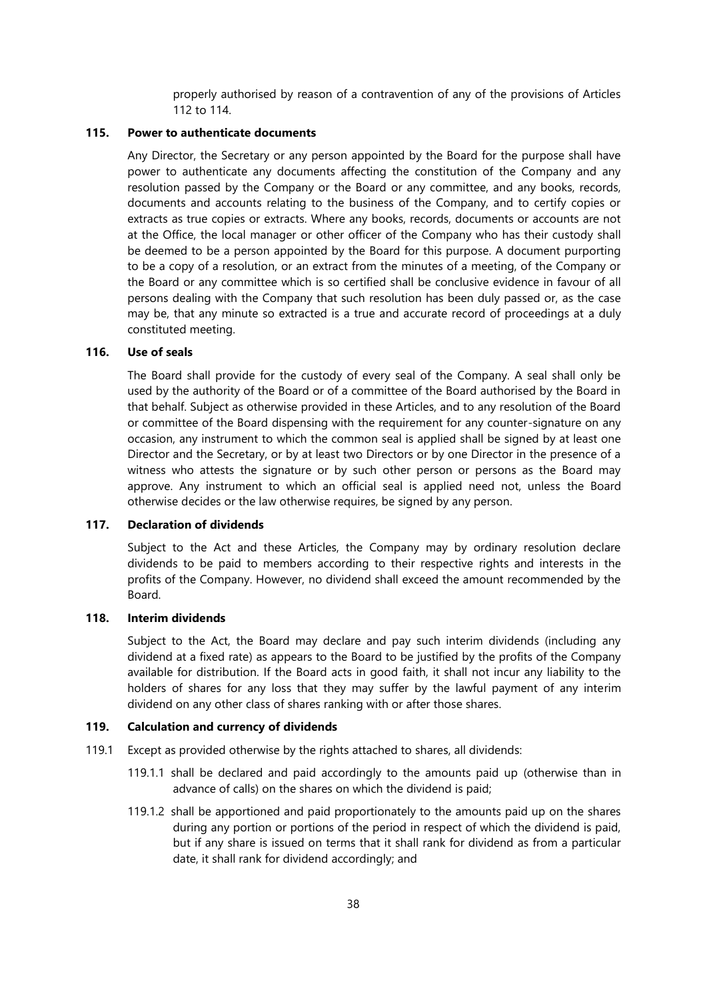properly authorised by reason of a contravention of any of the provisions of Articles 112 to 114.

#### **115. Power to authenticate documents**

Any Director, the Secretary or any person appointed by the Board for the purpose shall have power to authenticate any documents affecting the constitution of the Company and any resolution passed by the Company or the Board or any committee, and any books, records, documents and accounts relating to the business of the Company, and to certify copies or extracts as true copies or extracts. Where any books, records, documents or accounts are not at the Office, the local manager or other officer of the Company who has their custody shall be deemed to be a person appointed by the Board for this purpose. A document purporting to be a copy of a resolution, or an extract from the minutes of a meeting, of the Company or the Board or any committee which is so certified shall be conclusive evidence in favour of all persons dealing with the Company that such resolution has been duly passed or, as the case may be, that any minute so extracted is a true and accurate record of proceedings at a duly constituted meeting.

# **116. Use of seals**

The Board shall provide for the custody of every seal of the Company. A seal shall only be used by the authority of the Board or of a committee of the Board authorised by the Board in that behalf. Subject as otherwise provided in these Articles, and to any resolution of the Board or committee of the Board dispensing with the requirement for any counter-signature on any occasion, any instrument to which the common seal is applied shall be signed by at least one Director and the Secretary, or by at least two Directors or by one Director in the presence of a witness who attests the signature or by such other person or persons as the Board may approve. Any instrument to which an official seal is applied need not, unless the Board otherwise decides or the law otherwise requires, be signed by any person.

#### **117. Declaration of dividends**

Subject to the Act and these Articles, the Company may by ordinary resolution declare dividends to be paid to members according to their respective rights and interests in the profits of the Company. However, no dividend shall exceed the amount recommended by the Board.

#### **118. Interim dividends**

Subject to the Act, the Board may declare and pay such interim dividends (including any dividend at a fixed rate) as appears to the Board to be justified by the profits of the Company available for distribution. If the Board acts in good faith, it shall not incur any liability to the holders of shares for any loss that they may suffer by the lawful payment of any interim dividend on any other class of shares ranking with or after those shares.

#### **119. Calculation and currency of dividends**

- 119.1 Except as provided otherwise by the rights attached to shares, all dividends:
	- 119.1.1 shall be declared and paid accordingly to the amounts paid up (otherwise than in advance of calls) on the shares on which the dividend is paid;
	- 119.1.2 shall be apportioned and paid proportionately to the amounts paid up on the shares during any portion or portions of the period in respect of which the dividend is paid, but if any share is issued on terms that it shall rank for dividend as from a particular date, it shall rank for dividend accordingly; and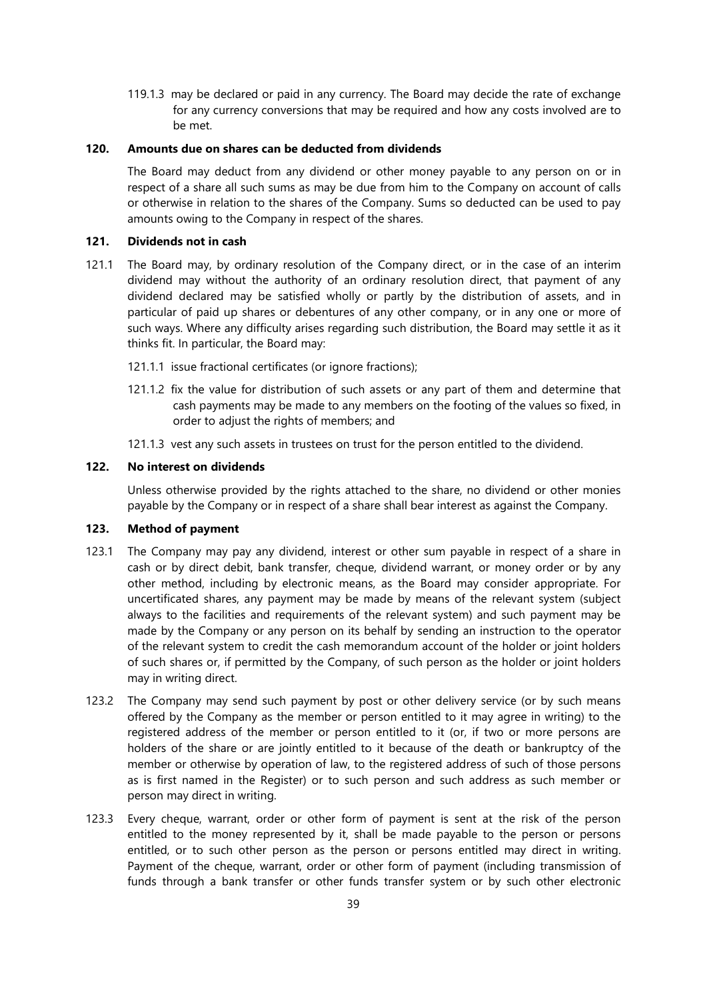119.1.3 may be declared or paid in any currency. The Board may decide the rate of exchange for any currency conversions that may be required and how any costs involved are to be met.

## **120. Amounts due on shares can be deducted from dividends**

The Board may deduct from any dividend or other money payable to any person on or in respect of a share all such sums as may be due from him to the Company on account of calls or otherwise in relation to the shares of the Company. Sums so deducted can be used to pay amounts owing to the Company in respect of the shares.

# **121. Dividends not in cash**

- 121.1 The Board may, by ordinary resolution of the Company direct, or in the case of an interim dividend may without the authority of an ordinary resolution direct, that payment of any dividend declared may be satisfied wholly or partly by the distribution of assets, and in particular of paid up shares or debentures of any other company, or in any one or more of such ways. Where any difficulty arises regarding such distribution, the Board may settle it as it thinks fit. In particular, the Board may:
	- 121.1.1 issue fractional certificates (or ignore fractions);
	- 121.1.2 fix the value for distribution of such assets or any part of them and determine that cash payments may be made to any members on the footing of the values so fixed, in order to adjust the rights of members; and
	- 121.1.3 vest any such assets in trustees on trust for the person entitled to the dividend.

## **122. No interest on dividends**

Unless otherwise provided by the rights attached to the share, no dividend or other monies payable by the Company or in respect of a share shall bear interest as against the Company.

## **123. Method of payment**

- 123.1 The Company may pay any dividend, interest or other sum payable in respect of a share in cash or by direct debit, bank transfer, cheque, dividend warrant, or money order or by any other method, including by electronic means, as the Board may consider appropriate. For uncertificated shares, any payment may be made by means of the relevant system (subject always to the facilities and requirements of the relevant system) and such payment may be made by the Company or any person on its behalf by sending an instruction to the operator of the relevant system to credit the cash memorandum account of the holder or joint holders of such shares or, if permitted by the Company, of such person as the holder or joint holders may in writing direct.
- 123.2 The Company may send such payment by post or other delivery service (or by such means offered by the Company as the member or person entitled to it may agree in writing) to the registered address of the member or person entitled to it (or, if two or more persons are holders of the share or are jointly entitled to it because of the death or bankruptcy of the member or otherwise by operation of law, to the registered address of such of those persons as is first named in the Register) or to such person and such address as such member or person may direct in writing.
- 123.3 Every cheque, warrant, order or other form of payment is sent at the risk of the person entitled to the money represented by it, shall be made payable to the person or persons entitled, or to such other person as the person or persons entitled may direct in writing. Payment of the cheque, warrant, order or other form of payment (including transmission of funds through a bank transfer or other funds transfer system or by such other electronic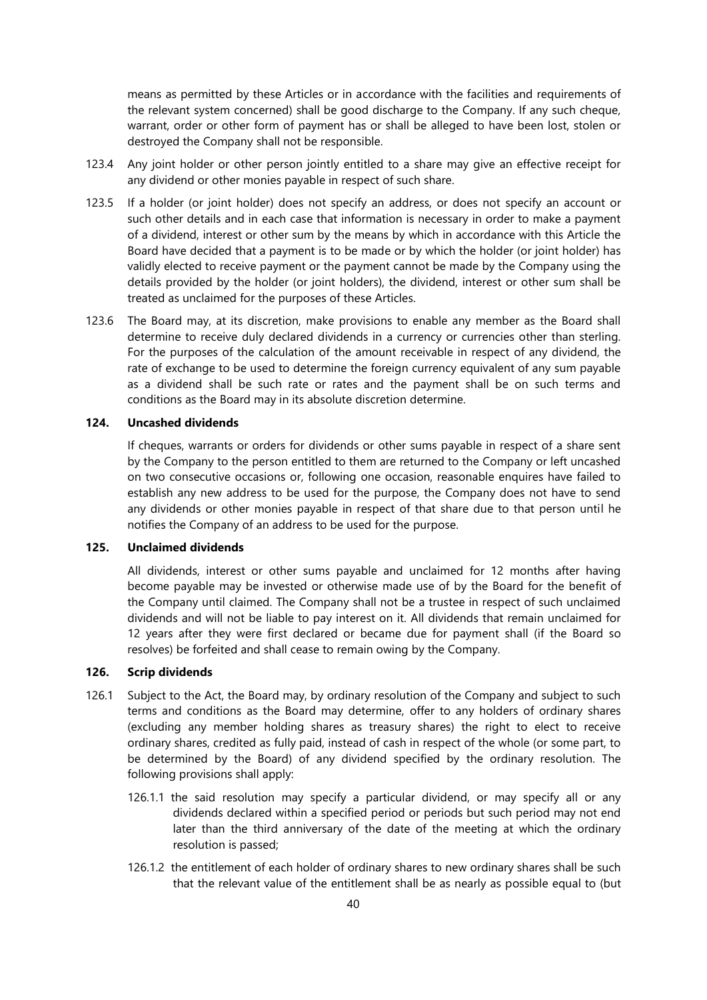means as permitted by these Articles or in accordance with the facilities and requirements of the relevant system concerned) shall be good discharge to the Company. If any such cheque, warrant, order or other form of payment has or shall be alleged to have been lost, stolen or destroyed the Company shall not be responsible.

- 123.4 Any joint holder or other person jointly entitled to a share may give an effective receipt for any dividend or other monies payable in respect of such share.
- 123.5 If a holder (or joint holder) does not specify an address, or does not specify an account or such other details and in each case that information is necessary in order to make a payment of a dividend, interest or other sum by the means by which in accordance with this Article the Board have decided that a payment is to be made or by which the holder (or joint holder) has validly elected to receive payment or the payment cannot be made by the Company using the details provided by the holder (or joint holders), the dividend, interest or other sum shall be treated as unclaimed for the purposes of these Articles.
- 123.6 The Board may, at its discretion, make provisions to enable any member as the Board shall determine to receive duly declared dividends in a currency or currencies other than sterling. For the purposes of the calculation of the amount receivable in respect of any dividend, the rate of exchange to be used to determine the foreign currency equivalent of any sum payable as a dividend shall be such rate or rates and the payment shall be on such terms and conditions as the Board may in its absolute discretion determine.

# **124. Uncashed dividends**

If cheques, warrants or orders for dividends or other sums payable in respect of a share sent by the Company to the person entitled to them are returned to the Company or left uncashed on two consecutive occasions or, following one occasion, reasonable enquires have failed to establish any new address to be used for the purpose, the Company does not have to send any dividends or other monies payable in respect of that share due to that person until he notifies the Company of an address to be used for the purpose.

# <span id="page-40-0"></span>**125. Unclaimed dividends**

All dividends, interest or other sums payable and unclaimed for 12 months after having become payable may be invested or otherwise made use of by the Board for the benefit of the Company until claimed. The Company shall not be a trustee in respect of such unclaimed dividends and will not be liable to pay interest on it. All dividends that remain unclaimed for 12 years after they were first declared or became due for payment shall (if the Board so resolves) be forfeited and shall cease to remain owing by the Company.

# **126. Scrip dividends**

- 126.1 Subject to the Act, the Board may, by ordinary resolution of the Company and subject to such terms and conditions as the Board may determine, offer to any holders of ordinary shares (excluding any member holding shares as treasury shares) the right to elect to receive ordinary shares, credited as fully paid, instead of cash in respect of the whole (or some part, to be determined by the Board) of any dividend specified by the ordinary resolution. The following provisions shall apply:
	- 126.1.1 the said resolution may specify a particular dividend, or may specify all or any dividends declared within a specified period or periods but such period may not end later than the third anniversary of the date of the meeting at which the ordinary resolution is passed;
	- 126.1.2 the entitlement of each holder of ordinary shares to new ordinary shares shall be such that the relevant value of the entitlement shall be as nearly as possible equal to (but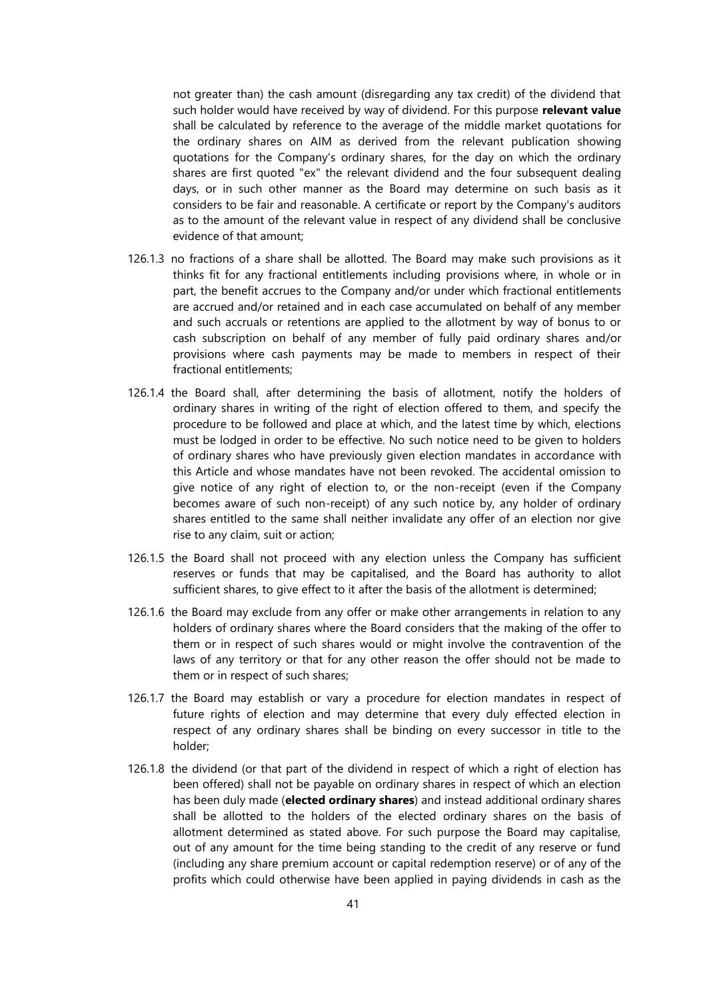not greater than) the cash amount (disregarding any tax credit) of the dividend that such holder would have received by way of dividend. For this purpose **relevant value** shall be calculated by reference to the average of the middle market quotations for the ordinary shares on AIM as derived from the relevant publication showing quotations for the Company's ordinary shares, for the day on which the ordinary shares are first quoted "ex" the relevant dividend and the four subsequent dealing days, or in such other manner as the Board may determine on such basis as it considers to be fair and reasonable. A certificate or report by the Company's auditors as to the amount of the relevant value in respect of any dividend shall be conclusive evidence of that amount;

- 126.1.3 no fractions of a share shall be allotted. The Board may make such provisions as it thinks fit for any fractional entitlements including provisions where, in whole or in part, the benefit accrues to the Company and/or under which fractional entitlements are accrued and/or retained and in each case accumulated on behalf of any member and such accruals or retentions are applied to the allotment by way of bonus to or cash subscription on behalf of any member of fully paid ordinary shares and/or provisions where cash payments may be made to members in respect of their fractional entitlements;
- 126.1.4 the Board shall, after determining the basis of allotment, notify the holders of ordinary shares in writing of the right of election offered to them, and specify the procedure to be followed and place at which, and the latest time by which, elections must be lodged in order to be effective. No such notice need to be given to holders of ordinary shares who have previously given election mandates in accordance with this Article and whose mandates have not been revoked. The accidental omission to give notice of any right of election to, or the non-receipt (even if the Company becomes aware of such non-receipt) of any such notice by, any holder of ordinary shares entitled to the same shall neither invalidate any offer of an election nor give rise to any claim, suit or action;
- 126.1.5 the Board shall not proceed with any election unless the Company has sufficient reserves or funds that may be capitalised, and the Board has authority to allot sufficient shares, to give effect to it after the basis of the allotment is determined;
- 126.1.6 the Board may exclude from any offer or make other arrangements in relation to any holders of ordinary shares where the Board considers that the making of the offer to them or in respect of such shares would or might involve the contravention of the laws of any territory or that for any other reason the offer should not be made to them or in respect of such shares;
- 126.1.7 the Board may establish or vary a procedure for election mandates in respect of future rights of election and may determine that every duly effected election in respect of any ordinary shares shall be binding on every successor in title to the holder;
- 126.1.8 the dividend (or that part of the dividend in respect of which a right of election has been offered) shall not be payable on ordinary shares in respect of which an election has been duly made (**elected ordinary shares**) and instead additional ordinary shares shall be allotted to the holders of the elected ordinary shares on the basis of allotment determined as stated above. For such purpose the Board may capitalise, out of any amount for the time being standing to the credit of any reserve or fund (including any share premium account or capital redemption reserve) or of any of the profits which could otherwise have been applied in paying dividends in cash as the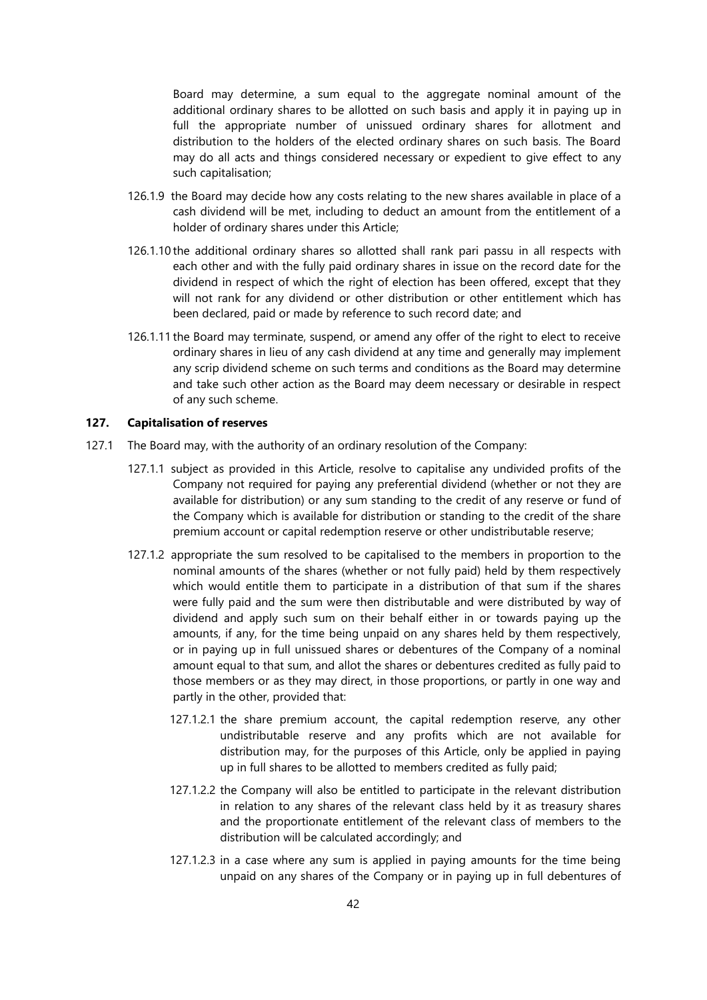Board may determine, a sum equal to the aggregate nominal amount of the additional ordinary shares to be allotted on such basis and apply it in paying up in full the appropriate number of unissued ordinary shares for allotment and distribution to the holders of the elected ordinary shares on such basis. The Board may do all acts and things considered necessary or expedient to give effect to any such capitalisation;

- 126.1.9 the Board may decide how any costs relating to the new shares available in place of a cash dividend will be met, including to deduct an amount from the entitlement of a holder of ordinary shares under this Article;
- 126.1.10 the additional ordinary shares so allotted shall rank pari passu in all respects with each other and with the fully paid ordinary shares in issue on the record date for the dividend in respect of which the right of election has been offered, except that they will not rank for any dividend or other distribution or other entitlement which has been declared, paid or made by reference to such record date; and
- 126.1.11 the Board may terminate, suspend, or amend any offer of the right to elect to receive ordinary shares in lieu of any cash dividend at any time and generally may implement any scrip dividend scheme on such terms and conditions as the Board may determine and take such other action as the Board may deem necessary or desirable in respect of any such scheme.

## **127. Capitalisation of reserves**

- 127.1 The Board may, with the authority of an ordinary resolution of the Company:
	- 127.1.1 subject as provided in this Article, resolve to capitalise any undivided profits of the Company not required for paying any preferential dividend (whether or not they are available for distribution) or any sum standing to the credit of any reserve or fund of the Company which is available for distribution or standing to the credit of the share premium account or capital redemption reserve or other undistributable reserve;
	- 127.1.2 appropriate the sum resolved to be capitalised to the members in proportion to the nominal amounts of the shares (whether or not fully paid) held by them respectively which would entitle them to participate in a distribution of that sum if the shares were fully paid and the sum were then distributable and were distributed by way of dividend and apply such sum on their behalf either in or towards paying up the amounts, if any, for the time being unpaid on any shares held by them respectively, or in paying up in full unissued shares or debentures of the Company of a nominal amount equal to that sum, and allot the shares or debentures credited as fully paid to those members or as they may direct, in those proportions, or partly in one way and partly in the other, provided that:
		- 127.1.2.1 the share premium account, the capital redemption reserve, any other undistributable reserve and any profits which are not available for distribution may, for the purposes of this Article, only be applied in paying up in full shares to be allotted to members credited as fully paid;
		- 127.1.2.2 the Company will also be entitled to participate in the relevant distribution in relation to any shares of the relevant class held by it as treasury shares and the proportionate entitlement of the relevant class of members to the distribution will be calculated accordingly; and
		- 127.1.2.3 in a case where any sum is applied in paying amounts for the time being unpaid on any shares of the Company or in paying up in full debentures of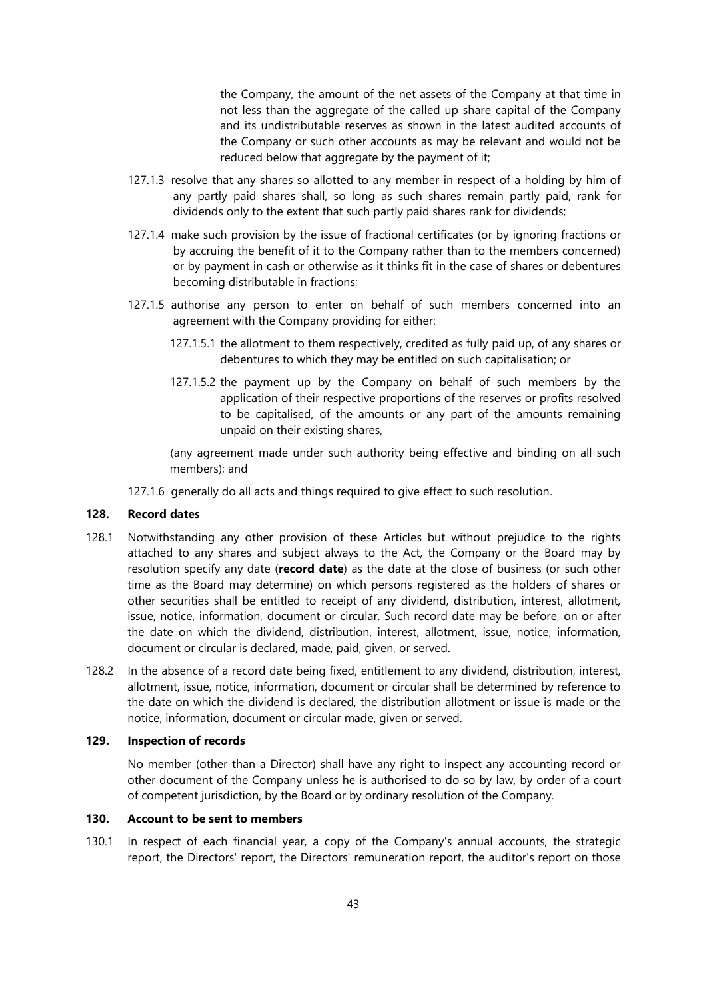the Company, the amount of the net assets of the Company at that time in not less than the aggregate of the called up share capital of the Company and its undistributable reserves as shown in the latest audited accounts of the Company or such other accounts as may be relevant and would not be reduced below that aggregate by the payment of it;

- 127.1.3 resolve that any shares so allotted to any member in respect of a holding by him of any partly paid shares shall, so long as such shares remain partly paid, rank for dividends only to the extent that such partly paid shares rank for dividends;
- 127.1.4 make such provision by the issue of fractional certificates (or by ignoring fractions or by accruing the benefit of it to the Company rather than to the members concerned) or by payment in cash or otherwise as it thinks fit in the case of shares or debentures becoming distributable in fractions;
- 127.1.5 authorise any person to enter on behalf of such members concerned into an agreement with the Company providing for either:
	- 127.1.5.1 the allotment to them respectively, credited as fully paid up, of any shares or debentures to which they may be entitled on such capitalisation; or
	- 127.1.5.2 the payment up by the Company on behalf of such members by the application of their respective proportions of the reserves or profits resolved to be capitalised, of the amounts or any part of the amounts remaining unpaid on their existing shares,

(any agreement made under such authority being effective and binding on all such members); and

127.1.6 generally do all acts and things required to give effect to such resolution.

## **128. Record dates**

- 128.1 Notwithstanding any other provision of these Articles but without prejudice to the rights attached to any shares and subject always to the Act, the Company or the Board may by resolution specify any date (**record date**) as the date at the close of business (or such other time as the Board may determine) on which persons registered as the holders of shares or other securities shall be entitled to receipt of any dividend, distribution, interest, allotment, issue, notice, information, document or circular. Such record date may be before, on or after the date on which the dividend, distribution, interest, allotment, issue, notice, information, document or circular is declared, made, paid, given, or served.
- 128.2 In the absence of a record date being fixed, entitlement to any dividend, distribution, interest, allotment, issue, notice, information, document or circular shall be determined by reference to the date on which the dividend is declared, the distribution allotment or issue is made or the notice, information, document or circular made, given or served.

## **129. Inspection of records**

No member (other than a Director) shall have any right to inspect any accounting record or other document of the Company unless he is authorised to do so by law, by order of a court of competent jurisdiction, by the Board or by ordinary resolution of the Company.

# **130. Account to be sent to members**

<span id="page-43-0"></span>130.1 In respect of each financial year, a copy of the Company's annual accounts, the strategic report, the Directors' report, the Directors' remuneration report, the auditor's report on those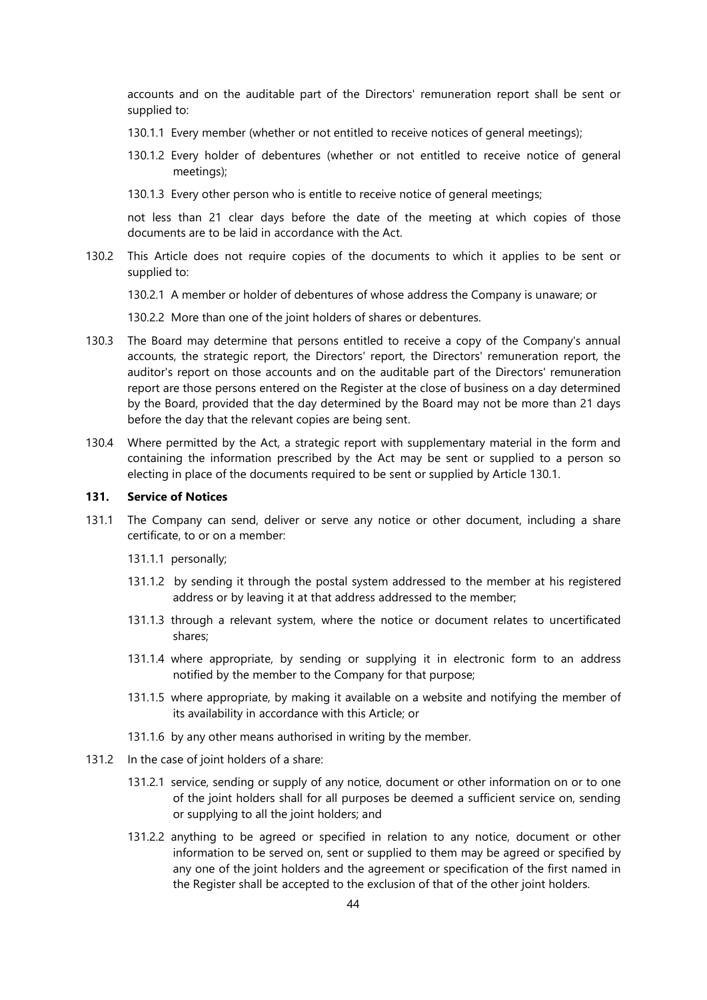accounts and on the auditable part of the Directors' remuneration report shall be sent or supplied to:

- 130.1.1 Every member (whether or not entitled to receive notices of general meetings);
- 130.1.2 Every holder of debentures (whether or not entitled to receive notice of general meetings);
- 130.1.3 Every other person who is entitle to receive notice of general meetings;

not less than 21 clear days before the date of the meeting at which copies of those documents are to be laid in accordance with the Act.

130.2 This Article does not require copies of the documents to which it applies to be sent or supplied to:

130.2.1 A member or holder of debentures of whose address the Company is unaware; or

130.2.2 More than one of the joint holders of shares or debentures.

- 130.3 The Board may determine that persons entitled to receive a copy of the Company's annual accounts, the strategic report, the Directors' report, the Directors' remuneration report, the auditor's report on those accounts and on the auditable part of the Directors' remuneration report are those persons entered on the Register at the close of business on a day determined by the Board, provided that the day determined by the Board may not be more than 21 days before the day that the relevant copies are being sent.
- 130.4 Where permitted by the Act, a strategic report with supplementary material in the form and containing the information prescribed by the Act may be sent or supplied to a person so electing in place of the documents required to be sent or supplied by Article [130.1.](#page-43-0)

#### **131. Service of Notices**

- 131.1 The Company can send, deliver or serve any notice or other document, including a share certificate, to or on a member:
	- 131.1.1 personally;
	- 131.1.2 by sending it through the postal system addressed to the member at his registered address or by leaving it at that address addressed to the member;
	- 131.1.3 through a relevant system, where the notice or document relates to uncertificated shares;
	- 131.1.4 where appropriate, by sending or supplying it in electronic form to an address notified by the member to the Company for that purpose;
	- 131.1.5 where appropriate, by making it available on a website and notifying the member of its availability in accordance with this Article; or
	- 131.1.6 by any other means authorised in writing by the member.
- 131.2 In the case of joint holders of a share:
	- 131.2.1 service, sending or supply of any notice, document or other information on or to one of the joint holders shall for all purposes be deemed a sufficient service on, sending or supplying to all the joint holders; and
	- 131.2.2 anything to be agreed or specified in relation to any notice, document or other information to be served on, sent or supplied to them may be agreed or specified by any one of the joint holders and the agreement or specification of the first named in the Register shall be accepted to the exclusion of that of the other joint holders.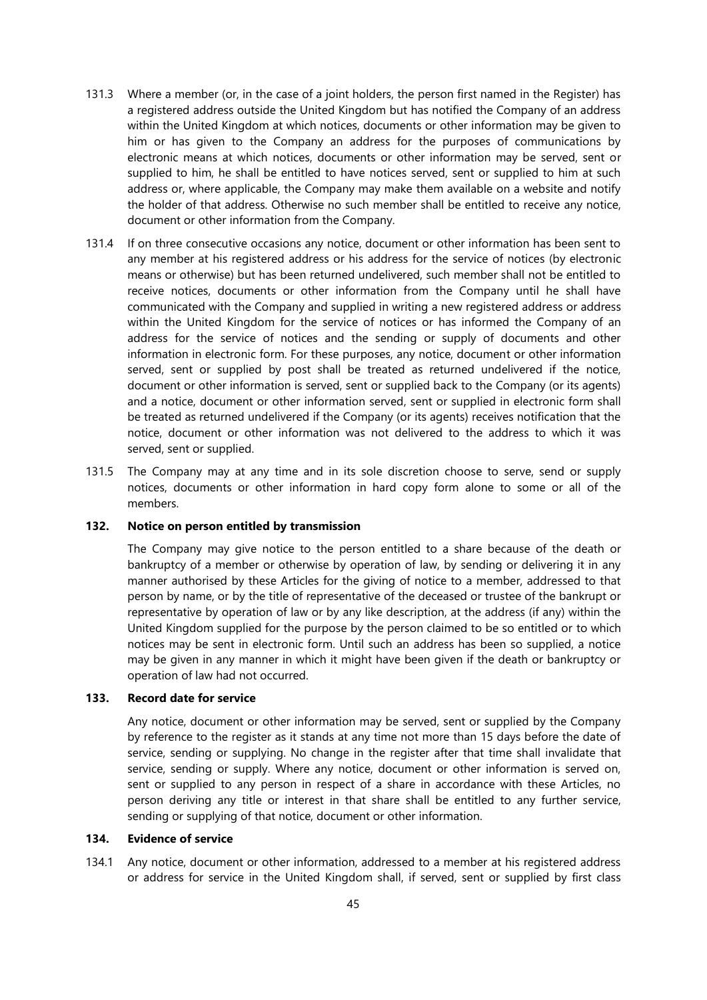- 131.3 Where a member (or, in the case of a joint holders, the person first named in the Register) has a registered address outside the United Kingdom but has notified the Company of an address within the United Kingdom at which notices, documents or other information may be given to him or has given to the Company an address for the purposes of communications by electronic means at which notices, documents or other information may be served, sent or supplied to him, he shall be entitled to have notices served, sent or supplied to him at such address or, where applicable, the Company may make them available on a website and notify the holder of that address. Otherwise no such member shall be entitled to receive any notice, document or other information from the Company.
- 131.4 If on three consecutive occasions any notice, document or other information has been sent to any member at his registered address or his address for the service of notices (by electronic means or otherwise) but has been returned undelivered, such member shall not be entitled to receive notices, documents or other information from the Company until he shall have communicated with the Company and supplied in writing a new registered address or address within the United Kingdom for the service of notices or has informed the Company of an address for the service of notices and the sending or supply of documents and other information in electronic form. For these purposes, any notice, document or other information served, sent or supplied by post shall be treated as returned undelivered if the notice, document or other information is served, sent or supplied back to the Company (or its agents) and a notice, document or other information served, sent or supplied in electronic form shall be treated as returned undelivered if the Company (or its agents) receives notification that the notice, document or other information was not delivered to the address to which it was served, sent or supplied.
- 131.5 The Company may at any time and in its sole discretion choose to serve, send or supply notices, documents or other information in hard copy form alone to some or all of the members.

# **132. Notice on person entitled by transmission**

The Company may give notice to the person entitled to a share because of the death or bankruptcy of a member or otherwise by operation of law, by sending or delivering it in any manner authorised by these Articles for the giving of notice to a member, addressed to that person by name, or by the title of representative of the deceased or trustee of the bankrupt or representative by operation of law or by any like description, at the address (if any) within the United Kingdom supplied for the purpose by the person claimed to be so entitled or to which notices may be sent in electronic form. Until such an address has been so supplied, a notice may be given in any manner in which it might have been given if the death or bankruptcy or operation of law had not occurred.

# **133. Record date for service**

Any notice, document or other information may be served, sent or supplied by the Company by reference to the register as it stands at any time not more than 15 days before the date of service, sending or supplying. No change in the register after that time shall invalidate that service, sending or supply. Where any notice, document or other information is served on, sent or supplied to any person in respect of a share in accordance with these Articles, no person deriving any title or interest in that share shall be entitled to any further service, sending or supplying of that notice, document or other information.

## **134. Evidence of service**

134.1 Any notice, document or other information, addressed to a member at his registered address or address for service in the United Kingdom shall, if served, sent or supplied by first class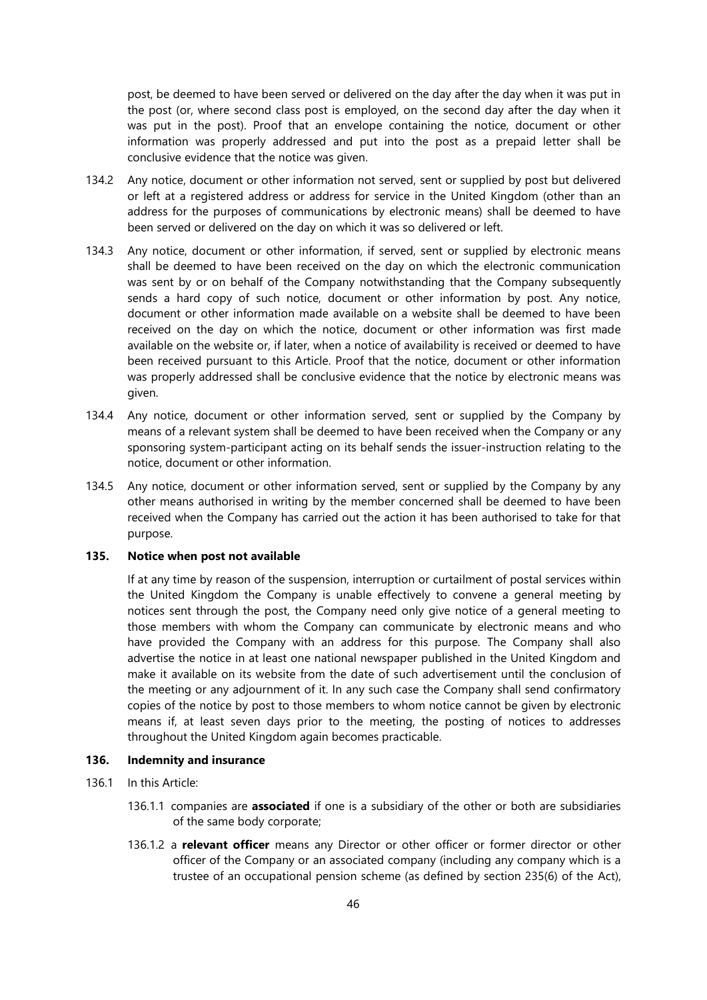post, be deemed to have been served or delivered on the day after the day when it was put in the post (or, where second class post is employed, on the second day after the day when it was put in the post). Proof that an envelope containing the notice, document or other information was properly addressed and put into the post as a prepaid letter shall be conclusive evidence that the notice was given.

- 134.2 Any notice, document or other information not served, sent or supplied by post but delivered or left at a registered address or address for service in the United Kingdom (other than an address for the purposes of communications by electronic means) shall be deemed to have been served or delivered on the day on which it was so delivered or left.
- 134.3 Any notice, document or other information, if served, sent or supplied by electronic means shall be deemed to have been received on the day on which the electronic communication was sent by or on behalf of the Company notwithstanding that the Company subsequently sends a hard copy of such notice, document or other information by post. Any notice, document or other information made available on a website shall be deemed to have been received on the day on which the notice, document or other information was first made available on the website or, if later, when a notice of availability is received or deemed to have been received pursuant to this Article. Proof that the notice, document or other information was properly addressed shall be conclusive evidence that the notice by electronic means was given.
- 134.4 Any notice, document or other information served, sent or supplied by the Company by means of a relevant system shall be deemed to have been received when the Company or any sponsoring system-participant acting on its behalf sends the issuer-instruction relating to the notice, document or other information.
- 134.5 Any notice, document or other information served, sent or supplied by the Company by any other means authorised in writing by the member concerned shall be deemed to have been received when the Company has carried out the action it has been authorised to take for that purpose.

## **135. Notice when post not available**

If at any time by reason of the suspension, interruption or curtailment of postal services within the United Kingdom the Company is unable effectively to convene a general meeting by notices sent through the post, the Company need only give notice of a general meeting to those members with whom the Company can communicate by electronic means and who have provided the Company with an address for this purpose. The Company shall also advertise the notice in at least one national newspaper published in the United Kingdom and make it available on its website from the date of such advertisement until the conclusion of the meeting or any adjournment of it. In any such case the Company shall send confirmatory copies of the notice by post to those members to whom notice cannot be given by electronic means if, at least seven days prior to the meeting, the posting of notices to addresses throughout the United Kingdom again becomes practicable.

# **136. Indemnity and insurance**

- 136.1 In this Article:
	- 136.1.1 companies are **associated** if one is a subsidiary of the other or both are subsidiaries of the same body corporate;
	- 136.1.2 a **relevant officer** means any Director or other officer or former director or other officer of the Company or an associated company (including any company which is a trustee of an occupational pension scheme (as defined by section 235(6) of the Act),